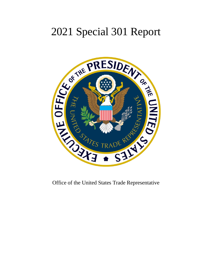# 2021 Special 301 Report



Office of the United States Trade Representative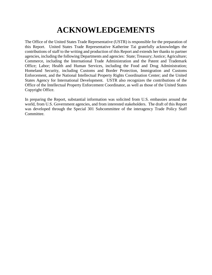# **ACKNOWLEDGEMENTS**

The Office of the United States Trade Representative (USTR) is responsible for the preparation of this Report. United States Trade Representative Katherine Tai gratefully acknowledges the contributions of staff to the writing and production of this Report and extends her thanks to partner agencies, including the following Departments and agencies: State; Treasury; Justice; Agriculture; Commerce, including the International Trade Administration and the Patent and Trademark Office; Labor; Health and Human Services, including the Food and Drug Administration; Homeland Security, including Customs and Border Protection, Immigration and Customs Enforcement, and the National Intellectual Property Rights Coordination Center; and the United States Agency for International Development. USTR also recognizes the contributions of the Office of the Intellectual Property Enforcement Coordinator, as well as those of the United States Copyright Office.

In preparing the Report, substantial information was solicited from U.S. embassies around the world, from U.S. Government agencies, and from interested stakeholders. The draft of this Report was developed through the Special 301 Subcommittee of the interagency Trade Policy Staff Committee.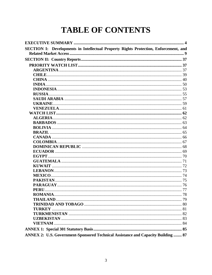# **TABLE OF CONTENTS**

| SECTION I: Developments in Intellectual Property Rights Protection, Enforcement, and |  |
|--------------------------------------------------------------------------------------|--|
|                                                                                      |  |
|                                                                                      |  |
|                                                                                      |  |
|                                                                                      |  |
|                                                                                      |  |
|                                                                                      |  |
|                                                                                      |  |
|                                                                                      |  |
|                                                                                      |  |
|                                                                                      |  |
|                                                                                      |  |
|                                                                                      |  |
|                                                                                      |  |
|                                                                                      |  |
|                                                                                      |  |
|                                                                                      |  |
|                                                                                      |  |
|                                                                                      |  |
|                                                                                      |  |
|                                                                                      |  |
|                                                                                      |  |
|                                                                                      |  |
|                                                                                      |  |
|                                                                                      |  |
|                                                                                      |  |
|                                                                                      |  |
|                                                                                      |  |
|                                                                                      |  |
|                                                                                      |  |
|                                                                                      |  |
|                                                                                      |  |
|                                                                                      |  |
|                                                                                      |  |
|                                                                                      |  |
|                                                                                      |  |
|                                                                                      |  |
|                                                                                      |  |
| ANNEX 2: U.S. Government-Sponsored Technical Assistance and Capacity Building  87    |  |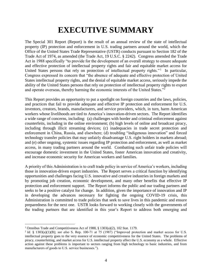# **EXECUTIVE SUMMARY**

<span id="page-3-0"></span>The Special 301 Report (Report) is the result of an annual review of the state of intellectual property (IP) protection and enforcement in U.S. trading partners around the world, which the Office of the United States Trade Representative (USTR) conducts pursuant to Section 182 of the Trade Act of 1974, as amended (the Trade Act, 19 U.S.C. § 2242). Congress amended the Trade Act in 1988 specifically "to provide for the development of an overall strategy to ensure adequate and effective protection of intellectual property rights and fair and equitable market access for United States persons that rely on protection of intellectual property rights."<sup>1</sup> In particular, Congress expressed its concern that "the absence of adequate and effective protection of United States intellectual property rights, and the denial of equitable market access, seriously impede the ability of the United States persons that rely on protection of intellectual property rights to export and operate overseas, thereby harming the economic interests of the United States."<sup>2</sup>

This Report provides an opportunity to put a spotlight on foreign countries and the laws, policies, and practices that fail to provide adequate and effective IP protection and enforcement for U.S. inventors, creators, brands, manufacturers, and service providers, which, in turn, harm American workers whose livelihoods are tied to America's innovation-driven sectors. The Report identifies a wide range of concerns, including: (a) challenges with border and criminal enforcement against counterfeits, including in the online environment; (b) high levels of online and broadcast piracy, including through illicit streaming devices; (c) inadequacies in trade secret protection and enforcement in China, Russia, and elsewhere; (d) troubling "indigenous innovation" and forced technology transfer policies that may unfairly disadvantage U.S. right holders in markets abroad; and (e) other ongoing, systemic issues regarding IP protection and enforcement, as well as market access, in many trading partners around the world. Combatting such unfair trade policies will encourage domestic investment in the United States, foster American innovation and creativity, and increase economic security for American workers and families.

A priority of this Administration is to craft trade policy in service of America's workers, including those in innovation-driven export industries. The Report serves a critical function by identifying opportunities and challenges facing U.S. innovative and creative industries in foreign markets and by promoting job creation, economic development, and many other benefits that effective IP protection and enforcement support. The Report informs the public and our trading partners and seeks to be a positive catalyst for change. In addition, given the importance of innovation and IP in developing the advances necessary for fighting the ongoing COVID-19 crisis, this Administration is committed to trade policies that seek to save lives in this pandemic and ensure preparedness for the next one. USTR looks forward to working closely with the governments of the trading partners that are identified in this year's Report to address both emerging and

<sup>&</sup>lt;sup>1</sup> Omnibus Trade and Competitiveness Act of 1988, § 1303(a)(2), 102 Stat. 1179.

 $^2$  Id. § 1303(a)(1)(B); see also S. Rep. 100-71 at 75 (1987) ("Improved protection and market access for U.S. intellectual property goes to the very essence of economic competitiveness for the United States. The problems of piracy, counterfeiting, and market access for U.S. intellectual property affect the U.S. economy as a whole. Effective action against these problems is important to sectors ranging from high technology to basic industries, and from manufacturers of goods to U.S. service businesses.").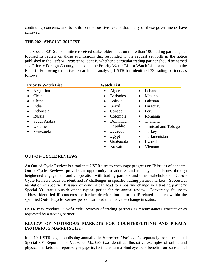continuing concerns, and to build on the positive results that many of these governments have achieved.

# **THE 2021 SPECIAL 301 LIST**

The Special 301 Subcommittee received stakeholder input on more than 100 trading partners, but focused its review on those submissions that responded to the request set forth in the notice published in the *Federal Register* to identify whether a particular trading partner should be named as a Priority Foreign Country, placed on the Priority Watch List or Watch List, or not listed in the Report. Following extensive research and analysis, USTR has identified 32 trading partners as follows:

| <b>Priority Watch List</b> | <b>Watch List</b>            |                                  |
|----------------------------|------------------------------|----------------------------------|
| Argentina                  | Algeria<br>$\bullet$         | Lebanon<br>$\bullet$             |
| Chile                      | <b>Barbados</b><br>$\bullet$ | Mexico<br>$\bullet$              |
| China                      | <b>Bolivia</b><br>$\bullet$  | Pakistan<br>$\bullet$            |
| India                      | <b>Brazil</b><br>٠           | Paraguay<br>$\bullet$            |
| Indonesia                  | Canada<br>$\bullet$          | Peru<br>$\bullet$                |
| Russia                     | Colombia<br>$\bullet$        | Romania<br>$\bullet$             |
| Saudi Arabia               | Dominican<br>$\bullet$       | Thailand                         |
| Ukraine                    | Republic                     | Trinidad and Tobago<br>$\bullet$ |
| Venezuela                  | Ecuador<br>$\bullet$         | Turkey<br>٠                      |
|                            | Egypt                        | Turkmenistan<br>$\bullet$        |
|                            | Guatemala<br>$\bullet$       | Uzbekistan<br>$\bullet$          |
|                            | Kuwait                       | Vietnam                          |

# **OUT-OF-CYCLE REVIEWS**

An Out-of-Cycle Review is a tool that USTR uses to encourage progress on IP issues of concern. Out-of-Cycle Reviews provide an opportunity to address and remedy such issues through heightened engagement and cooperation with trading partners and other stakeholders. Out-of-Cycle Reviews focus on identified IP challenges in specific trading partner markets. Successful resolution of specific IP issues of concern can lead to a positive change in a trading partner's Special 301 status outside of the typical period for the annual review. Conversely, failure to address identified IP concerns, or further deterioration as to an IP-related concern within the specified Out-of-Cycle Review period, can lead to an adverse change in status.

USTR may conduct Out-of-Cycle Reviews of trading partners as circumstances warrant or as requested by a trading partner.

# **REVIEW OF NOTORIOUS MARKETS FOR COUNTERFEITING AND PIRACY (***NOTORIOUS MARKETS LIST***)**

In 2010, USTR began publishing annually the *Notorious Markets List* separately from the annual Special 301 Report. The *Notorious Markets List* identifies illustrative examples of online and physical markets that reportedly engage in, facilitate, turn a blind eye to, or benefit from substantial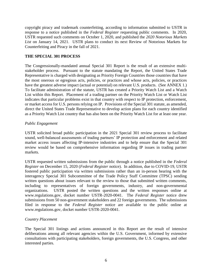copyright piracy and trademark counterfeiting, according to information submitted to USTR in response to a notice published in the *Federal Register* requesting public comments. In 2020, USTR requested such comments on October 1, 2020, and published the *2020 Notorious Markets List* on January 14, 2021. USTR plans to conduct its next Review of Notorious Markets for Counterfeiting and Piracy in the fall of 2021.

### **THE SPECIAL 301 PROCESS**

The Congressionally-mandated annual Special 301 Report is the result of an extensive multistakeholder process. Pursuant to the statute mandating the Report, the United States Trade Representative is charged with designating as Priority Foreign Countries those countries that have the most onerous or egregious acts, policies, or practices and whose acts, policies, or practices have the greatest adverse impact (actual or potential) on relevant U.S. products. (See ANNEX 1.) To facilitate administration of the statute, USTR has created a Priority Watch List and a Watch List within this Report. Placement of a trading partner on the Priority Watch List or Watch List indicates that particular problems exist in that country with respect to IP protection, enforcement, or market access for U.S. persons relying on IP. Provisions of the Special 301 statute, as amended, direct the United States Trade Representative to develop action plans for each country identified as a Priority Watch List country that has also been on the Priority Watch List for at least one year.

#### *Public Engagement*

USTR solicited broad public participation in the 2021 Special 301 review process to facilitate sound, well-balanced assessments of trading partners' IP protection and enforcement and related market access issues affecting IP-intensive industries and to help ensure that the Special 301 review would be based on comprehensive information regarding IP issues in trading partner markets.

USTR requested written submissions from the public through a notice published in the *Federal Register* on December 15, 2020 (*Federal Register* notice). In addition, due to COVID-19, USTR fostered public participation via written submissions rather than an in-person hearing with the interagency Special 301 Subcommittee of the Trade Policy Staff Committee (TPSC) sending written questions about issues relevant to the review to those that submitted written comments, including to representatives of foreign governments, industry, and non-governmental organizations. USTR posted the written questions and the written responses online at www.regulations.gov, docket number USTR-2020-0041. The *Federal Register* notice drew submissions from 50 non-government stakeholders and 22 foreign governments. The submissions filed in response to the *Federal Register* notice are available to the public online at www.regulations.gov, docket number USTR-2020-0041.

#### *Country Placement*

The Special 301 listings and actions announced in this Report are the result of intensive deliberations among all relevant agencies within the U.S. Government, informed by extensive consultations with participating stakeholders, foreign governments, the U.S. Congress, and other interested parties.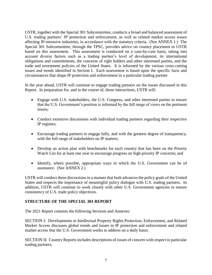USTR, together with the Special 301 Subcommittee, conducts a broad and balanced assessment of U.S. trading partners' IP protection and enforcement, as well as related market access issues affecting IP-intensive industries, in accordance with the statutory criteria. (See ANNEX 1.) The Special 301 Subcommittee, through the TPSC, provides advice on country placement to USTR based on this assessment. This assessment is conducted on a case-by-case basis, taking into account diverse factors such as a trading partner's level of development, its international obligations and commitments, the concerns of right holders and other interested parties, and the trade and investment policies of the United States. It is informed by the various cross-cutting issues and trends identified in Section I. Each assessment is based upon the specific facts and circumstances that shape IP protection and enforcement in a particular trading partner.

In the year ahead, USTR will continue to engage trading partners on the issues discussed in this Report. In preparation for, and in the course of, those interactions, USTR will:

- Engage with U.S. stakeholders, the U.S. Congress, and other interested parties to ensure that the U.S. Government's position is informed by the full range of views on the pertinent issues;
- Conduct extensive discussions with individual trading partners regarding their respective IP regimes;
- Encourage trading partners to engage fully, and with the greatest degree of transparency, with the full range of stakeholders on IP matters;
- Develop an action plan with benchmarks for each country that has been on the Priority Watch List for at least one year to encourage progress on high-priority IP concerns; and
- Identify, where possible, appropriate ways in which the U.S. Government can be of assistance. (See ANNEX 2.)

USTR will conduct these discussions in a manner that both advances the policy goals of the United States and respects the importance of meaningful policy dialogue with U.S. trading partners. In addition, USTR will continue to work closely with other U.S. Government agencies to ensure consistency of U.S. trade policy objectives.

# **STRUCTURE OF THE SPECIAL 301 REPORT**

The 2021 Report contains the following Sections and Annexes:

SECTION I: Developments in Intellectual Property Rights Protection, Enforcement, and Related Market Access discusses global trends and issues in IP protection and enforcement and related market access that the U.S. Government works to address on a daily basis;

SECTION II: Country Reports includes descriptions of issues of concern with respect to particular trading partners;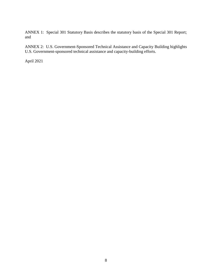ANNEX 1: Special 301 Statutory Basis describes the statutory basis of the Special 301 Report; and

ANNEX 2: U.S. Government-Sponsored Technical Assistance and Capacity Building highlights U.S. Government-sponsored technical assistance and capacity-building efforts.

April 2021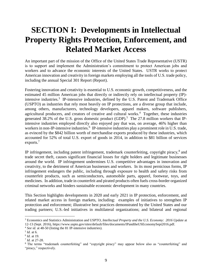# <span id="page-8-0"></span>**SECTION I: Developments in Intellectual Property Rights Protection, Enforcement, and Related Market Access**

An important part of the mission of the Office of the United States Trade Representative (USTR) is to support and implement the Administration's commitment to protect American jobs and workers and to advance the economic interests of the United States. USTR works to protect American innovation and creativity in foreign markets employing all the tools of U.S. trade policy, including the annual Special 301 Report (Report).

Fostering innovation and creativity is essential to U.S. economic growth, competitiveness, and the estimated 45 million American jobs that directly or indirectly rely on intellectual property (IP) intensive industries.<sup>3</sup> IP-intensive industries, defined by the U.S. Patent and Trademark Office (USPTO) as industries that rely most heavily on IP protections, are a diverse group that include, among others, manufacturers, technology developers, apparel makers, software publishers, agricultural producers, and creators of creative and cultural works.<sup>4</sup> Together, these industries generated 38.2% of the U.S. gross domestic product  $(GDP)$ .<sup>5</sup> The 27.8 million workers that IPintensive industries employed directly also enjoyed pay that was, on average, 46% higher than workers in non-IP-intensive industries.<sup>6</sup> IP-intensive industries play a prominent role in U.S. trade, as evinced by the \$842 billion worth of merchandise exports produced by these industries, which accounted for 52% of total U.S. export of goods in 2014, in addition to \$81 billion of services exports.<sup>7</sup>

IP infringement, including patent infringement, trademark counterfeiting, copyright piracy,<sup>8</sup> and trade secret theft, causes significant financial losses for right holders and legitimate businesses around the world. IP infringement undermines U.S. competitive advantages in innovation and creativity, to the detriment of American businesses and workers. In its most pernicious forms, IP infringement endangers the public, including through exposure to health and safety risks from counterfeit products, such as semiconductors, automobile parts, apparel, footwear, toys, and medicines. In addition, trade in counterfeit and pirated products often fuels cross-border organized criminal networks and hinders sustainable economic development in many countries.

This Section highlights developments in 2020 and early 2021 in IP protection, enforcement, and related market access in foreign markets, including: examples of initiatives to strengthen IP protection and enforcement; illustrative best practices demonstrated by the United States and our trading partners; U.S.-led initiatives in multilateral organizations; and bilateral and regional

<sup>3</sup> Economics and Statistics Administration and USPTO, *Intellectual Property and the U.S. Economy: 2016 Update* at 12-13 (Sept. 2016), https://www.uspto.gov/sites/default/files/documents/IPandtheUSEconomySept2016.pdf.

<sup>4</sup> *See id.* at 48-50 (listing the 81 IP-intensive industries).

<sup>5</sup> *Id.* at 6.

<sup>6</sup> *Id.* at 19.

<sup>7</sup> *Id.* at 27-28.

<sup>8</sup> The terms "trademark counterfeiting" and "copyright piracy" may appear below also as "counterfeiting" and "piracy," respectively.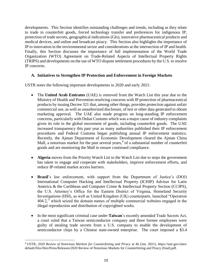developments. This Section identifies outstanding challenges and trends, including as they relate to trade in counterfeit goods, forced technology transfer and preferences for indigenous IP, protection of trade secrets, geographical indications (GIs), innovative pharmaceutical products and medical devices, and online and broadcast piracy. This Section also highlights the importance of IP to innovation in the environmental sector and considerations at the intersection of IP and health. Finally, this Section discusses the importance of full implementation of the World Trade Organization (WTO) Agreement on Trade-Related Aspects of Intellectual Property Rights (TRIPS) and developments on the use of WTO dispute settlement procedures by the U.S. to resolve IP concerns.

# **A. Initiatives to Strengthen IP Protection and Enforcement in Foreign Markets**

USTR notes the following important developments in 2020 and early 2021:

- The **United Arab Emirates** (UAE) is removed from the Watch List this year due to the Ministry of Health and Prevention resolving concerns with IP protection of pharmaceutical products by issuing Decree 321 that, among other things, provides protection against unfair commercial use, as well as unauthorized disclosure, of test or other data generated to obtain marketing approval. The UAE also made progress on long-standing IP enforcement concerns, particularly with Dubai Customs which was a major cause of industry complaints given its role in the global movement of goods, including counterfeit goods. The UAE increased transparency this past year as many authorities published their IP enforcement procedures and Federal Customs began publishing annual IP enforcement statistics. Recently, the Ajman Department of Economic Development cleared the Ajman China Mall, a notorious market for the past several years,<sup>9</sup> of a substantial number of counterfeit goods and are monitoring the Mall to ensure continued compliance.
- **Algeria** moves from the Priority Watch List to the Watch List due to steps the government has taken to engage and cooperate with stakeholders, improve enforcement efforts, and reduce IP-related market access barriers.
- **Brazil**'s law enforcement, with support from the Department of Justice's (DOJ) International Computer Hacking and Intellectual Property (ICHIP) Advisor for Latin America & the Caribbean and Computer Crime & Intellectual Property Section (CCIPS), the U.S. Attorney's Office for the Eastern District of Virginia, Homeland Security Investigations (HSI), as well as United Kingdom (UK) counterparts, launched "Operation 404.2," which seized the domain names of multiple commercial websites engaged in the illegal reproduction and distribution of copyrighted works.
- In the most significant criminal case under **Taiwan**'s recently amended Trade Secrets Act, a court ruled that a Taiwan semiconductor company and three former employees were guilty of stealing trade secrets from a U.S. company to enable the development of semiconductor chips by a Chinese state-owned enterprise. The court imposed a \$3.4

<sup>9</sup> USTR, *2020 Review of Notorious Markets for Counterfeiting and Piracy* at 46 (Jan. 2021), https://ustr.gov/sites/ default/files/files/Press/Releases/2020 Review of Notorious Markets for Counterfeiting and Piracy (final).pdf.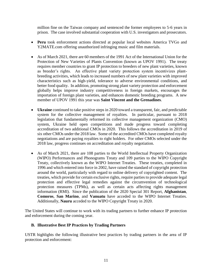million fine on the Taiwan company and sentenced the former employees to 5-6 years in prison. The case involved substantial cooperation with U.S. investigators and prosecutors.

- **Peru** took enforcement actions directed at popular local websites America TVGo and Y2MATE.com offering unauthorized infringing music and film materials.
- As of March 2021, there are 60 members of the 1991 Act of the International Union for the Protection of New Varieties of Plants Convention (known as UPOV 1991). The treaty requires member countries to grant IP protection to breeders of new plant varieties, known as breeder's rights. An effective plant variety protection system incentivizes plantbreeding activities, which leads to increased numbers of new plant varieties with improved characteristics such as high-yield, tolerance to adverse environmental conditions, and better food quality. In addition, promoting strong plant variety protection and enforcement globally helps improve industry competitiveness in foreign markets, encourages the importation of foreign plant varieties, and enhances domestic breeding programs. A new member of UPOV 1991 this year was **Saint Vincent and the Grenadines**.
- **Ukraine** continued to take positive steps in 2020 toward a transparent, fair, and predictable system for the collective management of royalties. In particular, pursuant to 2018 legislation that fundamentally reformed its collective management organization (CMO) system, Ukraine held open competitions and made progress toward completing accreditation of two additional CMOs in 2020. This follows the accreditation in 2019 of six other CMOs under the 2018 law. Some of the accredited CMOs have completed royalty negotiations and are paying royalties to right holders. For other CMOs selected under the 2018 law, progress continues on accreditation and royalty negotiation.
- As of March 2021, there are 108 parties to the World Intellectual Property Organization (WIPO) Performances and Phonograms Treaty and 109 parties to the WIPO Copyright Treaty, collectively known as the WIPO Internet Treaties. These treaties, completed in 1996 and which entered into force in 2002, have raised the standard of copyright protection around the world, particularly with regard to online delivery of copyrighted content. The treaties, which provide for certain exclusive rights, require parties to provide adequate legal protection and effective legal remedies against the circumvention of technological protection measures (TPMs), as well as certain acts affecting rights management information (RMI). Since the publication of the 2020 Special 301 Report, **Afghanistan**, **Comoros**, **San Marino**, and **Vanuatu** have acceded to the WIPO Internet Treaties. Additionally, **Nauru** acceded to the WIPO Copyright Treaty in 2020.

The United States will continue to work with its trading partners to further enhance IP protection and enforcement during the coming year.

# **B. Illustrative Best IP Practices by Trading Partners**

USTR highlights the following illustrative best practices by trading partners in the area of IP protection and enforcement: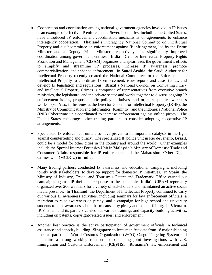- Cooperation and coordination among national government agencies involved in IP issues is an example of effective IP enforcement. Several countries, including the United States, have introduced IP enforcement coordination mechanisms or agreements to enhance interagency cooperation. **Thailand**'s interagency National Committee on Intellectual Property and a subcommittee on enforcement against IP infringement, led by the Prime Minister and a Deputy Prime Minister, respectively, has significantly improved coordination among government entities. **India**'s Cell for Intellectual Property Rights Promotion and Management (CIPAM) organizes and spearheads the government's efforts to simplify and streamline IP processes, increase IP awareness, promote commercialization, and enhance enforcement. In **Saudi Arabia**, the Saudi Authority for Intellectual Property recently created the National Committee for the Enforcement of Intellectual Property to coordinate IP enforcement, issue reports and case studies, and develop IP legislation and regulations. **Brazil**'s National Council on Combating Piracy and Intellectual Property Crimes is composed of representatives from executive branch ministries, the legislature, and the private sector and works together to discuss ongoing IP enforcement issues, propose public policy initiatives, and organize public awareness workshops. Also, in **Indonesia**, the Director General for Intellectual Property (DGIP), the Ministry of Communication and Informatics (Kominfo), and the Indonesia National Police (INP) Cybercrime unit coordinated to increase enforcement against online piracy. The United States encourages other trading partners to consider adopting cooperative IP arrangements.
- Specialized IP enforcement units also have proven to be important catalysts in the fight against counterfeiting and piracy. The specialized IP police unit in Rio de Janeiro, **Brazil**, could be a model for other cities in the country and around the world. Other examples include the Special Internet Forensics Unit in **Malaysia**'s Ministry of Domestic Trade and Consumer Affairs responsible for IP enforcement and the Maharashtra Cyber Digital Crimes Unit (MCDCU) in **India**.
- Many trading partners conducted IP awareness and educational campaigns, including jointly with stakeholders, to develop support for domestic IP initiatives. In **Spain**, the Ministry of Industry, Trade, and Tourism's Patent and Trademark Office carried out campaigns against IP theft. In response to the pandemic, **India**'s CIPAM reportedly organized over 200 webinars for a variety of stakeholders and maintained an active social media presence. In **Thailand**, the Department of Intellectual Property continued to carry out various IP awareness activities, including seminars for law enforcement officials, a marathon to raise awareness on piracy, and a campaign for high school and university students to raise awareness about harm caused by piracy and counterfeiting. In **Vietnam**, IP Vietnam and its partners carried out various trainings and capacity-building activities, including on patents, copyright-related issues, and enforcement.
- Another best practice is the active participation of government officials in technical assistance and capacity building. **Singapore** collects manifest data from 18 major shipping lines as part of its World Customs Organization (WCO) Cargo Targeting System and maintains a strong working relationship conducting joint investigations with U.S. Immigration and Customs Enforcement (ICE)/HSI. **Romania**'s law enforcement and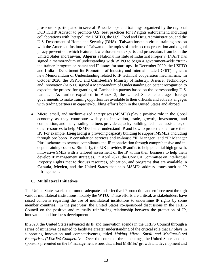prosecutors participated in several IP workshops and trainings organized by the regional DOJ ICHIP Advisor to promote U.S. best practices for IP rights enforcement, including collaborations with Interpol, the USPTO, the U.S. Food and Drug Administration, and the U.S. Department of Homeland Security (DHS). **Taiwan** hosted a virtual training session with the American Institute of Taiwan on the topics of trade secrets protection and digital piracy prevention, which featured law enforcement experts and prosecutors from both the United States and Taiwan. **Algeria**'s National Institute of Industrial Property (INAPI) has signed a memorandum of understanding with WIPO to begin a government-wide "trainthe-trainer" program on patent and IP issues for start-ups. In December 2020, the USPTO and **India**'s Department for Promotion of Industry and Internal Trade (DPIIT) signed a new Memorandum of Understanding related to IP technical cooperation mechanisms. In October 2020, the USPTO and **Cambodia**'s Ministry of Industry, Science, Technology, and Innovation (MISTI) signed a Memorandum of Understanding on patent recognition to expedite the process for granting of Cambodian patents based on the corresponding U.S. patents. As further explained in Annex 2, the United States encourages foreign governments to make training opportunities available to their officials and actively engages with trading partners in capacity-building efforts both in the United States and abroad.

• Micro, small, and medium-sized enterprises (MSMEs) play a positive role in the global economy as they contribute widely to innovation, trade, growth, investment, and competition, and many trading partners provide capacity building, technical assistance, or other resources to help MSMEs better understand IP and how to protect and enforce their IP. For example, **Hong Kong** is providing capacity building to support MSMEs, including through pro bono IP consultation services and in-house "IP Manager" and "IP Manager Plus" schemes to oversee compliance and IP monetization through comprehensive and indepth training courses. Similarly, the **UK** provides IP audits to help potential high growth, innovative SMEs with a tailored assessment of the IP within their business to help them develop IP management strategies. In April 2021, the USMCA Committee on Intellectual Property Rights met to discuss resources, education, and programs that are available in **Canada**, **Mexico**, and the United States that help MSMEs address issues such as IP infringement.

# **C. Multilateral Initiatives**

The United States works to promote adequate and effective IP protection and enforcement through various multilateral institutions, notably the **WTO**. These efforts are critical, as stakeholders have raised concerns regarding the use of multilateral institutions to undermine IP rights by some member countries. In the past year, the United States co-sponsored discussions in the TRIPS Council on the positive and mutually reinforcing relationship between the protection of IP, innovation, and business development.

In 2020, the United States advanced its IP and Innovation agenda in the TRIPS Council through a series of initiatives designed to facilitate greater understanding of the critical role that IP plays in supporting innovation and competitiveness, titled *Making Micro, Small and Medium-Sized Enterprises (MSMEs) Competitive*. Over the course of three meetings, the United States and cosponsors presented on the IP management issues that affect MSMEs' growth and development and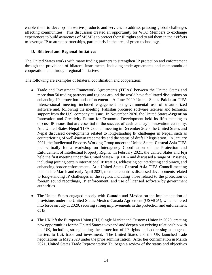enable them to develop innovative products and services to address pressing global challenges affecting communities. This discussion created an opportunity for WTO Members to exchange experiences to build awareness of MSMEs to protect their IP rights and to aid them in their efforts to leverage IP to attract partnerships, particularly in the area of green technology.

# **D. Bilateral and Regional Initiatives**

The United States works with many trading partners to strengthen IP protection and enforcement through the provisions of bilateral instruments, including trade agreements and memoranda of cooperation, and through regional initiatives.

The following are examples of bilateral coordination and cooperation:

- Trade and Investment Framework Agreements (TIFAs) between the United States and more than 50 trading partners and regions around the world have facilitated discussions on enhancing IP protection and enforcement. A June 2020 United States-**Pakistan** TIFA Intersessional meeting included engagement on governmental use of unauthorized software and, following the meeting, Pakistan procured software licenses and technical support from the U.S. company at issue. In November 2020, the United States-**Argentina** Innovation and Creativity Forum for Economic Development held its fifth meeting to discuss IP issues that are essential to the success of each country's innovation economy. At a United States-**Nepal** TIFA Council meeting in December 2020, the United States and Nepal discussed developments related to long-standing IP challenges in Nepal, such as counterfeiting of well-known trademarks and the status of draft IP legislation. In January 2021, the Intellectual Property Working Group under the United States-**Central Asia** TIFA met virtually for a workshop on Interagency Coordination of the Protection and Enforcement of Intellectual Property Rights. In February 2021, the United States and **Fiji** held the first meeting under the United States-Fiji TIFA and discussed a range of IP issues, including joining certain international IP treaties, addressing counterfeiting and piracy, and enhancing border enforcement. At a United States-**Central Asia** TIFA Council meeting held in late March and early April 2021, member countries discussed developments related to long-standing IP challenges in the region, including those related to the protection of foreign sound recordings, IP enforcement, and use of licensed software by government authorities.
- The United States engaged closely with **Canada** and **Mexico** on the implementation of provisions under the United States-Mexico-Canada Agreement (USMCA), which entered into force on July 1, 2020, securing strong improvements in the protection and enforcement of IP.
- The UK left the European Union (EU) Single Market and Customs Union in 2020, creating new opportunities for the United States to expand and deepen our existing relationship with the UK, including strengthening the protection of IP rights and addressing a range of barriers to U.S. trade and investment. The United States and the UK launched trade negotiations in May 2020 under the prior administration. After her confirmation in March 2021, United States Trade Representative Tai began a review of the status and objectives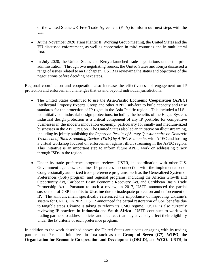of the United States-UK Free Trade Agreement (FTA) to inform our next steps with the UK.

- At the November 2020 Transatlantic IP Working Group meeting, the United States and the **EU** discussed enforcement, as well as cooperation in third countries and in multilateral fora.
- In July 2020, the United States and **Kenya** launched trade negotiations under the prior administration. Through two negotiating rounds, the United States and Kenya discussed a range of issues related to an IP chapter. USTR is reviewing the status and objectives of the negotiations before deciding next steps.

Regional coordination and cooperation also increase the effectiveness of engagement on IP protection and enforcement challenges that extend beyond individual jurisdictions:

- The United States continued to use the **Asia-Pacific Economic Cooperation** (**APEC**) Intellectual Property Experts Group and other APEC sub-fora to build capacity and raise standards for the protection of IP rights in the Asia-Pacific region. This included a U.S. led initiative on industrial design protections, including the benefits of the Hague System. Industrial design protection is a critical component of any IP portfolio for competitive businesses in the modern innovation economy, particularly for small- and medium-sized businesses in the APEC region. The United States also led an initiative on illicit streaming, including by jointly publishing the *Report on Results of Survey Questionnaire on Domestic Treatment of Illicit Streaming Devices (ISDs) by APEC Economies* with APEC and hosting a virtual workshop focused on enforcement against illicit streaming in the APEC region. This initiative is an important step to inform future APEC work on addressing piracy through ISDs in the region.
- Under its trade preference program reviews, USTR, in coordination with other U.S. Government agencies, examines IP practices in connection with the implementation of Congressionally authorized trade preference programs, such as the Generalized System of Preferences (GSP) program, and regional programs, including the African Growth and Opportunity Act, Caribbean Basin Economic Recovery Act, and Caribbean Basin Trade Partnership Act. Pursuant to such a review, in 2017, USTR announced the partial suspension of GSP benefits to **Ukraine** due to inadequate protection and enforcement of IP. The announcement specifically referenced the importance of improving Ukraine's system for CMOs. In 2019, USTR announced the partial restoration of GSP benefits due to tangible steps Ukraine is taking to reform its CMO regime. USTR is also currently reviewing IP practices in **Indonesia** and **South Africa**. USTR continues to work with trading partners to address policies and practices that may adversely affect their eligibility under the IP criteria of each preference program.

In addition to the work described above, the United States anticipates engaging with its trading partners on IP-related initiatives in fora such as the **Group of Seven** (**G7)**, **WIPO**, the **Organisation for Economic Co-operation and Development** (**OECD**), and **WCO**. USTR, in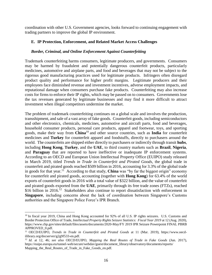coordination with other U.S. Government agencies, looks forward to continuing engagement with trading partners to improve the global IP environment.

### **E. IP Protection, Enforcement, and Related Market Access Challenges**

#### *Border, Criminal, and Online Enforcement Against Counterfeiting*

Trademark counterfeiting harms consumers, legitimate producers, and governments. Consumers may be harmed by fraudulent and potentially dangerous counterfeit products, particularly medicines, automotive and airplane parts, and food and beverages that may not be subject to the rigorous good manufacturing practices used for legitimate products. Infringers often disregard product quality and performance for higher profit margins. Legitimate producers and their employees face diminished revenue and investment incentives, adverse employment impacts, and reputational damage when consumers purchase fake products. Counterfeiting may also increase costs for firms to enforce their IP rights, which may be passed on to consumers. Governments lose the tax revenues generated by legitimate businesses and may find it more difficult to attract investment when illegal competitors undermine the market.

The problem of trademark counterfeiting continues on a global scale and involves the production, transshipment, and sale of a vast array of fake goods. Counterfeit goods, including semiconductors and other electronics, chemicals, medicines, automotive and aircraft parts, food and beverages, household consumer products, personal care products, apparel and footwear, toys, and sporting goods, make their way from **China**<sup>10</sup> and other source countries, such as **India** for counterfeit medicines and **Turkey** for counterfeit apparel and foodstuffs, directly to purchasers around the world. The counterfeits are shipped either directly to purchasers or indirectly through transit **hubs**, including **Hong Kong**, **Turkey**, and the **UAE**, to third country markets such as **Brazil**, **Nigeria**, and **Paraguay** that are reported to have ineffective or inadequate IP enforcement systems. According to an OECD and European Union Intellectual Property Office (EUIPO) study released in March 2019, titled *Trends in Trade in Counterfeit and Pirated Goods*, the global trade in counterfeit and pirated goods reached \$509 billion in 2016, accounting for 3.3% of the global trade in goods for that year.<sup>11</sup> According to that study, **China** was "by far the biggest origin" economy for counterfeit and pirated goods, accounting (together with **Hong Kong**) for 63.4% of the world exports of counterfeit goods in 2016 with a total value of \$322 billion, and the value of counterfeit and pirated goods exported from the **UAE**, primarily through its free trade zones (FTZs), reached \$16 billion in 2016.<sup>12</sup> Stakeholders also continue to report dissatisfaction with enforcement in **Singapore**, including concerns about the lack of coordination between Singapore's Customs authorities and the Singapore Police Force's IPR Branch.

<sup>&</sup>lt;sup>10</sup> In fiscal year 2019, China and Hong Kong accounted for 92% of all U.S. IP rights seizures. U.S. Customs and Border Protection Office of Trade, *Intellectual Property Rights Seizure Statistics: Fiscal Year 2019* at 12 (Aug. 2020), https://www.cbp.gov/sites/default/files/assets/documents/2020-May/FY 2019 IPR Seizure Powerpoint FINAL PBRB APPROVED\_0.pdf.

<sup>11</sup> OECD/EUIPO, *Trends in Trade in Counterfeit and Pirated Goods* at 11 (Mar. 2019), https://www.oecdilibrary.org/docserver/g2g9f533-en.pdf.

<sup>12</sup> *Id.* at 12, 46; *see also* OECD/EUIPO, *Mapping the Real Routes of Trade in Fake Goods* (Jun. 2017), https://euipo.europa.eu/tunnel-web/secure/webdav/guest/document\_library/observatory/documents/reports/ Mapping\_the\_Real\_Routes\_of\_Trade\_in\_Fake\_Goods\_en.pdf.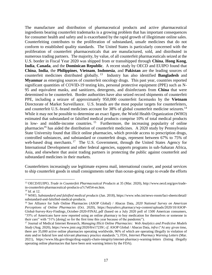The manufacture and distribution of pharmaceutical products and active pharmaceutical ingredients bearing counterfeit trademarks is a growing problem that has important consequences for consumer health and safety and is exacerbated by the rapid growth of illegitimate online sales. Counterfeiting contributes to the proliferation of substandard, unsafe medicines that do not conform to established quality standards. The United States is particularly concerned with the proliferation of counterfeit pharmaceuticals that are manufactured, sold, and distributed in numerous trading partners. The majority, by value, of all counterfeit pharmaceuticals seized at the U.S. border in Fiscal Year 2020 was shipped from or transshipped through **China**, **Hong Kong**, **India**, **Canada**, and the **Dominican Republic**. A recent study by OECD and EUIPO found that **China**, **India**, the **Philippines**, **Vietnam**, **Indonesia**, and **Pakistan** are the leading sources of counterfeit medicines distributed globally. <sup>13</sup> Industry has also identified **Bangladesh** and **Myanmar** as emerging sources of counterfeit oncology drugs. This past year, countries reported significant quantities of COVID-19 testing kits, personal protective equipment (PPE) such as N-95 and equivalent masks, and sanitizers, detergents, and disinfectants from **China** that were determined to be counterfeit. Border authorities have also seized record shipments of counterfeit PPE, including a seizure of approximately 950,000 counterfeit facemasks by the **Vietnam** Directorate of Market Surveillance. U.S. brands are the most popular targets for counterfeiters, and counterfeit U.S.-brand medicines account for 38% of global counterfeit medicine seizures.<sup>14</sup> While it may not be possible to determine an exact figure, the World Health Organization (WHO) estimated that substandard or falsified medical products comprise 10% of total medical products in low- and middle-income countries. <sup>15</sup> Furthermore, the increasing popularity of online pharmacies<sup>16</sup> has aided the distribution of counterfeit medicines. A 2020 study by Pennsylvania State University found that illicit online pharmacies, which provide access to prescription drugs, controlled substances, and substandard or counterfeit drugs, represent between 67% to 75% of web-based drug merchants.<sup>17</sup> The U.S. Government, through the United States Agency for International Development and other federal agencies, supports programs in sub-Saharan Africa, Asia, and elsewhere that assist trading partners in protecting the public against counterfeit and substandard medicines in their markets.

Counterfeiters increasingly use legitimate express mail, international courier, and postal services to ship counterfeit goods in small consignments rather than ocean-going cargo to evade the efforts

<sup>13</sup> OECD/EUIPO, *Trade in Counterfeit Pharmaceutical Products* at 35 (Mar. 2020), http://www.oecd.org/gov/tradein-counterfeit-pharmaceutical-products-a7c7e054-en.htm.

<sup>14</sup> *Id.* at 12.

<sup>15</sup> WHO, *Substandard and falsified medical products* (Jan. 2018), https://www.who.int/news-room/fact-sheets/detail/ substandard-and-falsified-medical-products.

<sup>16</sup> *See* Alliance for Safe Online Pharmacies (ASOP Global) / Abacus Data, *2020 National Survey on American Perceptions of Online Pharmacies* (Oct. 2020), https://buysaferx.pharmacy/wp-content/uploads/2020/10/ASOP-Global-Survey-Key-Findings\_October-2020-FINAL.pdf (based on a July 2020 poll of 1500 American consumers, "35% of Americans have now reported using an online pharmacy to buy medication for themselves or someone in their care" with "31% [doing] so for the first time this year because of the pandemic").

<sup>17</sup> Journal of Medical Internet Research, *Managing Illicit Online Pharmacies: Web Analytics and Predictive Models Study* (Aug. 2020), https://www.jmir.org/2020/8/e17239/; *cf.* ASOP Global / Abacus Data, *infra* ("At any given time, there are 35,000 active online pharmacies operating worldwide, 96% of which are operating illegally in violation of state and/or federal law and relevant pharmacy practice standards."); FDA, *Internet Pharmacy Warning Letters* (Mar. 2021), https://www.fda.gov/drugs/drug-supply-chain-integrity/internet-pharmacy-warning-letters (listing illegally operating online pharmacies that have been sent warning letters by the FDA).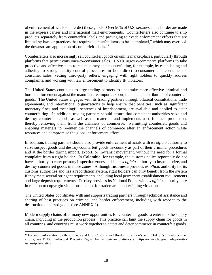of enforcement officials to interdict these goods. Over 90% of U.S. seizures at the border are made in the express carrier and international mail environments. Counterfeiters also continue to ship products separately from counterfeit labels and packaging to evade enforcement efforts that are limited by laws or practices that require counterfeit items to be "completed," which may overlook the downstream application of counterfeit labels.<sup>18</sup>

Counterfeiters also increasingly sell counterfeit goods on online marketplaces, particularly through platforms that permit consumer-to-consumer sales. USTR urges e-commerce platforms to take proactive and effective steps to reduce piracy and counterfeiting, for example, by establishing and adhering to strong quality control procedures in both direct-to-consumer and consumer-toconsumer sales, vetting third-party sellers, engaging with right holders to quickly address complaints, and working with law enforcement to identify IP violators.

The United States continues to urge trading partners to undertake more effective criminal and border enforcement against the manufacture, import, export, transit, and distribution of counterfeit goods. The United States engages with its trading partners through bilateral consultations, trade agreements, and international organizations to help ensure that penalties, such as significant monetary fines and meaningful sentences of imprisonment, are available and applied to deter counterfeiting. In addition, trading partners should ensure that competent authorities seize and destroy counterfeit goods, as well as the materials and implements used for their production, thereby removing them from the channels of commerce. Permitting counterfeit goods and enabling materials to re-enter the channels of commerce after an enforcement action waste resources and compromise the global enforcement effort.

In addition, trading partners should also provide enforcement officials with *ex officio* authority to seize suspect goods and destroy counterfeit goods in-country as part of their criminal procedures and at the border during import, export, or in-transit movement, without the need for a formal complaint from a right holder. In **Colombia**, for example, the customs police reportedly do not have authority to enter primary inspection zones and lack *ex officio* authority to inspect, seize, and destroy counterfeit goods in those zones. Although **Indonesia** provides *ex officio* authority for its customs authorities and has a recordation system, right holders can only benefit from the system if they meet several stringent requirements, including local permanent establishment requirements and large deposit requirements. **Turkey** provides its National Police with *ex officio* authority only in relation to copyright violations and not for trademark counterfeiting violations.

The United States coordinates with and supports trading partners through technical assistance and sharing of best practices on criminal and border enforcement, including with respect to the destruction of seized goods (see ANNEX 2).

Modern supply chains offer many new opportunities for counterfeit goods to enter into the supply chain, including in the production process. This practice can taint the supply chain for goods in all countries, and countries must work together to detect and deter commerce in counterfeit goods.

 $\overline{a}$ <sup>18</sup> For more information on these trends and U.S. Customs and Border Protection's and ICE/HSI's IP enforcement efforts, see DHS, Intellectual Property Rights Annual Seizure Statistics at https://www.cbp.gov/trade/priorityissues/ipr/statistics.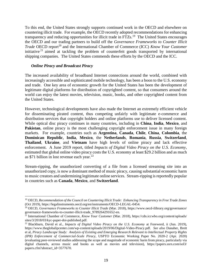To this end, the United States strongly supports continued work in the OECD and elsewhere on countering illicit trade. For example, the OECD recently adopted recommendations for enhancing transparency and reducing opportunities for illicit trade in FTZs.<sup>19</sup> The United States encourages the OECD and our trading partners to build off the *Governance Frameworks to Counter Illicit Trade* OECD report<sup>20</sup> and the International Chamber of Commerce (ICC) *Know Your Customer* initiative <sup>21</sup> aimed at tackling the problem of counterfeit goods transported by international shipping companies. The United States commends these efforts by the OECD and the ICC.

#### *Online Piracy and Broadcast Piracy*

 $\overline{a}$ 

The increased availability of broadband Internet connections around the world, combined with increasingly accessible and sophisticated mobile technology, has been a boon to the U.S. economy and trade. One key area of economic growth for the United States has been the development of legitimate digital platforms for distribution of copyrighted content, so that consumers around the world can enjoy the latest movies, television, music, books, and other copyrighted content from the United States.

However, technological developments have also made the Internet an extremely efficient vehicle for disseminating pirated content, thus competing unfairly with legitimate e-commerce and distribution services that copyright holders and online platforms use to deliver licensed content. While optical disc piracy continues in many countries, including in **China**, **India**, **Mexico**, and **Pakistan**, online piracy is the most challenging copyright enforcement issue in many foreign markets. For example, countries such as **Argentina**, **Canada**, **Chile**, **China**, **Colombia**, the **Dominican Republic**, **India**, **Mexico**, the **Netherlands**, **Romania**, **Russia**, **Switzerland**, **Thailand**, **Ukraine**, and **Vietnam** have high levels of online piracy and lack effective enforcement. A June 2019 report, titled *Impacts of Digital Video Piracy on the U.S. Economy*, estimated that global online video piracy costs the U.S. economy at least \$29.2 billion and as much as \$71 billion in lost revenue each year. $^{22}$ 

Stream-ripping, the unauthorized converting of a file from a licensed streaming site into an unauthorized copy, is now a dominant method of music piracy, causing substantial economic harm to music creators and undermining legitimate online services. Stream-ripping is reportedly popular in countries such as **Canada**, **Mexico**, and **Switzerland**.

<sup>19</sup> OECD, *Recommendation of the Council on Countering Illicit Trade: Enhancing Transparency in Free Trade Zones* (Oct 2019), https://legalinstruments.oecd.org/en/instruments/OECD-LEGAL-0454.

<sup>20</sup> OECD, *Governance Frameworks to Counter Illicit Trade* (Mar. 2018), https://www.oecd-ilibrary.org/governance/ governance-frameworks-to-counter-illicit-trade\_9789264291652-en.

<sup>21</sup> International Chamber of Commerce, *Know Your Customer* (Mar. 2018), https://cdn.iccwbo.org/content/uploads/ sites/3/2018/03/kyc-paper-doi-published.pdf.

<sup>22</sup> Blackburn, David et al., *Impacts of Digital Video Piracy on the U.S. Economy* at Foreword, ii (Jun. 2019), https://www.theglobalipcenter.com/wp-content/uploads/2019/06/Digital-Video-Piracy.pdf. *See also* Danaher, Brett et al, *Piracy Landscape Study: Analysis of Existing and Emerging Research Relevant to Intellectual Property Rights (IPR) Enforcement of Commercial-Scale Piracy*, USPTO Economic Working Paper No. 2020-2 (Apr. 2020) (evaluating peer-reviewed studies addressing the scope and magnitude of economic harm from piracy, particularly via digital channels, across music and books as well as movies and television), https://papers.ssrn.com/sol3/ papers.cfm?abstract\_id=3577670.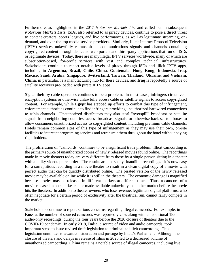Furthermore, as highlighted in the 2017 *Notorious Markets List* and called out in subsequent *Notorious Markets Lists*, ISDs, also referred to as piracy devices, continue to pose a direct threat to content creators, sports leagues, and live performances, as well as legitimate streaming, ondemand, and over-the-top media service providers. Similarly, illicit Internet Protocol Television (IPTV) services unlawfully retransmit telecommunications signals and channels containing copyrighted content through dedicated web portals and third-party applications that run on ISDs or legitimate devices. Today, there are many illegal IPTV services worldwide, many of which are subscription-based, for-profit services with vast and complex technical infrastructures. Stakeholders continue to report notable levels of piracy through ISDs and illicit IPTV apps, including in **Argentina**, **Brazil**, **Chile**, **China**, **Guatemala**, **Hong Kong**, **Indonesia**, **Iraq**, **Mexico**, **Saudi Arabia**, **Singapore**, **Switzerland**, **Taiwan**, **Thailand**, **Ukraine**, and **Vietnam**. **China**, in particular, is a manufacturing hub for these devices, and **Iraq** is reportedly a source of satellite receivers pre-loaded with pirate IPTV apps.

Signal theft by cable operators continues to be a problem. In most cases, infringers circumvent encryption systems or otherwise unlawfully access cable or satellite signals to access copyrighted content. For example, while **Egypt** has stepped up efforts to combat this type of infringement, enforcement authorities continue to find infringers providing unauthorized hardwired connections to cable channels. Unauthorized distributors may also steal "overspill" broadcast or satellite signals from neighboring countries, access broadcast signals, or otherwise hack set-top boxes to allow consumers unauthorized access to copyrighted content, including premium cable channels. Hotels remain common sites of this type of infringement as they may use their own, on-site facilities to intercept programing services and retransmit them throughout the hotel without paying right holders.

The proliferation of "camcords" continues to be a significant trade problem. Illicit camcording is the primary source of unauthorized copies of newly released movies found online. The recordings made in movie theaters today are very different from those by a single person sitting in a theater with a bulky videotape recorder. The results are not shaky, inaudible recordings. It is now easy for a surreptitious recording in a movie theater to result in a clean digital copy of a movie with perfect audio that can be quickly distributed online. The pirated version of the newly released movie may be available online while it is still in the theaters. The economic damage is magnified because movies may be released in different markets at different times. Thus, a camcord of a movie released in one market can be made available unlawfully in another market before the movie hits the theaters. In addition to theater owners who lose revenue, legitimate digital platforms, who often negotiate for a certain period of exclusivity after the theatrical run, cannot fairly compete in the market.

Stakeholders continue to report serious concerns regarding illegal camcords. For example, in **Russia**, the number of sourced camcords was reportedly 245, along with an additional 185 audio-only recordings, during the four years before the 2020 closure of theaters due to the COVID-19 pandemic. In early 2019, **India**, a source of video and audio camcords, took important steps to issue revised draft legislation to criminalize illicit camcording. This legislation continues to await consideration and passage by India's Parliament. Although the closure of theaters and delays in release of films in 2020 led to a decreased volume of unauthorized camcording, **China** remains a notable source of illegal camcords, including live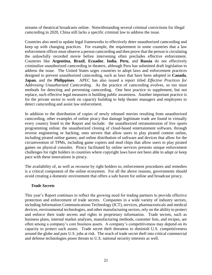streams of theatrical broadcasts online. Notwithstanding several criminal convictions for illegal camcording in 2020, China still lacks a specific criminal law to address the issue.

Countries also need to update legal frameworks to effectively deter unauthorized camcording and keep up with changing practices. For example, the requirement in some countries that a law enforcement officer must observe a person camcording and then prove that the person is circulating the unlawfully recorded movie before intervening often precludes effective enforcement. Countries like **Argentina**, **Brazil**, **Ecuador**, **India**, **Peru**, and **Russia** do not effectively criminalize unauthorized camcording in theaters, although Peru has submitted draft legislation to address the issue. The United States urges countries to adopt laws and enforcement practices designed to prevent unauthorized camcording, such as laws that have been adopted in **Canada**, **Japan**, and the **Philippines**. APEC has also issued a report titled *Effective Practices for Addressing Unauthorized Camcording*. As the practice of camcording evolves, so too must methods for detecting and preventing camcording. One best practice to supplement, but not replace, such effective legal measures is building public awareness. Another important practice is for the private sector to work on capacity building to help theater managers and employees to detect camcording and assist law enforcement.

In addition to the distribution of copies of newly released movies resulting from unauthorized camcording, other examples of online piracy that damage legitimate trade are found in virtually every country listed in the Report and include: the unauthorized retransmission of live sports programming online; the unauthorized cloning of cloud-based entertainment software, through reverse engineering or hacking, onto servers that allow users to play pirated content online, including pirated online games; and online distribution of software and devices that allow for the circumvention of TPMs, including game copiers and mod chips that allow users to play pirated games on physical consoles. Piracy facilitated by online services presents unique enforcement challenges for right holders in countries where copyright laws have not been able to adapt or keep pace with these innovations in piracy.

The availability of, as well as recourse by right holders to, enforcement procedures and remedies is a critical component of the online ecosystem. For all the above reasons, governments should avoid creating a domestic environment that offers a safe haven for online and broadcast piracy.

# *Trade Secrets*

This year's Report continues to reflect the growing need for trading partners to provide effective protection and enforcement of trade secrets. Companies in a wide variety of industry sectors, including Information Communications Technology (ICT), services, pharmaceuticals and medical devices, environmental technologies, and other manufacturing sectors, rely on the ability to protect and enforce their trade secrets and rights in proprietary information. Trade secrets, such as business plans, internal market analyses, manufacturing methods, customer lists, and recipes, are often among a company's core business assets. A company's competitiveness may depend on its capacity to protect such assets. Trade secret theft threatens to diminish U.S. competitiveness around the globe and puts U.S. jobs at risk. The reach of trade secret theft into critical commercial and defense technologies poses threats to U.S. national security interests as well.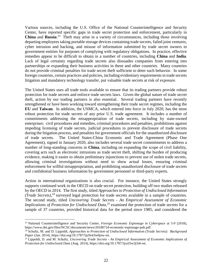Various sources, including the U.S. Office of the National Counterintelligence and Security Center, have reported specific gaps in trade secret protection and enforcement, particularly in **China** and **Russia**. 23 Theft may arise in a variety of circumstances, including those involving departing employees taking portable storage devices containing trade secrets, failed joint ventures, cyber intrusion and hacking, and misuse of information submitted by trade secret owners to government entities for purposes of complying with regulatory obligations. In practice, effective remedies appear to be difficult to obtain in a number of countries, including **China** and **India**. Lack of legal certainty regarding trade secrets also dissuades companies from entering into partnerships or expanding their business activities in these and other countries. Many countries do not provide criminal penalties for trade secret theft sufficient to deter such behavior. In some foreign countries, certain practices and policies, including evidentiary requirements in trade secrets litigation and mandatory technology transfer, put valuable trade secrets at risk of exposure.

The United States uses all trade tools available to ensure that its trading partners provide robust protection for trade secrets and enforce trade secrets laws. Given the global nature of trade secret theft, action by our trading partners is also essential. Several trading partners have recently strengthened or have been working toward strengthening their trade secret regimes, including the **EU** and **Taiwan**. In addition, the USMCA, which entered into force in July 2020, has the most robust protection for trade secrets of any prior U.S. trade agreement. It includes a number of commitments addressing the misappropriation of trade secrets, including by state-owned enterprises: civil procedures and remedies, criminal procedures and penalties, prohibitions against impeding licensing of trade secrets, judicial procedures to prevent disclosure of trade secrets during the litigation process, and penalties for government officials for the unauthorized disclosure of trade secrets. The United States-China Economic and Trade Agreement (Phase One Agreement), signed in January 2020, also includes several trade secret commitments to address a number of long-standing concerns in **China**, including on expanding the scope of civil liability, covering acts such as electronic intrusions as trade secret theft, shifting the burden of producing evidence, making it easier to obtain preliminary injunctions to prevent use of stolen trade secrets, allowing criminal investigations without need to show actual losses, ensuring criminal enforcement for willful misappropriation, and prohibiting unauthorized disclosure of trade secrets and confidential business information by government personnel or third-party experts.

Action in international organizations is also crucial. For instance, the United States strongly supports continued work in the OECD on trade secret protection, building off two studies released by the OECD in 2014. The first study, titled *Approaches to Protection of Undisclosed Information (Trade Secrets)*, <sup>24</sup> surveyed legal protection for trade secrets available in a sample of countries. The second study, titled *Uncovering Trade Secrets - An Empirical Assessment of Economic Implications of Protection for Undisclosed Data*,<sup>25</sup> examined the protection of trade secrets for a sample of 37 countries, provided historical data for the period since 1985, and considered the

<sup>23</sup> National Counterintelligence and Security Center, *Foreign Economic Espionage in Cyberspace* at 5-9 (2018), https://www.dni.gov/files/NCSC/documents/news/20180724-economic-espionage-pub.pdf.

<sup>24</sup> Schultz, M. and D. Lippoldt, *Approaches to Protection of Undisclosed Information (Trade Secrets): Background Paper* (Jan. 2014), https://doi.org/10.1787/5jz9z43w0jnw-en.

<sup>25</sup> Lippoldt, D. and M. Schultz, *Uncovering Trade Secrets - An Empirical Assessment of Economic Implications of Protection for Undisclosed Data* (Aug. 2014), https://doi.org/10.1787/5jxzl5w3j3s6-en.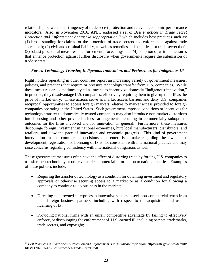relationship between the stringency of trade secret protection and relevant economic performance indicators. Also, in November 2016, APEC endorsed a set of *Best Practices in Trade Secret*  Protection and Enforcement Against Misappropriation,<sup>26</sup> which includes best practices such as: (1) broad standing for claims for the protection of trade secrets and enforcement against trade secret theft; (2) civil and criminal liability, as well as remedies and penalties, for trade secret theft; (3) robust procedural measures in enforcement proceedings; and (4) adoption of written measures that enhance protection against further disclosure when governments require the submission of trade secrets.

#### *Forced Technology Transfer, Indigenous Innovation, and Preferences for Indigenous IP*

Right holders operating in other countries report an increasing variety of government measures, policies, and practices that require or pressure technology transfer from U.S. companies. While these measures are sometimes styled as means to incentivize domestic "indigenous innovation," in practice, they disadvantage U.S. companies, effectively requiring them to give up their IP as the price of market entry. These actions serve as market access barriers and deny U.S. companies reciprocal opportunities to access foreign markets relative to market access provided to foreign companies operating in the United States. Such government-imposed conditions or incentives for technology transfer to domestically owned companies may also introduce non-market distortions into licensing and other private business arrangements, resulting in commercially suboptimal outcomes for the firms involved and for innovation in general. Furthermore, these measures discourage foreign investment in national economies, hurt local manufacturers, distributors, and retailers, and slow the pace of innovation and economic progress. This kind of government intervention in the commercial decisions that enterprises make regarding the ownership, development, registration, or licensing of IP is not consistent with international practice and may raise concerns regarding consistency with international obligations as well.

These government measures often have the effect of distorting trade by forcing U.S. companies to transfer their technology or other valuable commercial information to national entities. Examples of these policies include:

- Requiring the transfer of technology as a condition for obtaining investment and regulatory approvals or otherwise securing access to a market or as a condition for allowing a company to continue to do business in the market;
- Directing state-owned enterprises in innovative sectors to seek non-commercial terms from their foreign business partners, including with respect to the acquisition and use or licensing of IP;
- Providing national firms with an unfair competitive advantage by failing to effectively enforce, or discouraging the enforcement of, U.S.-owned IP, including patents, trademarks, trade secrets, and copyright;

<sup>26</sup> *Best Practices in Trade Secret Protection and Enforcement Against Misappropriation*, https://ustr.gov/sites/default/ files/11202016-US-Best-Practices-Trade-Secrets.pdf.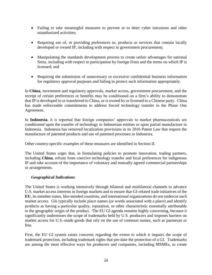- Failing to take meaningful measures to prevent or to deter cyber intrusions and other unauthorized activities;
- Requiring use of, or providing preferences to, products or services that contain locally developed or owned IP, including with respect to government procurement;
- Manipulating the standards development process to create unfair advantages for national firms, including with respect to participation by foreign firms and the terms on which IP is licensed; and
- Requiring the submission of unnecessary or excessive confidential business information for regulatory approval purposes and failing to protect such information appropriately.

In **China**, investment and regulatory approvals, market access, government procurement, and the receipt of certain preferences or benefits may be conditioned on a firm's ability to demonstrate that IP is developed in or transferred to China, or is owned by or licensed to a Chinese party. China has made enforceable commitments to address forced technology transfer in the Phase One Agreement.

In **Indonesia**, it is reported that foreign companies' approvals to market pharmaceuticals are conditioned upon the transfer of technology to Indonesian entities or upon partial manufacture in Indonesia. Indonesia has removed localization provisions in its 2016 Patent Law that require the manufacture of patented products and use of patented processes in Indonesia.

Other country-specific examples of these measures are identified in Section II.

The United States urges that, in formulating policies to promote innovation, trading partners, including **China**, refrain from coercive technology transfer and local preferences for indigenous IP and take account of the importance of voluntary and mutually agreed commercial partnerships or arrangements.

# *Geographical Indications*

The United States is working intensively through bilateral and multilateral channels to advance U.S. market access interests in foreign markets and to ensure that GI-related trade initiatives of the **EU**, its member states, like-minded countries, and international organizations do not undercut such market access. GIs typically include place names (or words associated with a place) and identify products as having a particular quality, reputation, or other characteristic essentially attributable to the geographic origin of the product. The EU GI agenda remains highly concerning, because it significantly undermines the scope of trademarks held by U.S. producers and imposes barriers on market access for U.S.-made goods that rely on the use of common names, such as parmesan or feta.

First, the EU GI system raises concerns regarding the extent to which it impairs the scope of trademark protection, including trademark rights that pre-date the protection of a GI. Trademarks are among the most effective ways for producers and companies, including MSMEs, to create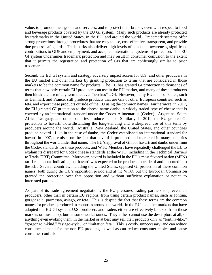value, to promote their goods and services, and to protect their brands, even with respect to food and beverage products covered by the EU GI system. Many such products are already protected by trademarks in the United States, in the EU, and around the world. Trademark systems offer strong protections through procedures that are easy to use, cost-effective, transparent, and provide due process safeguards. Trademarks also deliver high levels of consumer awareness, significant contributions to GDP and employment, and accepted international systems of protection. The EU GI system undermines trademark protection and may result in consumer confusion to the extent that it permits the registration and protection of GIs that are confusingly similar to prior trademarks.

Second, the EU GI system and strategy adversely impact access for U.S. and other producers in the EU market and other markets by granting protection to terms that are considered in those markets to be the common name for products. The EU has granted GI protection to thousands of terms that now only certain EU producers can use in the EU market, and many of these producers then block the use of any term that even "evokes" a GI. However, many EU member states, such as Denmark and France, still produce products that are GIs of other European countries, such as feta, and export these products outside of the EU using the common names. Furthermore, in 2017, the EU granted GI protection to the cheese name danbo, a widely traded type of cheese that is covered by an international standard under the Codex Alimentarius (Codex). Argentina, South Africa, Uruguay, and other countries produce danbo. Similarly, in 2019, the EU granted GI protection to havarti, notwithstanding the long-standing and widespread use of this term by producers around the world. Australia, New Zealand, the United States, and other countries produce havarti. Like in the case of danbo, the Codex established an international standard for havarti in 2007, premised on the fact that havarti is produced and marketed in many countries throughout the world under that name. The EU's approval of GIs for havarti and danbo undermine the Codex standards for these products, and WTO Members have repeatedly challenged the EU to explain its disregard for Codex cheese standards at the WTO, including in the Technical Barriers to Trade (TBT) Committee. Moreover, havarti is included in the EU's most favored nation (MFN) tariff rate quota, indicating that havarti was expected to be produced outside of and imported into the EU. Several countries, including the United States, opposed GI protection of these common names, both during the EU's opposition period and at the WTO, but the European Commission granted the protection over that opposition and without sufficient explanation or notice to interested parties.

As part of its trade agreement negotiations, the EU pressures trading partners to prevent all producers, other than in certain EU regions, from using certain product names, such as fontina, gorgonzola, parmesan, asiago, or feta. This is despite the fact that these terms are the common names for products produced in countries around the world. In the EU and other markets that have adopted the EU GI system, U.S. producers and traders either are effectively blocked from those markets or must adopt burdensome workarounds. They either cannot use the descriptors at all, or anything even evoking them, in the market or at best may sell their products only as "fontina-like," "gorgonzola-kind," "asiago-style," or "imitation feta." This is costly, unnecessary, and can reduce consumer demand for the non-EU products, as well as can reduce consumer choice and cause consumer confusion.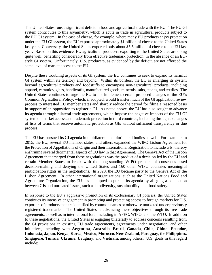The United States runs a significant deficit in food and agricultural trade with the EU. The EU GI system contributes to this asymmetry, which is acute in trade in agricultural products subject to the EU GI system. In the case of cheese, for example, where many EU products enjoy protection under the EU GI system, the EU exported approximately \$1 billion of cheese to the United States last year. Conversely, the United States exported only about \$5.5 million of cheese to the EU last year. Based on this evidence, EU agricultural producers exporting to the United States are doing quite well, benefiting considerably from effective trademark protection, in the absence of an EUstyle GI system. Unfortunately, U.S. producers, as evidenced by the deficit, are not afforded the same level of market access to the EU.

Despite these troubling aspects of its GI system, the EU continues to seek to expand its harmful GI system within its territory and beyond. Within its borders, the EU is enlarging its system beyond agricultural products and foodstuffs to encompass non-agricultural products, including apparel, ceramics, glass, handicrafts, manufactured goods, minerals, salts, stones, and textiles. The United States continues to urge the EU to not implement certain proposed changes to the EU's Common Agricultural Policy, which, if adopted, would transfer much of the GI application review process to interested EU member states and sharply reduce the period for filing a reasoned basis in support of an opposition to register a GI. As noted above, the EU has also sought to advance its agenda through bilateral trade agreements, which impose the negative impacts of the EU GI system on market access and trademark protection in third countries, including through exchanges of lists of terms that receive automatic protection as GIs without sufficient transparency or due process.

The EU has pursued its GI agenda in multilateral and plurilateral bodies as well. For example, in 2015, the EU, several EU member states, and others expanded the WIPO Lisbon Agreement for the Protection of Appellations of Origin and their International Registration to include GIs, thereby enshrining several detrimental aspects of EU law in that Agreement. The Geneva Act of the Lisbon Agreement that emerged from these negotiations was the product of a decision led by the EU and certain Member States to break with the long-standing WIPO practice of consensus-based decision-making and denying the United States and 160 other WIPO countries meaningful participation rights in the negotiations. In 2020, the EU became party to the Geneva Act of the Lisbon Agreement. In other international organizations, such as the United Nations Food and Agriculture Organization, the EU has attempted to pursue its agenda by alleging a connection between GIs and unrelated issues, such as biodiversity, sustainability, and food safety.

In response to the EU's aggressive promotion of its exclusionary GI policies, the United States continues its intensive engagement in promoting and protecting access to foreign markets for U.S. exporters of products that are identified by common names or otherwise marketed under previously registered trademarks. The United States is advancing these objectives through its free trade agreements, as well as in international fora, including in APEC, WIPO, and the WTO. In addition to these negotiations, the United States is engaging bilaterally to address concerns resulting from the GI provisions in existing EU trade agreements, agreements under negotiation, and other initiatives, including with **Argentina**, **Australia**, **Brazil**, **Canada**, **Chile**, **China**, **Ecuador**, **Indonesia**, **Japan**, **Kenya**, **Korea**, **Mexico**, **Morocco**, **New Zealand**, **Paraguay**, the **Philippines**, **Singapore**, **Tunisia**, **Ukraine**, **Uruguay**, and **Vietnam**, among others. U.S. goals in this regard include: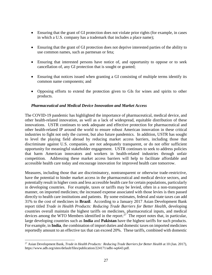- Ensuring that the grant of GI protection does not violate prior rights (for example, in cases in which a U.S. company has a trademark that includes a place name);
- Ensuring that the grant of GI protection does not deprive interested parties of the ability to use common names, such as parmesan or feta;
- Ensuring that interested persons have notice of, and opportunity to oppose or to seek cancellation of, any GI protection that is sought or granted;
- Ensuring that notices issued when granting a GI consisting of multiple terms identify its common name components; and
- Opposing efforts to extend the protection given to GIs for wines and spirits to other products.

#### *Pharmaceutical and Medical Device Innovation and Market Access*

The COVID-19 pandemic has highlighted the importance of pharmaceutical, medical device, and other health-related innovation, as well as a lack of widespread, equitable distribution of these innovations. USTR continues to seek adequate and effective protection for pharmaceutical and other health-related IP around the world to ensure robust American innovation in these critical industries to fight not only the current, but also future pandemics. In addition, USTR has sought to level the playing field abroad by reducing market access barriers, including those that discriminate against U.S. companies, are not adequately transparent, or do not offer sufficient opportunity for meaningful stakeholder engagement. USTR continues to seek to address policies that harm American innovators and workers in health-related industries through unfair competition. Addressing these market access barriers will help to facilitate affordable and accessible health care today and encourage innovation for improved health care tomorrow.

Measures, including those that are discriminatory, nontransparent or otherwise trade-restrictive, have the potential to hinder market access in the pharmaceutical and medical device sectors, and potentially result in higher costs and less accessible health care for certain populations, particularly in developing countries. For example, taxes or tariffs may be levied, often in a non-transparent manner, on imported medicines; the increased expense associated with those levies is then passed directly to health care institutions and patients. By some estimates, federal and state taxes can add 31% to the cost of medicines in **Brazil**. According to a January 2017 Asian Development Bank report titled *Trade in Health Products: Reducing Trade Barriers for Better Health*, developing countries overall maintain the highest tariffs on medicines, pharmaceutical inputs, and medical devices among the WTO Members identified in the report.<sup>27</sup> The report notes that, in particular, large developing countries such as **India** and **Pakistan** have the highest tariffs for such products. For example, in **India**, the combination of import duties and domestic taxes on imported medicines reportedly amount to an effective tax that can exceed 20%. These tariffs, combined with domestic

<sup>&</sup>lt;sup>27</sup> Asian Development Bank, *Trade in Health Products: Reducing Trade Barriers for Better Health* at 10 (Jan. 2017), https://www.adb.org/sites/default/files/publication/224171/adbi-wp643.pdf.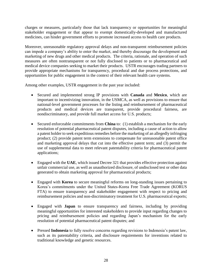charges or measures, particularly those that lack transparency or opportunities for meaningful stakeholder engagement or that appear to exempt domestically-developed and manufactured medicines, can hinder government efforts to promote increased access to health care products.

Moreover, unreasonable regulatory approval delays and non-transparent reimbursement policies can impede a company's ability to enter the market, and thereby discourage the development and marketing of new drugs and other medical products. The criteria, rationale, and operation of such measures are often nontransparent or not fully disclosed to patients or to pharmaceutical and medical device companies seeking to market their products. USTR encourages trading partners to provide appropriate mechanisms for transparency, procedural and due process protections, and opportunities for public engagement in the context of their relevant health care systems.

Among other examples, USTR engagement in the past year included:

- Secured and implemented strong IP provisions with **Canada** and **Mexico**, which are important to incentivizing innovation, in the USMCA, as well as provisions to ensure that national-level government processes for the listing and reimbursement of pharmaceutical products and medical devices are transparent, provide procedural fairness, are nondiscriminatory, and provide full market access for U.S. products;
- Secured enforceable commitments from **China** to: (1) establish a mechanism for the early resolution of potential pharmaceutical patent disputes, including a cause of action to allow a patent holder to seek expeditious remedies before the marketing of an allegedly infringing product; (2) provide patent term extensions to compensate for unreasonable patent office and marketing approval delays that cut into the effective patent term; and (3) permit the use of supplemental data to meet relevant patentability criteria for pharmaceutical patent applications;
- Engaged with the UAE, which issued Decree 321 that provides effective protection against unfair commercial use, as well as unauthorized disclosure, of undisclosed test or other data generated to obtain marketing approval for pharmaceutical products;
- Engaged with **Korea** to secure meaningful reforms on long-standing issues pertaining to Korea's commitments under the United States-Korea Free Trade Agreement (KORUS FTA) to ensure transparency and stakeholder engagement with respect to pricing and reimbursement policies and non-discriminatory treatment for U.S. pharmaceutical exports;
- Engaged with **Japan** to ensure transparency and fairness, including by providing meaningful opportunities for interested stakeholders to provide input regarding changes to pricing and reimbursement policies and regarding Japan's mechanism for the early resolution of potential pharmaceutical patent disputes; and
- Pressed **Indonesia** to fully resolve concerns regarding revisions to Indonesia's patent law, such as its patentability criteria, and disclosure requirements for inventions related to traditional knowledge and genetic resources.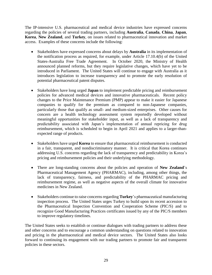The IP-intensive U.S. pharmaceutical and medical device industries have expressed concerns regarding the policies of several trading partners, including **Australia**, **Canada**, **China**, **Japan**, **Korea**, **New Zealand**, and **Turkey**, on issues related to pharmaceutical innovation and market access. Examples of these concerns include the following:

- Stakeholders have expressed concerns about delays by **Australia** in its implementation of the notification process as required, for example, under Article 17.10.4(b) of the United States-Australia Free Trade Agreement. In October 2020, the Ministry of Health announced planned reforms, but they require legislative changes, which have yet to be introduced in Parliament. The United States will continue to engage with Australia as it introduces legislation to increase transparency and to promote the early resolution of potential pharmaceutical patent disputes.
- Stakeholders have long urged **Japan** to implement predictable pricing and reimbursement policies for advanced medical devices and innovative pharmaceuticals. Recent policy changes to the Price Maintenance Premium (PMP) appear to make it easier for Japanese companies to qualify for the premium as compared to non-Japanese companies, particularly those that qualify as small- and medium-sized enterprises. Other causes for concern are a health technology assessment system reportedly developed without meaningful opportunities for stakeholder input, as well as a lack of transparency and predictability associated with Japan's implementation of annual repricing for drug reimbursement, which is scheduled to begin in April 2021 and applies to a larger-thanexpected range of products.
- Stakeholders have urged **Korea** to ensure that pharmaceutical reimbursement is conducted in a fair, transparent, and nondiscriminatory manner. It is critical that Korea continues addressing U.S. concerns regarding the lack of transparency and predictability in Korea's pricing and reimbursement policies and their underlying methodology.
- There are long-standing concerns about the policies and operation of **New Zealand**'s Pharmaceutical Management Agency (PHARMAC), including, among other things, the lack of transparency, fairness, and predictability of the PHARMAC pricing and reimbursement regime, as well as negative aspects of the overall climate for innovative medicines in New Zealand.
- Stakeholders continue to raise concerns regarding **Turkey**'s pharmaceutical manufacturing inspection process. The United States urges Turkey to build upon its recent accession to the Pharmaceutical Inspection Convention and Cooperation Scheme (PIC/S) and to recognize Good Manufacturing Practices certificates issued by any of the PIC/S members to improve regulatory timelines.

The United States seeks to establish or continue dialogues with trading partners to address these and other concerns and to encourage a common understanding on questions related to innovation and pricing in the pharmaceutical and medical device sectors. The United States also looks forward to continuing its engagement with our trading partners to promote fair and transparent policies in these sectors.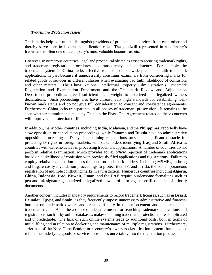#### *Trademark Protection Issues*

Trademarks help consumers distinguish providers of products and services from each other and thereby serve a critical source identification role. The goodwill represented in a company's trademark is often one of a company's most valuable business assets.

However, in numerous countries, legal and procedural obstacles exist to securing trademark rights, and trademark registration procedures lack transparency and consistency. For example, the trademark system in **China** lacks effective tools to combat widespread bad faith trademark applications, in part because it unnecessarily constrains examiners from considering marks for related goods or services in different classes when evaluating bad faith, likelihood of confusion, and other matters. The China National Intellectual Property Administration's Trademark Registration and Examination Department and the Trademark Review and Adjudication Department proceedings give insufficient legal weight to notarized and legalized witness declarations. Such proceedings also have unreasonably high standards for establishing wellknown mark status and do not give full consideration to consent and coexistence agreements. Furthermore, China lacks transparency in all phases of trademark prosecution. It remains to be seen whether commitments made by China in the Phase One Agreement related to these concerns will improve the protection of IP.

In addition, many other countries, including **India**, **Malaysia**, and the **Philippines**, reportedly have slow opposition or cancellation proceedings, while **Panama** and **Russia** have no administrative opposition proceedings. Delays in obtaining registrations present a significant obstacle for protecting IP rights in foreign markets, with stakeholders identifying **Iraq** and **South Africa** as countries with extreme delays in processing trademark applications. A number of countries do not perform relative examination, which provides for *ex officio* rejection of trademark applications based on a likelihood of confusion with previously filed applications and registrations. Failure to employ relative examination places the onus on trademark holders, including MSMEs, to bring and litigate costly invalidation proceedings to protect their IP, and it risks the contemporaneous registration of multiple conflicting marks in a jurisdiction. Numerous countries including **Algeria**, **China**, **Indonesia**, **Iraq**, **Kuwait**, **Oman**, and the **UAE** require burdensome formalities such as pen-and-ink signatures, notarized or legalized powers of attorney, or certified copies of priority documents.

Another concern includes mandatory requirements to record trademark licenses, such as in **Brazil**, **Ecuador**, **Egypt**, and **Spain**, as they frequently impose unnecessary administrative and financial burdens on trademark owners and create difficulty in the enforcement and maintenance of trademark rights. Also, the absence of adequate means for searching trademark applications and registrations, such as by online databases, makes obtaining trademark protection more complicated and unpredictable. The lack of such online systems leads to additional costs, both in terms of initial filing and in relation to docketing and maintenance of multiple registrations. Furthermore, strict use of the Nice Classification or a country's own sub-classification system that does not reflect the underlying goods or services introduces uncertainty into the registration process.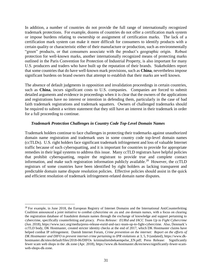In addition, a number of countries do not provide the full range of internationally recognized trademark protections. For example, dozens of countries do not offer a certification mark system or impose burdens relating to ownership or assignment of certification marks. The lack of a certification mark system can make it more difficult for consumers to identify products with a certain quality or characteristic either of their manufacture or production, such as environmentally "green" products, or that consumers associate with the product's geographic origin. Robust protection for well-known marks, another internationally recognized means of protecting marks outlined in the Paris Convention for Protection of Industrial Property, is also important for many U.S. producers and traders who have built up the reputation of their brands. Stakeholders report that some countries that do have well-known mark provisions, such as **China**, nevertheless impose significant burdens on brand owners that attempt to establish that their marks are well known.

The absence of default judgments in opposition and invalidation proceedings in certain countries, such as **China**, incurs significant costs to U.S. companies. Companies are forced to submit detailed arguments and evidence in proceedings when it is clear that the owners of the applications and registrations have no interest or intention in defending them, particularly in the case of bad faith trademark registrations and trademark squatters. Owners of challenged trademarks should be required to submit a written statement that they still have an interest in their trademark in order for a full proceeding to continue.

#### *Trademark Protection Challenges in Country Code Top-Level Domain Names*

Trademark holders continue to face challenges in protecting their trademarks against unauthorized domain name registration and trademark uses in some country code top-level domain names (ccTLDs). U.S. right holders face significant trademark infringement and loss of valuable Internet traffic because of such cybersquatting, and it is important for countries to provide for appropriate remedies in their legal systems to address this issue. Many ccTLD registrars have helpful policies that prohibit cybersquatting, require the registrant to provide true and complete contact information, and make such registration information publicly available.<sup>28</sup> However, the ccTLD registrars of some countries have been identified by right holders as lacking transparent and predictable domain name dispute resolution policies. Effective policies should assist in the quick and efficient resolution of trademark infringement-related domain name disputes.

<sup>&</sup>lt;sup>28</sup> For example, in June 2018, the European Registry of Internet Domains and the International AntiCounterfeiting Coalition announced a joint initiative to combat cybercrime on .eu and .eю domain names, with a focus on clearing the registration database of fraudulent domain names through the exchange of knowledge and support pertaining to cybercrime, specifically counterfeiting and piracy. *Press Release: EURid and IACC Team Up to Fight Cybercrime* (Jun. 2018), https://www.iacc.org/media/press-release-eurid-and-iacc-team-up-to-fight-cybercrime. Also, Denmark's ccTLD body, DK Hostmaster, created stricter identity checks at the end of 2017, which DK Hostmaster claims have helped combat IP infringement. Danish Internet Forum, *Crime prevention on the internet: Report on the efforts of DK Hostmaster and DIFO to prevent internet crime pertaining to IPR violations* at 3, 5, 9 (undated), https://www.dkhostmaster.dk/sites/default/files/2018-06/DIFOs kriminalitetsbekaempelse\_EN.pdf; Press Release: Significantly fewer scam web shops in the .dk zone (Apr. 2018), https://www.dk-hostmaster.dk/en/news/significantly-fewer-scamweb-shops-dk-zone.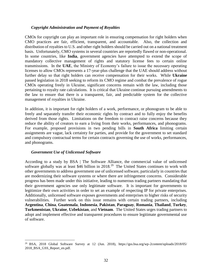#### *Copyright Administration and Payment of Royalties*

CMOs for copyright can play an important role in ensuring compensation for right holders when CMO practices are fair, efficient, transparent, and accountable. Also, the collection and distribution of royalties to U.S. and other right holders should be carried out on a national treatment basis. Unfortunately, CMO systems in several countries are reportedly flawed or non-operational. In some countries, like **India**, government agencies have attempted to extend the scope of mandatory collective management of rights and statutory license fees to certain online transmissions. In the **UAE**, the Ministry of Economy's failure to issue the necessary operating licenses to allow CMOs represents a 17-year-plus challenge that the UAE should address without further delay so that right holders can receive compensation for their works. While **Ukraine** passed legislation in 2018 seeking to reform its CMO regime and combat the prevalence of rogue CMOs operating freely in Ukraine, significant concerns remain with the law, including those pertaining to royalty rate calculations. It is critical that Ukraine continue pursuing amendments to the law to ensure that there is a transparent, fair, and predictable system for the collective management of royalties in Ukraine.

In addition, it is important for right holders of a work, performance, or phonogram to be able to freely and separately transfer their economic rights by contract and to fully enjoy the benefits derived from those rights. Limitations on the freedom to contract raise concerns because they reduce the ability of creators to earn a living from their works, performances, and phonograms. For example, proposed provisions in two pending bills in **South Africa** limiting certain assignments are vague, lack certainty for parties, and provide for the government to set standard and compulsory contractual terms for certain contracts governing the use of works, performances, and phonograms.

# *Government Use of Unlicensed Software*

 $\overline{a}$ 

According to a study by BSA | The Software Alliance, the commercial value of unlicensed software globally was at least \$46 billion in  $2018<sup>29</sup>$  The United States continues to work with other governments to address government use of unlicensed software, particularly in countries that are modernizing their software systems or where there are infringement concerns. Considerable progress has been made under this initiative, leading to numerous trading partners mandating that their government agencies use only legitimate software. It is important for governments to legitimize their own activities in order to set an example of respecting IP for private enterprises. Additionally, unlicensed software exposes governments and enterprises to higher risks of security vulnerabilities. Further work on this issue remains with certain trading partners, including **Argentina**, **China**, **Guatemala**, **Indonesia**, **Pakistan**, **Paraguay**, **Romania**, **Thailand**, **Turkey**, **Turkmenistan**, **Ukraine**, **Uzbekistan**, and **Vietnam**. The United States urges trading partners to adopt and implement effective and transparent procedures to ensure legitimate governmental use of software.

<sup>29</sup> BSA, 2018 Global Software Survey at 12 (Jun. 2018), https://gss.bsa.org/wp-2content/uploads/2018/05/ 2018\_BSA\_GSS\_Report\_en.pdf.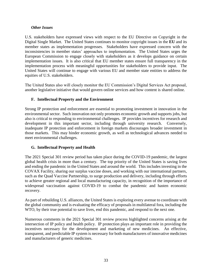### *Other Issues*

U.S. stakeholders have expressed views with respect to the EU Directive on Copyright in the Digital Single Market. The United States continues to monitor copyright issues in the **EU** and its member states as implementation progresses. Stakeholders have expressed concern with the inconsistencies in member states' approaches to implementation. The United States urges the European Commission to engage closely with stakeholders as it develops guidance on certain implementation issues. It is also critical that EU member states ensure full transparency in the implementation process with meaningful opportunities for stakeholders to provide input. The United States will continue to engage with various EU and member state entities to address the equities of U.S. stakeholders.

The United States also will closely monitor the EU Commission's Digital Services Act proposal, another legislative initiative that would govern online services and how content is shared online.

# **F. Intellectual Property and the Environment**

Strong IP protection and enforcement are essential to promoting investment in innovation in the environmental sector. Such innovation not only promotes economic growth and supports jobs, but also is critical to responding to environmental challenges. IP provides incentives for research and development in this important sector, including through university research. Conversely, inadequate IP protection and enforcement in foreign markets discourages broader investment in those markets. This may hinder economic growth, as well as technological advances needed to meet environmental challenges.

# **G. Intellectual Property and Health**

The 2021 Special 301 review period has taken place during the COVID-19 pandemic, the largest global health crisis in more than a century. The top priority of the United States is saving lives and ending the pandemic in the United States and around the world. This includes investing in the COVAX Facility, sharing our surplus vaccine doses, and working with our international partners, such as the Quad Vaccine Partnership, to surge production and delivery, including through efforts to achieve greater regional and local manufacturing capacity, in recognition of the importance of widespread vaccination against COVID-19 to combat the pandemic and hasten economic recovery.

As part of rebuilding U.S. alliances, the United States is exploring every avenue to coordinate with the global community and is evaluating the efficacy of proposals in multilateral fora, including the WTO, by their true potential to save lives, end this pandemic, and respond to the next one.

Numerous comments in the 2021 Special 301 review process highlighted concerns arising at the intersection of IP policy and health policy. IP protection plays an important role in providing the incentives necessary for the development and marketing of new medicines. An effective, transparent, and predictable IP system is necessary for both manufacturers of innovative medicines and manufacturers of generic medicines.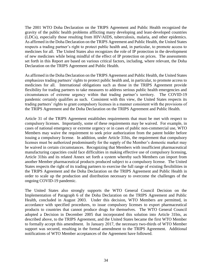The 2001 WTO Doha Declaration on the TRIPS Agreement and Public Health recognized the gravity of the public health problems afflicting many developing and least-developed countries (LDCs), especially those resulting from HIV/AIDS, tuberculosis, malaria, and other epidemics. As affirmed in the Doha Declaration on the TRIPS Agreement and Public Health, the United States respects a trading partner's right to protect public health and, in particular, to promote access to medicines for all. The United States also recognizes the role of IP protection in the development of new medicines while being mindful of the effect of IP protection on prices. The assessments set forth in this Report are based on various critical factors, including, where relevant, the Doha Declaration on the TRIPS Agreement and Public Health.

As affirmed in the Doha Declaration on the TRIPS Agreement and Public Health, the United States emphasizes trading partners' rights to protect public health and, in particular, to promote access to medicines for all. International obligations such as those in the TRIPS Agreement provide flexibility for trading partners to take measures to address serious public health emergencies and circumstances of extreme urgency within that trading partner's territory. The COVID-19 pandemic certainly qualifies as such. Consistent with this view, the United States respects its trading partners' rights to grant compulsory licenses in a manner consistent with the provisions of the TRIPS Agreement and the Doha Declaration on the TRIPS Agreement and Public Health.

Article 31 of the TRIPS Agreement establishes requirements that must be met with respect to compulsory licenses. Importantly, some of these requirements may be waived. For example, in cases of national emergency or extreme urgency or in cases of public non-commercial use, WTO Members may waive the requirement to seek prior authorization from the patent holder before issuing a compulsory license. In addition, under Article 31bis, the requirement that compulsory licenses must be authorized predominantly for the supply of the Member's domestic market may be waived in certain circumstances. Recognizing that Members with insufficient pharmaceutical manufacturing capacities could face difficulties in making effective use of compulsory licensing, Article 31bis and its related Annex set forth a system whereby such Members can import from another Member pharmaceutical products produced subject to a compulsory license. The United States respects the right of its trading partners to exercise the full range of existing flexibilities in the TRIPS Agreement and the Doha Declaration on the TRIPS Agreement and Public Health in order to scale up the production and distribution necessary to overcome the challenges of the ongoing COVID-19 pandemic.

The United States also strongly supports the WTO General Council Decision on the Implementation of Paragraph 6 of the Doha Declaration on the TRIPS Agreement and Public Health, concluded in August 2003. Under this decision, WTO Members are permitted, in accordance with specified procedures, to issue compulsory licenses to export pharmaceutical products to countries that cannot produce drugs for themselves. The WTO General Council adopted a Decision in December 2005 that incorporated this solution into Article 31bis, as described above, to the TRIPS Agreement, and the United States became the first WTO Member to formally accept this amendment. In January 2017, the necessary two-thirds of WTO Member support was secured, resulting in the formal amendment to the TRIPS Agreement. Additional notifications of WTO Member acceptances of the Agreement have followed.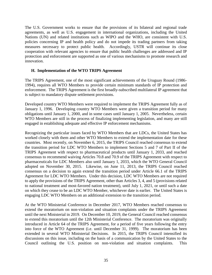The U.S. Government works to ensure that the provisions of its bilateral and regional trade agreements, as well as U.S. engagement in international organizations, including the United Nations (UN) and related institutions such as WIPO and the WHO, are consistent with U.S. policies concerning IP and health policy and do not impede its trading partners from taking measures necessary to protect public health. Accordingly, USTR will continue its close cooperation with relevant agencies to ensure that public health challenges are addressed and IP protection and enforcement are supported as one of various mechanisms to promote research and innovation.

### **H. Implementation of the WTO TRIPS Agreement**

The TRIPS Agreement, one of the most significant achievements of the Uruguay Round (1986- 1994), requires all WTO Members to provide certain minimum standards of IP protection and enforcement. The TRIPS Agreement is the first broadly-subscribed multilateral IP agreement that is subject to mandatory dispute settlement provisions.

Developed country WTO Members were required to implement the TRIPS Agreement fully as of January 1, 1996. Developing country WTO Members were given a transition period for many obligations until January 1, 2000, and in some cases until January 1, 2005. Nevertheless, certain WTO Members are still in the process of finalizing implementing legislation, and many are still engaged in establishing adequate and effective IP enforcement mechanisms.

Recognizing the particular issues faced by WTO Members that are LDCs, the United States has worked closely with them and other WTO Members to extend the implementation date for these countries. Most recently, on November 6, 2015, the TRIPS Council reached consensus to extend the transition period for LDC WTO Members to implement Sections 5 and 7 of Part II of the TRIPS Agreement with respect to pharmaceutical products until January 1, 2033, and reached consensus to recommend waiving Articles 70.8 and 70.9 of the TRIPS Agreement with respect to pharmaceuticals for LDC Members also until January 1, 2033, which the WTO General Council adopted on November 30, 2015. Likewise, on June 11, 2013, the TRIPS Council reached consensus on a decision to again extend the transition period under Article 66.1 of the TRIPS Agreement for LDC WTO Members. Under this decision, LDC WTO Members are not required to apply the provisions of the TRIPS Agreement, other than Articles 3, 4, and 5 (provisions related to national treatment and most-favored nation treatment), until July 1, 2021, or until such a date on which they cease to be an LDC WTO Member, whichever date is earlier. The United States is engaging LDC WTO Members on an additional extension to the transition period.

At the WTO Ministerial Conference in December 2017, WTO Members reached consensus to extend the moratorium on non-violation and situation complaints under the TRIPS Agreement until the next Ministerial in 2019. On December 10, 2019, the General Council reached consensus to extend this moratorium until the 12th Ministerial Conference. The moratorium was originally introduced in Article 64 of the TRIPS Agreement, for a period of five years following the entry into force of the WTO Agreement (i.e. until December 31, 1999). The moratorium has been extended in several WTO Ministerial Decisions. In 2015, the TRIPS Council intensified its discussions on this issue, including on the basis of a communication by the United States to the Council outlining the U.S. position on non-violation and situation complaints. This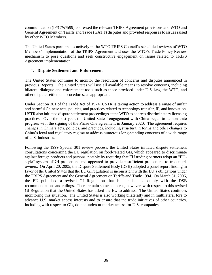communication (IP/C/W/599) addressed the relevant TRIPS Agreement provisions and WTO and General Agreement on Tariffs and Trade (GATT) disputes and provided responses to issues raised by other WTO Members.

The United States participates actively in the WTO TRIPS Council's scheduled reviews of WTO Members' implementation of the TRIPS Agreement and uses the WTO's Trade Policy Review mechanism to pose questions and seek constructive engagement on issues related to TRIPS Agreement implementation.

# **I. Dispute Settlement and Enforcement**

The United States continues to monitor the resolution of concerns and disputes announced in previous Reports. The United States will use all available means to resolve concerns, including bilateral dialogue and enforcement tools such as those provided under U.S. law, the WTO, and other dispute settlement procedures, as appropriate.

Under Section 301 of the Trade Act of 1974, USTR is taking action to address a range of unfair and harmful Chinese acts, policies, and practices related to technology transfer, IP, and innovation. USTR also initiated dispute settlement proceedings at the WTO to address discriminatory licensing practices. Over the past year, the United States' engagement with China began to demonstrate progress with the signing of the Phase One agreement in January 2020. The agreement requires changes in China's acts, policies, and practices, including structural reforms and other changes to China's legal and regulatory regime to address numerous long-standing concerns of a wide range of U.S. industries.

Following the 1999 Special 301 review process, the United States initiated dispute settlement consultations concerning the EU regulation on food-related GIs, which appeared to discriminate against foreign products and persons, notably by requiring that EU trading partners adopt an "EUstyle" system of GI protection, and appeared to provide insufficient protections to trademark owners. On April 20, 2005, the Dispute Settlement Body (DSB) adopted a panel report finding in favor of the United States that the EU GI regulation is inconsistent with the EU's obligations under the TRIPS Agreement and the General Agreement on Tariffs and Trade 1994. On March 31, 2006, the EU published a revised GI Regulation that is intended to comply with the DSB recommendations and rulings. There remain some concerns, however, with respect to this revised GI Regulation that the United States has asked the EU to address. The United States continues monitoring this situation. The United States is also working bilaterally and in multilateral fora to advance U.S. market access interests and to ensure that the trade initiatives of other countries, including with respect to GIs, do not undercut market access for U.S. companies.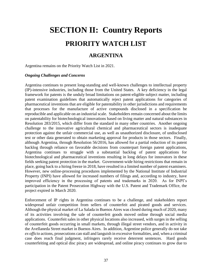# **SECTION II: Country Reports PRIORITY WATCH LIST**

# **ARGENTINA**

Argentina remains on the Priority Watch List in 2021.

#### *Ongoing Challenges and Concerns*

Argentina continues to present long-standing and well-known challenges to intellectual property (IP)-intensive industries, including those from the United States. A key deficiency in the legal framework for patents is the unduly broad limitations on patent-eligible subject matter, including patent examination guidelines that automatically reject patent applications for categories of pharmaceutical inventions that are eligible for patentability in other jurisdictions and requirements that processes for the manufacture of active compounds disclosed in a specification be reproducible and applicable on an industrial scale. Stakeholders remain concerned about the limits on patentability for biotechnological innovations based on living matter and natural substances in Resolution 283/2015, which differ from the standard in many other countries. Another ongoing challenge to the innovative agricultural chemical and pharmaceutical sectors is inadequate protection against the unfair commercial use, as well as unauthorized disclosure, of undisclosed test or other data generated to obtain marketing approval for products in those sectors. Finally, although Argentina, through Resolution 56/2016, has allowed for a partial reduction of its patent backlog through reliance on favorable decisions from counterpart foreign patent applications, Argentina continues to struggle with a substantial backlog of patent applications for biotechnological and pharmaceutical inventions resulting in long delays for innovators in these fields seeking patent protection in the market. Government-wide hiring restrictions that remain in place, going back to a hiring freeze in 2018, have resulted in a limited number of patent examiners. However, new online-processing procedures implemented by the National Institute of Industrial Property (INPI) have allowed for increased numbers of filings and, according to industry, have improved efficiency in the processing of patents and trademarks in 2020. As for INPI's participation in the Patent Prosecution Highway with the U.S. Patent and Trademark Office, the project expired in March 2020.

Enforcement of IP rights in Argentina continues to be a challenge, and stakeholders report widespread unfair competition from sellers of counterfeit and pirated goods and services. Although the physical market of La Salada in Buenos Aires was closed during much of 2020, many of its activities involving the sale of counterfeit goods moved online through social media applications. Counterfeit sales in other physical locations also increased, with surges in the selling of counterfeit goods occurring in small markets, through illegal street vendors, and in activity in the Avellaneda Street market in Buenos Aires. In addition, Argentine police generally do not take *ex officio* actions, prosecutions can stall and languish in excessive formalities, and, when a criminal case does reach final judgment, infringers rarely receive deterrent sentences. Hard goods counterfeiting and optical disc piracy are widespread, and online piracy continues to grow due to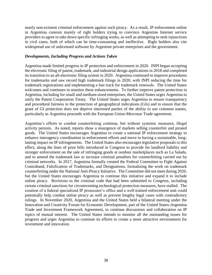nearly non-existent criminal enforcement against such piracy. As a result, IP enforcement online in Argentina consists mainly of right holders trying to convince Argentine Internet service providers to agree to take down specific infringing works, as well as attempting to seek injunctions in civil cases, both of which can be time-consuming and ineffective. Right holders also cite widespread use of unlicensed software by Argentine private enterprises and the government.

#### *Developments, Including Progress and Actions Taken*

Argentina made limited progress in IP protection and enforcement in 2020. INPI began accepting the electronic filing of patent, trademark, and industrial design applications in 2018 and completed its transition to an all-electronic filing system in 2020. Argentina continued to improve procedures for trademarks and saw record high trademark filings in 2020, with INPI reducing the time for trademark registrations and implementing a fast track for trademark renewals. The United States welcomes and continues to monitor these enhancements. To further improve patent protection in Argentina, including for small and medium-sized enterprises, the United States urges Argentina to ratify the Patent Cooperation Treaty. The United States urges Argentina to ensure transparency and procedural fairness in the protection of geographical indications (GIs) and to ensure that the grant of GI protection does not deprive interested parties of the ability to use common names, particularly as Argentina proceeds with the European Union-Mercosur Trade agreement.

Argentina's efforts to combat counterfeiting continue, but without systemic measures, illegal activity persists. As noted, reports show a resurgence of markets selling counterfeit and pirated goods. The United States encourages Argentina to create a national IP enforcement strategy to enhance interagency coordination in enforcement efforts and move to having a sustainable, longlasting impact on IP infringements. The United States also encourages legislative proposals to this effect, along the lines of prior bills introduced in Congress to provide for landlord liability and stronger enforcement on the sale of infringing goods at outdoor marketplaces such as La Salada, and to amend the trademark law to increase criminal penalties for counterfeiting carried out by criminal networks. In 2017, Argentina formally created the Federal Committee to Fight Against Contraband, Falsification of Trademarks, and Designations, formalizing the work on trademark counterfeiting under the National Anti-Piracy Initiative. The Committee did not meet during 2020, but the United States encourages Argentina to continue this initiative and expand it to include online piracy. Revisions to the criminal code that had been submitted to Congress, including certain criminal sanctions for circumventing technological protection measures, have stalled. The creation of a federal specialized IP prosecutor's office and a well-trained enforcement unit could potentially help combat online piracy as well as prevent lengthy legal cases with contradictory rulings. In November 2020, Argentina and the United States held a bilateral meeting under the Innovation and Creativity Forum for Economic Development, part of the United States-Argentina Trade and Investment Framework Agreement, to continue discussions and collaboration on IP topics of mutual interest. The United States intends to monitor all the outstanding issues for progress and urges Argentina to continue its efforts to create a more attractive environment for investment and innovation.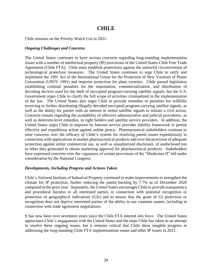# **CHILE**

Chile remains on the Priority Watch List in 2021.

#### *Ongoing Challenges and Concerns*

The United States continues to have serious concerns regarding long-standing implementation issues with a number of intellectual property (IP) provisions of the United States-Chile Free Trade Agreement (Chile FTA). Chile must establish protections against the unlawful circumvention of technological protection measures. The United States continues to urge Chile to ratify and implement the 1991 Act of the International Union for the Protection of New Varieties of Plants Convention (UPOV 1991) and improve protection for plant varieties. Chile passed legislation establishing criminal penalties for the importation, commercialization, and distribution of decoding devices used for the theft of encrypted program-carrying satellite signals, but the U.S. Government urges Chile to clarify the full scope of activities criminalized in the implementation of the law. The United States also urges Chile to provide remedies or penalties for willfully receiving or further distributing illegally decoded encrypted program-carrying satellite signals, as well as the ability for parties with an interest in stolen satellite signals to initiate a civil action. Concerns remain regarding the availability of effective administrative and judicial procedures, as well as deterrent-level remedies, to right holders and satellite service providers. In addition, the United States urges Chile to improve its Internet service provider liability framework to permit effective and expeditious action against online piracy. Pharmaceutical stakeholders continue to raise concerns over the efficacy of Chile's system for resolving patent issues expeditiously in connection with applications to market pharmaceutical products and over the provision of adequate protection against unfair commercial use, as well as unauthorized disclosure, of undisclosed test or other data generated to obtain marketing approval for pharmaceutical products. Stakeholders have expressed concerns over the vagueness of certain provisions of the "Medicines II" bill under consideration by the National Congress.

#### *Developments, Including Progress and Actions Taken*

Chile's National Institute of Industrial Property continued to make improvements to strengthen the climate for IP protection, further reducing the patent backlog by 7.7% as of December 2020 compared to the prior year. Separately, the United States encourages Chile to provide transparency and procedural fairness to all interested parties in connection with potential recognition or protection of geographical indications (GIs) and to ensure that the grant of GI protection or recognition does not deprive interested parties of the ability to use common names, including in connection with trade agreement negotiations.

It has now been over seventeen years since the Chile FTA entered into force. The United States appreciates Chile's engagement with the United States and the steps Chile has taken as an attempt to resolve these ongoing issues, but it remains critical that Chile show tangible progress in addressing the long-standing Chile FTA implementation issues and other IP issues in 2021.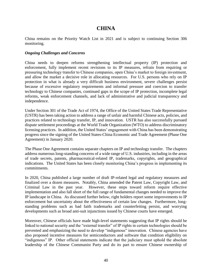# **CHINA**

China remains on the Priority Watch List in 2021 and is subject to continuing Section 306 monitoring.

#### *Ongoing Challenges and Concerns*

China needs to deepen reforms strengthening intellectual property (IP) protection and enforcement, fully implement recent revisions to its IP measures, refrain from requiring or pressuring technology transfer to Chinese companies, open China's market to foreign investment, and allow the market a decisive role in allocating resources. For U.S. persons who rely on IP protection in what is already a very difficult business environment, severe challenges persist because of excessive regulatory requirements and informal pressure and coercion to transfer technology to Chinese companies, continued gaps in the scope of IP protection, incomplete legal reforms, weak enforcement channels, and lack of administrative and judicial transparency and independence.

Under Section 301 of the Trade Act of 1974, the Office of the United States Trade Representative (USTR) has been taking action to address a range of unfair and harmful Chinese acts, policies, and practices related to technology transfer, IP, and innovation. USTR has also successfully pursued dispute settlement proceedings at the World Trade Organization (WTO) to address discriminatory licensing practices. In addition, the United States' engagement with China has been demonstrating progress since the signing of the United States-China Economic and Trade Agreement (Phase One Agreement) in January 2020.

The Phase One Agreement contains separate chapters on IP and technology transfer. The chapters address numerous long-standing concerns of a wide range of U.S. industries, including in the areas of trade secrets, patents, pharmaceutical-related IP, trademarks, copyrights, and geographical indications. The United States has been closely monitoring China's progress in implementing its commitments.

In 2020, China published a large number of draft IP-related legal and regulatory measures and finalized over a dozen measures. Notably, China amended the Patent Law, Copyright Law, and Criminal Law in the past year. However, these steps toward reform require effective implementation and also fall short of the full range of fundamental changes needed to improve the IP landscape in China. As discussed further below, right holders report some improvements to IP enforcement but uncertainty about the effectiveness of certain law changes. Furthermore, longstanding problems such as bad faith trademarks and counterfeiting persist, and worrying developments such as broad anti-suit injunctions issued by Chinese courts have emerged.

Moreover, Chinese officials have made high-level statements suggesting that IP rights should be linked to national security and the "external transfer" of IP rights in certain technologies should be prevented and emphasizing the need to develop "indigenous" innovation. Chinese agencies have also proposed incentive measures for semiconductors and software that condition eligibility on "indigenous" IP. Other official statements indicate that the judiciary must uphold the absolute leadership of the Chinese Communist Party and do its part to ensure Chinese ownership of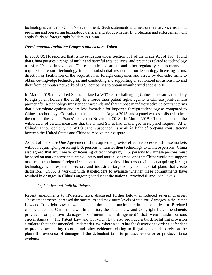technologies critical to China's development. Such statements and measures raise concerns about requiring and pressuring technology transfer and about whether IP protection and enforcement will apply fairly to foreign right holders in China.

#### *Developments, Including Progress and Actions Taken*

In 2018, USTR reported that its investigation under Section 301 of the Trade Act of 1974 found that China pursues a range of unfair and harmful acts, policies, and practices related to technology transfer, IP, and innovation. These include investment and other regulatory requirements that require or pressure technology transfer, substantial restrictions on technology licensing terms, direction or facilitation of the acquisition of foreign companies and assets by domestic firms to obtain cutting-edge technologies, and conducting and supporting unauthorized intrusions into and theft from computer networks of U.S. companies to obtain unauthorized access to IP.

In March 2018, the United States initiated a WTO case challenging Chinese measures that deny foreign patent holders the ability to enforce their patent rights against a Chinese joint-venture partner after a technology transfer contract ends and that impose mandatory adverse contract terms that discriminate against and are less favorable for imported foreign technology as compared to Chinese technology. Consultations took place in August 2018, and a panel was established to hear the case at the United States' request in November 2018. In March 2019, China announced the withdrawal of certain measures that the United States had challenged in its panel request. After China's announcement, the WTO panel suspended its work in light of ongoing consultations between the United States and China to resolve their dispute.

As part of the Phase One Agreement, China agreed to provide effective access to Chinese markets without requiring or pressuring U.S. persons to transfer their technology to Chinese persons. China also agreed that any transfer or licensing of technology by U.S. persons to Chinese persons must be based on market terms that are voluntary and mutually agreed, and that China would not support or direct the outbound foreign direct investment activities of its persons aimed at acquiring foreign technology with respect to sectors and industries targeted by its industrial plans that create distortion. USTR is working with stakeholders to evaluate whether these commitments have resulted in changes in China's ongoing conduct at the national, provincial, and local levels.

### *Legislative and Judicial Reforms*

Recent amendments to IP-related laws, discussed further below, introduced several changes. These amendments increased the minimum and maximum levels of statutory damages in the Patent Law and Copyright Law, as well as the minimum and maximum criminal penalties for IP-related crimes under the Criminal Law. In addition, the Patent Law and Copyright Law amendments provided for punitive damages for "intentional infringement" that were "under serious circumstances." The Patent Law and Copyright Law also provided a burden-shifting provision similar to that in the amended Trademark Law, where a court has the discretion to order a defendant to produce accounting records and other evidence relating to illegal sales and to rely on the plaintiff's evidence of damages if the defendant fails to produce evidence or produces false evidence.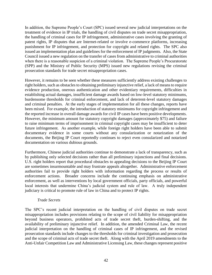In addition, the Supreme People's Court (SPC) issued several new judicial interpretations on the treatment of evidence in IP trials, the handling of civil disputes on trade secret misappropriation, the handling of criminal cases for IP infringement, administrative cases involving the granting of patent rights, IP disputes that are Internet-related or involve e-commerce platforms, increasing punishment for IP infringement, and protection for copyright and related rights. The SPC also issued an implementation plan and guidelines for the enforcement of IP judgments. Also, the State Council issued a new regulation on the transfer of cases from administrative to criminal authorities when there is a reasonable suspicion of a criminal violation. The Supreme People's Procuratorate (SPP) and the Ministry of Public Security (MPS) issued new regulations revising the criminal prosecution standards for trade secret misappropriation cases.

However, it remains to be seen whether these measures sufficiently address existing challenges to right holders, such as obstacles to obtaining preliminary injunctive relief, a lack of means to require evidence production, onerous authentication and other evidentiary requirements, difficulties in establishing actual damages, insufficient damage awards based on low-level statutory minimums, burdensome thresholds for criminal enforcement, and lack of deterrent-level statutory damages and criminal penalties. At the early stages of implementation for all these changes, reports have been mixed. For example, the introduction of statutory minimums for copyright infringement and the reported increase in overall damage awards for civil IP cases have been positive developments. However, the minimum amount for statutory copyright damages (approximately \$75) and failure to raise minimum terms of imprisonment in criminal copyright cases may be insufficient to deter future infringement. As another example, while foreign right holders have been able to submit documentary evidence in some courts without any consularization or notarization of the documents, the Beijing IP Court reportedly continues to reject even consularized and notarized documentation on various dubious grounds.

Furthermore, Chinese judicial authorities continue to demonstrate a lack of transparency, such as by publishing only selected decisions rather than all preliminary injunctions and final decisions. U.S. right holders report that procedural obstacles to appealing decisions to the Beijing IP Court are sometimes insurmountable and may frustrate appeals altogether. Administrative enforcement authorities fail to provide right holders with information regarding the process or results of enforcement actions. Broader concerns include the continuing emphasis on administrative enforcement, as well as interventions by local government officials, party officials, and powerful local interests that undermine China's judicial system and rule of law. A truly independent judiciary is critical to promote rule of law in China and to protect IP rights.

#### *Trade Secrets*

The SPC's recent judicial interpretation on the handling of civil disputes on trade secret misappropriation includes provisions relating to the scope of civil liability for misappropriation beyond business operators, prohibited acts of trade secret theft, burden-shifting, and the availability of preliminary injunctive relief. In addition, the amended Criminal Law, the recent judicial interpretation on the handling of criminal cases of IP infringement, and the revised prosecution standards include changes to the thresholds for criminal investigation and prosecution and the scope of criminal acts of trade secret theft. Along with the April 2019 amendments to the Anti-Unfair Competition Law and Administrative Licensing Law, these changes represent positive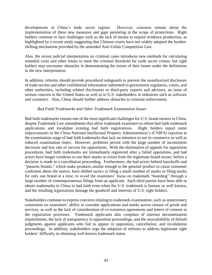developments in China's trade secret regime. However, concerns remain about the implementation of these new measures and gaps persisting in the scope of protections. Right holders continue to face challenges such as the lack of means to require evidence production, as highlighted by a recent study suggesting that Chinese courts have not widely adopted the burdenshifting mechanism provided by the amended Anti-Unfair Competition Law.

Also, the recent judicial interpretation on criminal cases introduces new methods for calculating remedial costs and other losses to meet the criminal threshold for trade secret crimes, but right holders may encounter obstacles in demonstrating the extent of their losses under the definitions in the new interpretation.

In addition, reforms should provide procedural safeguards to prevent the unauthorized disclosure of trade secrets and other confidential information submitted to government regulators, courts, and other authorities, including related disclosures to third-party experts and advisors, an issue of serious concern to the United States as well as to U.S. stakeholders in industries such as software and cosmetics. Also, China should further address obstacles to criminal enforcement.

#### *Bad Faith Trademarks and Other Trademark Examination Issues*

Bad faith trademarks remain one of the most significant challenges for U.S. brand owners in China, despite Trademark Law amendments that allow trademark examiners to refuse bad faith trademark applications and invalidate existing bad faith registrations. Right holders report some improvements in the China National Intellectual Property Administration's (CNIPA) rejection at the examination stage of bad faith trademarks that lack an intention to use in commerce as well as reduced examination times. However, problems persist with the large number of inconsistent decisions and low rate of success for oppositions. With the elimination of appeals for opposition procedures, bad faith trademarks are immediately registered after a failed opposition, and bad actors have longer windows to use their marks or extort from the legitimate brand owner, before a decision is made in a cancellation proceeding. Furthermore, the bad actors behind knockoffs and "parasite brands," which make products similar enough to the genuine product to cause consumer confusion about the source, have shifted tactics to filing a small number of marks or filing marks for only one brand at a time, to avoid the examiners' focus on trademark "hoarding" through a large number of contemporaneous filings from an applicant. Such third parties have been able to obtain trademarks in China in bad faith even when the U.S. trademark is famous or well known, and the resulting registrations damage the goodwill and interests of U.S. right holders.

Stakeholders continue to express concerns relating to trademark examination, such as unnecessary constraints on examiners' ability to consider applications and marks across classes of goods and services, as well as the lack of consideration of co-existence agreements and letters of consent in the registration processes. Trademark applicants also complain of onerous documentation requirements, the lack of transparency in opposition proceedings, and the unavailability of default judgments against applicants who fail to appear in opposition, cancellation, and invalidation proceedings. In addition, stakeholders urge the adoption of reforms to address legitimate right holders' difficulty in obtaining well-known trademark status.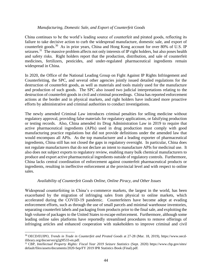#### *Manufacturing, Domestic Sale, and Export of Counterfeit Goods*

China continues to be the world's leading source of counterfeit and pirated goods, reflecting its failure to take decisive action to curb the widespread manufacture, domestic sale, and export of counterfeit goods.<sup>30</sup> As in prior years, China and Hong Kong account for over 80% of U.S. IP seizures.<sup>31</sup> The massive problem affects not only interests of IP right holders, but also poses health and safety risks. Right holders report that the production, distribution, and sale of counterfeit medicines, fertilizers, pesticides, and under-regulated pharmaceutical ingredients remain widespread in China.

In 2020, the Office of the National Leading Group on Fight Against IP Rights Infringement and Counterfeiting, the SPC, and several other agencies jointly issued detailed regulations for the destruction of counterfeit goods, as well as materials and tools mainly used for the manufacture and production of such goods. The SPC also issued two judicial interpretations relating to the destruction of counterfeit goods in civil and criminal proceedings. China has reported enforcement actions at the border and in physical markets, and right holders have indicated more proactive efforts by administrative and criminal authorities to conduct investigations.

The newly amended Criminal Law introduces criminal penalties for selling medicine without regulatory approval, providing false materials for regulatory applications, or falsifying production or testing records. Also, China amended its Drug Administration Law in 2019 to require that active pharmaceutical ingredients (APIs) used in drug production must comply with good manufacturing practice regulations but did not provide definitions under the amended law that would encompass all APIs. As the top manufacturer and a leading exporter of pharmaceutical ingredients, China still has not closed the gaps in regulatory oversight. In particular, China does not regulate manufacturers that do not declare an intent to manufacture APIs for medicinal use. It also does not subject exports to regulatory review, enabling many bulk chemical manufacturers to produce and export active pharmaceutical ingredients outside of regulatory controls. Furthermore, China lacks central coordination of enforcement against counterfeit pharmaceutical products or ingredients, resulting in ineffective enforcement at the provincial level and with respect to online sales.

#### *Availability of Counterfeit Goods Online, Online Piracy, and Other Issues*

Widespread counterfeiting in China's e-commerce markets, the largest in the world, has been exacerbated by the migration of infringing sales from physical to online markets, which accelerated during the COVID-19 pandemic. Counterfeiters have become adept at evading enforcement efforts, such as through the use of small parcels and minimal warehouse inventories, separating counterfeit labels and packaging from products prior to the final sale, and exploiting the high volume of packages to the United States to escape enforcement. Furthermore, although some leading online sales platforms have reportedly streamlined procedures to remove offerings of infringing articles and enhanced cooperation with stakeholders to improve criminal and civil

 $\overline{a}$ 

<sup>30</sup> OECD/EUIPO, *Trends in Trade in Counterfeit and Pirated Goods* at 27-28 (Mar. 18, 2019), https://www.oecdilibrary.org/docserver/g2g9f533-en.pdf.

<sup>31</sup> CBP, *Intellectual Property Rights: Fiscal Year 2019 Seizure Statistics* (Sept. 2020) https://www.cbp.gov/sites/ default/files/assets/documents/2020-Sep/FY 2019 IPR Statistics Book (Final).pdf.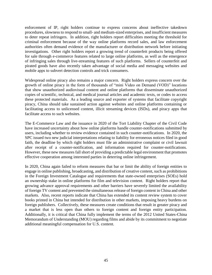enforcement of IP, right holders continue to express concerns about ineffective takedown procedures, slowness to respond to small- and medium-sized enterprises, and insufficient measures to deter repeat infringers. In addition, right holders report difficulties meeting the threshold for criminal enforcement because of the way online platforms record sales, and law enforcement authorities often demand evidence of the manufacturer or distribution network before initiating investigations. Other right holders report a growing trend of counterfeit products being offered for sale through e-commerce features related to large online platforms, as well as the emergence of infringing sales through live-streaming features of such platforms. Sellers of counterfeit and pirated goods have also recently taken advantage of social media and messaging websites and mobile apps to subvert detection controls and trick consumers.

Widespread online piracy also remains a major concern. Right holders express concern over the growth of online piracy in the form of thousands of "mini Video on Demand (VOD)" locations that show unauthorized audiovisual content and online platforms that disseminate unauthorized copies of scientific, technical, and medical journal articles and academic texts, or codes to access these protected materials. As a leading source and exporter of systems that facilitate copyright piracy, China should take sustained action against websites and online platforms containing or facilitating access to unlicensed content, illicit streaming devices (ISDs), and piracy apps that facilitate access to such websites.

The E-Commerce Law and the issuance in 2020 of the Tort Liability Chapter of the Civil Code have increased uncertainty about how online platforms handle counter-notifications submitted by users, including whether to review evidence contained in such counter-notifications. In 2020, the SPC issued two new judicial interpretations relating to liability for erroneous notices filed in good faith, the deadline by which right holders must file an administrative complaint or civil lawsuit after receipt of a counter-notification, and information required for counter-notifications. However, these new measures fall short of providing a predictable legal environment that promotes effective cooperation among interested parties in deterring online infringement.

In 2020, China again failed to reform measures that bar or limit the ability of foreign entities to engage in online publishing, broadcasting, and distribution of creative content, such as prohibitions in the Foreign Investment Catalogue and requirements that state-owned enterprises (SOEs) hold an ownership stake in online platforms for film and television content. Right holders report that growing advance approval requirements and other barriers have severely limited the availability of foreign TV content and prevented the simultaneous release of foreign content in China and other markets. Also, recent reports indicate that China has extended its content review system to cover books printed in China but intended for distribution in other markets, imposing heavy burdens on foreign publishers. Collectively, these measures create conditions that result in greater piracy and a market that is less open than others to foreign content and foreign entity participation. Additionally, it is critical that China fully implement the terms of the 2012 United States-China Memorandum of Understanding (MOU) regarding films and abide by its commitment to negotiate additional meaningful compensation for U.S. content.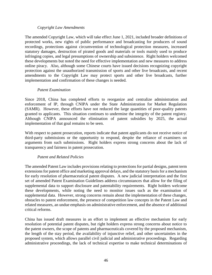#### *Copyright Law Amendments*

The amended Copyright Law, which will take effect June 1, 2021, included broader definitions of protected works, new rights of public performance and broadcasting for producers of sound recordings, protections against circumvention of technological protection measures, increased statutory damages, destruction of pirated goods and materials or tools mainly used to produce infringing copies, and legal presumptions of ownership and subsistence. Right holders welcomed these developments but noted the need for effective implementation and new measures to address online piracy. Also, although some Chinese courts have issued decisions recognizing copyright protection against the unauthorized transmission of sports and other live broadcasts, and recent amendments to the Copyright Law may protect sports and other live broadcasts, further implementation and confirmation of these changes is needed.

#### *Patent Examination*

Since 2018, China has completed efforts to reorganize and centralize administration and enforcement of IP, through CNIPA under the State Administration for Market Regulation (SAMR). However, these efforts have not reduced the large quantities of poor-quality patents granted to applicants. This situation continues to undermine the integrity of the patent registry. Although CNIPA announced the elimination of patent subsidies by 2025, the actual implementation of that goal remains to be seen.

With respect to patent prosecution, reports indicate that patent applicants do not receive notice of third-party submissions or the opportunity to respond, despite the reliance of examiners on arguments from such submissions. Right holders express strong concerns about the lack of transparency and fairness in patent prosecution.

#### *Patent and Related Policies*

The amended Patent Law includes provisions relating to protections for partial designs, patent term extensions for patent office and marketing approval delays, and the statutory basis for a mechanism for early resolution of pharmaceutical patent disputes. A new judicial interpretation and the first set of amended Patent Examination Guidelines address circumstances that allow for the filing of supplemental data to support disclosure and patentability requirements. Right holders welcome these developments, while noting the need to monitor issues such as the examination of supplemental data. However, strong concerns remain about the implementation of these changes, obstacles to patent enforcement, the presence of competition law concepts in the Patent Law and related measures, an undue emphasis on administrative enforcement, and the absence of additional critical reforms.

China has issued draft measures in an effort to implement an effective mechanism for early resolution of potential patent disputes, but right holders express strong concerns about notice to the patent owners, the scope of patents and pharmaceuticals covered by the proposed mechanism, the length of the stay period, the availability of injunctive relief, and other uncertainties in the proposed system, which allows parallel civil judicial and administrative proceedings. Regarding administrative proceedings, the lack of technical expertise to make technical determinations of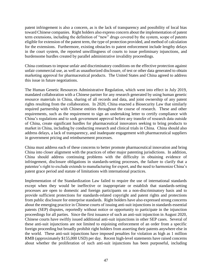patent infringement is also a concern, as is the lack of transparency and possibility of local bias toward Chinese companies. Right holders also express concern about the implementation of patent term extensions, including the definition of "new" drugs covered by the system, scope of patents eligible for extension of the patent term, the type of protection provided, and method of calculation for the extensions. Furthermore, existing obstacles to patent enforcement include lengthy delays in the court system, the reported unwillingness of courts to issue preliminary injunctions, and burdensome hurdles created by parallel administrative invalidity proceedings.

China continues to impose unfair and discriminatory conditions on the effective protection against unfair commercial use, as well as unauthorized disclosure, of test or other data generated to obtain marketing approval for pharmaceutical products. The United States and China agreed to address this issue in future negotiations.

The Human Genetic Resources Administrative Regulation, which went into effect in July 2019, mandated collaboration with a Chinese partner for any research generated by using human genetic resource materials in China, sharing of all records and data, and joint ownership of any patent rights resulting from the collaboration. In 2020, China enacted a Biosecurity Law that similarly required partnership with Chinese entities throughout the course of research. These and other requirements, such as the requirement to sign an undertaking letter to certify compliance with China's regulations and to seek government approval before any transfer of research data outside of China, create significant hurdles for pharmaceutical innovators seeking to bring products to market in China, including by conducting research and clinical trials in China. China should also address delays, a lack of transparency, and inadequate engagement with pharmaceutical suppliers in government pricing and reimbursement processes.

China must address each of these concerns to better promote pharmaceutical innovation and bring China into closer alignment with the practices of other major patenting jurisdictions. In addition, China should address continuing problems with the difficulty in obtaining evidence of infringement, disclosure obligations in standards-setting processes, the failure to clarify that a patentee's right to exclude extends to manufacturing for export, and the need to harmonize China's patent grace period and statute of limitations with international practices.

Implementation of the Standardization Law failed to require the use of international standards except when they would be ineffective or inappropriate or establish that standards-setting processes are open to domestic and foreign participants on a non-discriminatory basis and to provide sufficient protections for standards-related copyright and patent rights and protections from public disclosure for enterprise standards. Right holders have also expressed strong concerns about the emerging practice in Chinese courts of issuing anti-suit injunctions in standards essential patents (SEP) disputes, reportedly without notice or opportunity to participate in the injunction proceedings for all parties. Since the first issuance of such an anti-suit injunction in August 2020, Chinese courts have swiftly issued additional anti-suit injunctions in other SEP cases. Several of these anti-suit injunctions are not limited to enjoining enforcement of an order from a specific foreign proceeding but broadly prohibit right holders from asserting their patents anywhere else in the world. These anti-suit injunctions have imposed penalties for violation as high as 1 million RMB (approximately \$155,000 USD) per day. Recent high-level statements have raised concerns about whether the proliferation of such anti-suit injunctions has been purposeful, including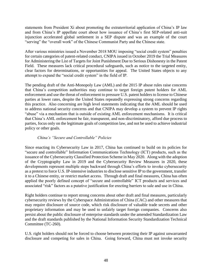statements from President Xi about promoting the extraterritorial application of China's IP law and from China's IP appellate court about how issuance of China's first SEP-related anti-suit injunction accelerated global settlement in a SEP dispute and was an example of the court "serving" the "overall work" of the Chinese Communist Party and the Chinese state.

After various ministries issued a November 2018 MOU imposing "social credit system" penalties for certain categories of patent-related conduct, CNIPA issued in October 2019 the Trial Measures for Administering the List of Targets for Joint Punishment Due to Serious Dishonesty in the Patent Field. These measures lack critical procedural safeguards, such as notice to the targeted entity, clear factors for determinations, or opportunities for appeal. The United States objects to any attempt to expand the "social credit system" in the field of IP.

The pending draft of the Anti-Monopoly Law (AML) and the 2015 IP abuse rules raise concerns that China's competition authorities may continue to target foreign patent holders for AML enforcement and use the threat of enforcement to pressure U.S. patent holders to license to Chinese parties at lower rates, despite the United States repeatedly expressing strong concerns regarding this practice. Also concerning are high level statements indicating that the AML should be used to address national security concerns and that CNIPA may develop a system to prevent IP rights "abuse" via a mechanism that is outside of existing AML enforcement mechanisms. It is critical that China's AML enforcement be fair, transparent, and non-discriminatory, afford due process to parties, focus only on the legitimate goals of competition law, and not be used to achieve industrial policy or other goals.

#### *China's "Secure and Controllable" Policies*

Since enacting its Cybersecurity Law in 2017, China has continued to build on its policies for "secure and controllable" Information Communications Technology (ICT) products, such as the issuance of the Cybersecurity Classified Protection Scheme in May 2020. Along with the adoption of the Cryptography Law in 2019 and the Cybersecurity Review Measures in 2020, these developments represent multiple steps backward through China's efforts to invoke cybersecurity as a pretext to force U.S. IP-intensive industries to disclose sensitive IP to the government, transfer it to a Chinese entity, or restrict market access. Through draft and final measures, China has often applied the poorly defined concept of "secure and controllable" ICT products and services and associated "risk" factors as a putative justification for erecting barriers to sale and use in China.

Right holders continue to report strong concerns about other draft and final measures, particularly cybersecurity reviews by the Cyberspace Administration of China (CAC) and other measures that may require disclosure of source code, which risk disclosure of valuable trade secrets and other proprietary information and may be used to unfairly target foreign companies. Concerns also persist about the public disclosure of enterprise standards under the amended Standardization Law and the draft standards published by the National Information Security Standardization Technical Committee (TC-260).

U.S. right holders should not be forced to choose between protecting their IP against unwarranted disclosure and competing for sales in China. Going forward, China must not invoke security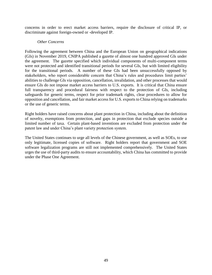concerns in order to erect market access barriers, require the disclosure of critical IP, or discriminate against foreign-owned or -developed IP.

#### *Other Concerns*

Following the agreement between China and the European Union on geographical indications (GIs) in November 2019, CNIPA published a gazette of almost one hundred approved GIs under the agreement. The gazette specified which individual components of multi-component terms were not protected and identified transitional periods for several GIs, but with limited eligibility for the transitional periods. A number of these GIs had been unsuccessfully opposed by stakeholders, who report considerable concern that China's rules and procedures limit parties' abilities to challenge GIs via opposition, cancellation, invalidation, and other processes that would ensure GIs do not impose market access barriers to U.S. exports. It is critical that China ensure full transparency and procedural fairness with respect to the protection of GIs, including safeguards for generic terms, respect for prior trademark rights, clear procedures to allow for opposition and cancellation, and fair market access for U.S. exports to China relying on trademarks or the use of generic terms.

Right holders have raised concerns about plant protection in China, including about the definition of novelty, exemptions from protection, and gaps in protection that exclude species outside a limited number of taxa. Certain plant-based inventions are excluded from protection under the patent law and under China's plant variety protection system.

The United States continues to urge all levels of the Chinese government, as well as SOEs, to use only legitimate, licensed copies of software. Right holders report that government and SOE software legalization programs are still not implemented comprehensively. The United States urges the use of third-party audits to ensure accountability, which China has committed to provide under the Phase One Agreement.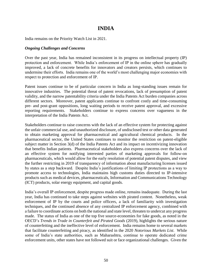### **INDIA**

India remains on the Priority Watch List in 2021.

#### *Ongoing Challenges and Concerns*

Over the past year, India has remained inconsistent in its progress on intellectual property (IP) protection and enforcement. While India's enforcement of IP in the online sphere has gradually improved, a lack of concrete benefits for innovators and creators persists, which continues to undermine their efforts. India remains one of the world's most challenging major economies with respect to protection and enforcement of IP.

Patent issues continue to be of particular concern in India as long-standing issues remain for innovative industries. The potential threat of patent revocations, lack of presumption of patent validity, and the narrow patentability criteria under the India Patents Act burden companies across different sectors. Moreover, patent applicants continue to confront costly and time-consuming pre- and post-grant oppositions, long waiting periods to receive patent approval, and excessive reporting requirements. Stakeholders continue to express concerns over vagueness in the interpretation of the India Patents Act.

Stakeholders continue to raise concerns with the lack of an effective system for protecting against the unfair commercial use, and unauthorized disclosure, of undisclosed test or other data generated to obtain marketing approval for pharmaceutical and agricultural chemical products. In the pharmaceutical sector, the United States continues to monitor the restriction on patent-eligible subject matter in Section 3(d) of the India Patents Act and its impact on incentivizing innovation that benefits Indian patients. Pharmaceutical stakeholders also express concerns over the lack of an effective system for notifying interested parties of marketing approvals for follow-on pharmaceuticals, which would allow for the early resolution of potential patent disputes, and view the further restricting in 2019 of transparency of information about manufacturing licenses issued by states as a step backward. Despite India's justifications of limiting IP protections as a way to promote access to technologies, India maintains high customs duties directed to IP-intensive products such as medical devices, pharmaceuticals, Information and Communications Technology (ICT) products, solar energy equipment, and capital goods.

India's overall IP enforcement, despite progress made online, remains inadequate. During the last year, India has continued to take steps against websites with pirated content. Nonetheless, weak enforcement of IP by the courts and police officers, a lack of familiarity with investigation techniques, and the continued absence of any centralized IP enforcement agency, combined with a failure to coordinate actions on both the national and state level, threaten to undercut any progress made. The status of India as one of the top five source-economies for fake goods, as noted in the OECD's *Trends in Trade in Counterfeit and Pirated Goods* (2019), highlights the serious nature of counterfeiting and the ineffective level of enforcement. India remains home to several markets that facilitate counterfeiting and piracy, as identified in the 2020 *Notorious Markets List*. While some of India's state authorities, such as Maharashtra, continue to operate dedicated crime enforcement units, other states have not followed suit or face organizational challenges. Given the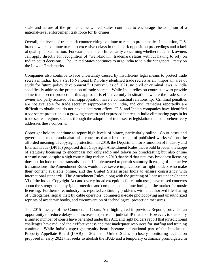scale and nature of the problem, the United States continues to encourage the adoption of a national-level enforcement task force for IP crimes.

Overall, the levels of trademark counterfeiting continue to remain problematic. In addition, U.S. brand owners continue to report excessive delays in trademark opposition proceedings and a lack of quality in examination. For example, there is little clarity concerning whether trademark owners can apply directly for recognition of "well-known" trademark status without having to rely on Indian court decisions. The United States continues to urge India to join the Singapore Treaty on the Law of Trademarks.

Companies also continue to face uncertainty caused by insufficient legal means to protect trade secrets in India. India's 2016 National IPR Policy identified trade secrets as an "important area of study for future policy development." However, as of 2021, no civil or criminal laws in India specifically address the protection of trade secrets. While India relies on contract law to provide some trade secret protection, this approach is effective only in situations where the trade secret owner and party accused of misappropriation have a contractual relationship. Criminal penalties are not available for trade secret misappropriation in India, and civil remedies reportedly are difficult to obtain and do not have a deterrent effect. U.S. and Indian companies have identified trade secret protection as a growing concern and expressed interest in India eliminating gaps in its trade secrets regime, such as through the adoption of trade secret legislation that comprehensively addresses these concerns.

Copyright holders continue to report high levels of piracy, particularly online. Court cases and government memoranda also raise concerns that a broad range of published works will not be afforded meaningful copyright protection. In 2019, the Department for Promotion of Industry and Internal Trade (DPIIT) proposed draft Copyright Amendment Rules that would broaden the scope of statutory licensing to encompass not only radio and television broadcasting but also online transmissions, despite a high court ruling earlier in 2019 that held that statutory broadcast licensing does not include online transmissions. If implemented to permit statutory licensing of interactive transmissions, the Amendment Rules would have severe implications for right holders who make their content available online, and the United States urges India to ensure consistency with international standards. The Amendment Rules, along with the granting of licenses under Chapter VI of the Indian Copyright Act and overly broad exceptions for certain uses, have raised concerns about the strength of copyright protection and complicated the functioning of the market for music licensing. Furthermore, industry has reported continuing problems with unauthorized file sharing of videogames, signal theft by cable operators, commercial-scale photocopying and unauthorized reprints of academic books, and circumvention of technological protection measures.

The 2015 passage of the Commercial Courts Act, highlighted in previous Reports, provided an opportunity to reduce delays and increase expertise in judicial IP matters. However, to date only a limited number of courts have benefited under this Act, and right holders report that jurisdictional challenges have reduced their effectiveness and that inadequate resources for staffing and training continue. While India's copyright royalty board became a functional part of the Intellectual Property Appellate Board (IPAB) in 2020, the United States is closely monitoring legislation proposed in early 2021 that seeks to abolish the IPAB and a temporary ordinance promulgated in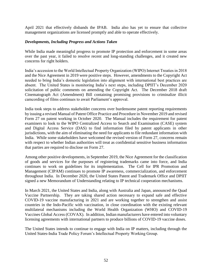April 2021 that effectively disbands the IPAB. India also has yet to ensure that collective management organizations are licensed promptly and able to operate effectively.

#### *Developments, Including Progress and Actions Taken*

While India made meaningful progress to promote IP protection and enforcement in some areas over the past year, it failed to resolve recent and long-standing challenges, and it created new concerns for right holders.

India's accession to the World Intellectual Property Organization (WIPO) Internet Treaties in 2018 and the Nice Agreement in 2019 were positive steps. However, amendments to the Copyright Act needed to bring India's domestic legislation into alignment with international best practices are absent. The United States is monitoring India's next steps, including DPIIT's December 2020 solicitation of public comments on amending the Copyright Act. The December 2018 draft Cinematograph Act (Amendment) Bill containing promising provisions to criminalize illicit camcording of films continues to await Parliament's approval.

India took steps to address stakeholder concerns over burdensome patent reporting requirements by issuing a revised Manual of Patent Office Practice and Procedure in November 2019 and revised Form 27 on patent working in October 2020. The Manual includes the requirement for patent examiners to look to the WIPO Centralized Access to Search and Examination (CASE) system and Digital Access Service (DAS) to find information filed by patent applicants in other jurisdictions, with the aim of eliminating the need for applicants to file redundant information with India. While some stakeholders have welcomed the revised version of Form 27, concerns remain with respect to whether Indian authorities will treat as confidential sensitive business information that parties are required to disclose on Form 27.

Among other positive developments, in September 2019, the Nice Agreement for the classification of goods and services for the purposes of registering trademarks came into force, and India continues to work on guidelines for its implementation. The Cell for IPR Promotion and Management (CIPAM) continues to promote IP awareness, commercialization, and enforcement throughout India. In December 2020, the United States Patent and Trademark Office and DPIIT signed a new Memorandum of Understanding relating to IP technical cooperation mechanisms.

In March 2021, the United States and India, along with Australia and Japan, announced the Quad Vaccine Partnership. They are taking shared action necessary to expand safe and effective COVID-19 vaccine manufacturing in 2021 and are working together to strengthen and assist countries in the Indo-Pacific with vaccination, in close coordination with the existing relevant multilateral mechanisms including the World Health Organization (WHO) and COVID-19 Vaccines Global Access (COVAX). In addition, Indian manufacturers have entered into voluntary licensing agreements with international partners to produce billions of COVID-19 vaccine doses.

The United States intends to continue to engage with India on IP matters, including through the United States-India Trade Policy Forum's Intellectual Property Working Group.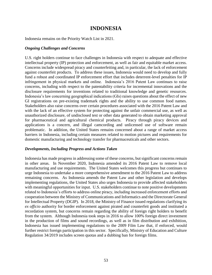# **INDONESIA**

Indonesia remains on the Priority Watch List in 2021.

#### *Ongoing Challenges and Concerns*

U.S. right holders continue to face challenges in Indonesia with respect to adequate and effective intellectual property (IP) protection and enforcement, as well as fair and equitable market access. Concerns include widespread piracy and counterfeiting and, in particular, the lack of enforcement against counterfeit products. To address these issues, Indonesia would need to develop and fully fund a robust and coordinated IP enforcement effort that includes deterrent-level penalties for IP infringement in physical markets and online. Indonesia's 2016 Patent Law continues to raise concerns, including with respect to the patentability criteria for incremental innovations and the disclosure requirements for inventions related to traditional knowledge and genetic resources. Indonesia's law concerning geographical indications (GIs) raises questions about the effect of new GI registrations on pre-existing trademark rights and the ability to use common food names. Stakeholders also raise concerns over certain procedures associated with the 2016 Patent Law and with the lack of an effective system for protecting against the unfair commercial use, as well as unauthorized disclosure, of undisclosed test or other data generated to obtain marketing approval for pharmaceutical and agricultural chemical products. Piracy through piracy devices and applications is a concern, and illegal camcording and unlicensed use of software remain problematic. In addition, the United States remains concerned about a range of market access barriers in Indonesia, including certain measures related to motion pictures and requirements for domestic manufacturing and technology transfer for pharmaceuticals and other sectors.

#### *Developments, Including Progress and Actions Taken*

Indonesia has made progress in addressing some of these concerns, but significant concerns remain in other areas. In November 2020, Indonesia amended its 2016 Patent Law to remove local manufacturing and use requirements. The United States welcomes this progress but continues to urge Indonesia to undertake a more comprehensive amendment to the 2016 Patent Law to address remaining concerns. As Indonesia amends the Patent Law and other legislation and develops implementing regulations, the United States also urges Indonesia to provide affected stakeholders with meaningful opportunities for input. U.S. stakeholders continue to note positive developments related to Indonesia's efforts to address online piracy, including increased enforcement efforts and cooperation between the Ministry of Communications and Informatics and the Directorate General for Intellectual Property (DGIP). In 2018, the Ministry of Finance issued regulations clarifying its *ex officio* authority for border enforcement against pirated and counterfeit goods and instituted a recordation system, but concerns remain regarding the ability of foreign right holders to benefit from the system. Although Indonesia took steps in 2016 to allow 100% foreign direct investment in the production of films and sound recordings, as well as in film distribution and exhibition, Indonesia has issued implementing regulations to the 2009 Film Law that, if enforced, would further restrict foreign participation in this sector. Specifically, Ministry of Education and Culture Regulation 34/2019 includes screen quotas and a dubbing ban for foreign films.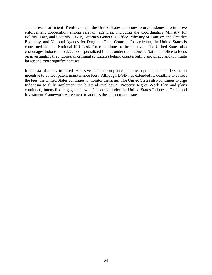To address insufficient IP enforcement, the United States continues to urge Indonesia to improve enforcement cooperation among relevant agencies, including the Coordinating Ministry for Politics, Law, and Security, DGIP, Attorney General's Office, Ministry of Tourism and Creative Economy, and National Agency for Drug and Food Control. In particular, the United States is concerned that the National IPR Task Force continues to be inactive. The United States also encourages Indonesia to develop a specialized IP unit under the Indonesia National Police to focus on investigating the Indonesian criminal syndicates behind counterfeiting and piracy and to initiate larger and more significant cases.

Indonesia also has imposed excessive and inappropriate penalties upon patent holders as an incentive to collect patent maintenance fees. Although DGIP has extended its deadline to collect the fees, the United States continues to monitor the issue. The United States also continues to urge Indonesia to fully implement the bilateral Intellectual Property Rights Work Plan and plans continued, intensified engagement with Indonesia under the United States-Indonesia Trade and Investment Framework Agreement to address these important issues.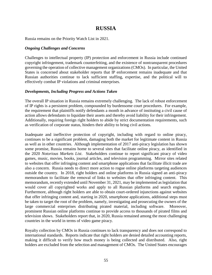# **RUSSIA**

Russia remains on the Priority Watch List in 2021.

#### *Ongoing Challenges and Concerns*

Challenges to intellectual property (IP) protection and enforcement in Russia include continued copyright infringement, trademark counterfeiting, and the existence of nontransparent procedures governing the operation of collective management organizations (CMOs). In particular, the United States is concerned about stakeholder reports that IP enforcement remains inadequate and that Russian authorities continue to lack sufficient staffing, expertise, and the political will to effectively combat IP violations and criminal enterprises.

#### *Developments, Including Progress and Actions Taken*

The overall IP situation in Russia remains extremely challenging. The lack of robust enforcement of IP rights is a persistent problem, compounded by burdensome court procedures. For example, the requirement that plaintiffs notify defendants a month in advance of instituting a civil cause of action allows defendants to liquidate their assets and thereby avoid liability for their infringement. Additionally, requiring foreign right holders to abide by strict documentation requirements, such as verification of corporate status, hinders their ability to bring civil actions.

Inadequate and ineffective protection of copyright, including with regard to online piracy, continues to be a significant problem, damaging both the market for legitimate content in Russia as well as in other countries. Although implementation of 2017 anti-piracy legislation has shown some promise, Russia remains home to several sites that facilitate online piracy, as identified in the 2020 *Notorious Markets List*. Stakeholders continue to report significant piracy of video games, music, movies, books, journal articles, and television programming. Mirror sites related to websites that offer infringing content and smartphone applications that facilitate illicit trade are also a concern. Russia needs to direct more action to rogue online platforms targeting audiences outside the country. In 2018, right holders and online platforms in Russia signed an anti-piracy memorandum to facilitate the removal of links to websites that offer infringing content. This memorandum, recently extended until November 31, 2021, may be implemented as legislation that would cover all copyrighted works and apply to all Russian platforms and search engines. Furthermore, although right holders are able to obtain court-ordered injunctions against websites that offer infringing content and, starting in 2020, smartphone applications, additional steps must be taken to target the root of the problem, namely, investigating and prosecuting the owners of the large commercial enterprises distributing pirated material, including software. Moreover, prominent Russian online platforms continue to provide access to thousands of pirated films and television shows. Stakeholders report that, in 2020, Russia remained among the most challenging countries in the world in terms of video game piracy.

Royalty collection by CMOs in Russia continues to lack transparency and does not correspond to international standards. Reports indicate that right holders are denied detailed accounting reports, making it difficult to verify how much money is being collected and distributed. Also, right holders are excluded from the selection and management of CMOs. The United States encourages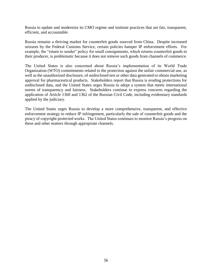Russia to update and modernize its CMO regime and institute practices that are fair, transparent, efficient, and accountable.

Russia remains a thriving market for counterfeit goods sourced from China. Despite increased seizures by the Federal Customs Service, certain policies hamper IP enforcement efforts. For example, the "return to sender" policy for small consignments, which returns counterfeit goods to their producer, is problematic because it does not remove such goods from channels of commerce.

The United States is also concerned about Russia's implementation of its World Trade Organization (WTO) commitments related to the protection against the unfair commercial use, as well as the unauthorized disclosure, of undisclosed test or other data generated to obtain marketing approval for pharmaceutical products. Stakeholders report that Russia is eroding protections for undisclosed data, and the United States urges Russia to adopt a system that meets international norms of transparency and fairness. Stakeholders continue to express concerns regarding the application of Article 1360 and 1362 of the Russian Civil Code, including evidentiary standards applied by the judiciary.

The United States urges Russia to develop a more comprehensive, transparent, and effective enforcement strategy to reduce IP infringement, particularly the sale of counterfeit goods and the piracy of copyright-protected works. The United States continues to monitor Russia's progress on these and other matters through appropriate channels.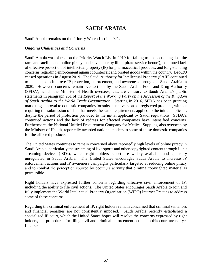# **SAUDI ARABIA**

Saudi Arabia remains on the Priority Watch List in 2021.

#### *Ongoing Challenges and Concerns*

Saudi Arabia was placed on the Priority Watch List in 2019 for failing to take action against the rampant satellite and online piracy made available by illicit pirate service beoutQ, continued lack of effective protection of intellectual property (IP) for pharmaceutical products, and long-standing concerns regarding enforcement against counterfeit and pirated goods within the country. BeoutQ ceased operations in August 2019. The Saudi Authority for Intellectual Property (SAIP) continued to take steps to improve IP protection, enforcement, and awareness throughout Saudi Arabia in 2020. However, concerns remain over actions by the Saudi Arabia Food and Drug Authority (SFDA), which the Minister of Health oversees, that are contrary to Saudi Arabia's public statements in paragraph 261 of the *Report of the Working Party on the Accession of the Kingdom of Saudi Arabia to the World Trade Organization*. Starting in 2016, SFDA has been granting marketing approval to domestic companies for subsequent versions of registered products, without requiring the submission of data that meets the same requirements applied to the initial applicant, despite the period of protection provided to the initial applicant by Saudi regulations. SFDA's continued actions and the lack of redress for affected companies have intensified concerns. Furthermore, the National Unified Procurement Company for Medical Supplies, also overseen by the Minister of Health, reportedly awarded national tenders to some of these domestic companies for the affected products.

The United States continues to remain concerned about reportedly high levels of online piracy in Saudi Arabia, particularly the streaming of live sports and other copyrighted content through illicit streaming devices (ISDs), which right holders report are widely available and generally unregulated in Saudi Arabia. The United States encourages Saudi Arabia to increase IP enforcement actions and IP awareness campaigns particularly targeted at reducing online piracy and to combat the perception spurred by beoutQ's activity that pirating copyrighted material is permissible.

Right holders have expressed further concerns regarding effective civil enforcement of IP, including the ability to file civil actions. The United States encourages Saudi Arabia to join and fully implement the World Intellectual Property Organization (WIPO) Internet Treaties to address some of these concerns.

Regarding the criminal enforcement of IP, right holders remain concerned that criminal sentences and financial penalties are not consistently imposed. Saudi Arabia recently established a specialized IP court, which the United States hopes will resolve the concerns expressed by right holders, but procedures for filing civil and criminal enforcement actions in this court are not yet finalized.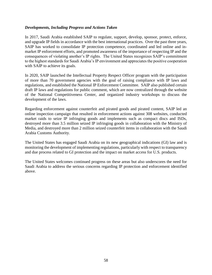#### *Developments, Including Progress and Actions Taken*

In 2017, Saudi Arabia established SAIP to regulate, support, develop, sponsor, protect, enforce, and upgrade IP fields in accordance with the best international practices. Over the past three years, SAIP has worked to consolidate IP protection competence, coordinated and led online and inmarket IP enforcement efforts, and promoted awareness of the importance of respecting IP and the consequences of violating another's IP rights. The United States recognizes SAIP's commitment to the highest standards for Saudi Arabia's IP environment and appreciates the positive cooperation with SAIP to achieve its goals.

In 2020, SAIP launched the Intellectual Property Respect Officer program with the participation of more than 70 government agencies with the goal of raising compliance with IP laws and regulations, and established the National IP Enforcement Committee. SAIP also published certain draft IP laws and regulations for public comment, which are now centralized through the website of the National Competitiveness Center, and organized industry workshops to discuss the development of the laws.

Regarding enforcement against counterfeit and pirated goods and pirated content, SAIP led an online inspection campaign that resulted in enforcement actions against 308 websites, conducted market raids to seize IP infringing goods and implements such as compact discs and ISDs, destroyed more than 3.5 million seized IP infringing goods in collaboration with the Ministry of Media, and destroyed more than 2 million seized counterfeit items in collaboration with the Saudi Arabia Customs Authority.

The United States has engaged Saudi Arabia on its new geographical indications (GI) law and is monitoring the development of implementing regulations, particularly with respect to transparency and due process related to GI protection and the impact on market access for U.S. products.

The United States welcomes continued progress on these areas but also underscores the need for Saudi Arabia to address the serious concerns regarding IP protection and enforcement identified above.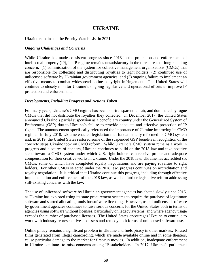# **UKRAINE**

Ukraine remains on the Priority Watch List in 2021.

#### *Ongoing Challenges and Concerns*

While Ukraine has made consistent progress since 2018 in the protection and enforcement of intellectual property (IP), its IP regime remains unsatisfactory in the three areas of long-standing concern: (1) administration of the system for collective management organizations (CMOs) that are responsible for collecting and distributing royalties to right holders; (2) continued use of unlicensed software by Ukrainian government agencies; and (3) ongoing failure to implement an effective means to combat widespread online copyright infringement. The United States will continue to closely monitor Ukraine's ongoing legislative and operational efforts to improve IP protection and enforcement.

#### *Developments, Including Progress and Actions Taken*

For many years, Ukraine's CMO regime has been non-transparent, unfair, and dominated by rogue CMOs that did not distribute the royalties they collected. In December 2017, the United States announced Ukraine's partial suspension as a beneficiary country under the Generalized System of Preferences (GSP) due to Ukraine's failure to provide adequate and effective protection of IP rights. The announcement specifically referenced the importance of Ukraine improving its CMO regime. In July 2018, Ukraine enacted legislation that fundamentally reformed its CMO system and, in 2019, the United States restored some of the suspended GSP benefits in recognition of the concrete steps Ukraine took on CMO reform. While Ukraine's CMO system remains a work in progress and a source of concern, Ukraine continues to build on the 2018 law and take positive steps toward a CMO system under which U.S. right holders can receive proper and adequate compensation for their creative works in Ukraine. Under the 2018 law, Ukraine has accredited six CMOs, some of which have completed royalty negotiations and are paying royalties to right holders. For other CMOs selected under the 2018 law, progress continues on accreditation and royalty negotiation. It is critical that Ukraine continue this progress, including through effective implementation and enforcement of the 2018 law, as well as further legislative reform addressing still-existing concerns with the law.

The use of unlicensed software by Ukrainian government agencies has abated slowly since 2016, as Ukraine has explored using its state procurement systems to require the purchase of legitimate software and started allocating funds for software licensing. However, use of unlicensed software by government agencies continues to raise serious concerns for the United States both in terms of agencies using software without licenses, particularly on legacy systems, and where agency usage exceeds the number of purchased licenses. The United States encourages Ukraine to continue to work with industry representatives to assess and remedy both forms of unlicensed software use.

Online piracy remains a significant problem in Ukraine and fuels piracy in other markets. Pirated films generated from illegal camcording, which are made available online and in some theaters, cause particular damage to the market for first-run movies. In addition, inadequate enforcement in Ukraine continues to raise concerns among IP stakeholders. In 2017, Ukraine's parliament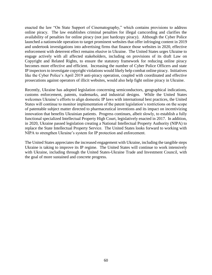enacted the law "On State Support of Cinematography," which contains provisions to address online piracy. The law establishes criminal penalties for illegal camcording and clarifies the availability of penalties for online piracy (not just hardcopy piracy). Although the Cyber Police launched a nationwide operation to target prominent websites that offer infringing content in 2019 and undertook investigations into advertising firms that finance those websites in 2020, effective enforcement with deterrent effect remains elusive in Ukraine. The United States urges Ukraine to engage actively with all affected stakeholders, including on provisions of its draft Law on Copyright and Related Rights, to ensure the statutory framework for reducing online piracy becomes more effective and efficient. Increasing the number of Cyber Police Officers and state IP inspectors to investigate copyright violations would likely help combat online piracy. Initiatives like the Cyber Police's April 2019 anti-piracy operation, coupled with coordinated and effective prosecutions against operators of illicit websites, would also help fight online piracy in Ukraine.

Recently, Ukraine has adopted legislation concerning semiconductors, geographical indications, customs enforcement, patents, trademarks, and industrial designs. While the United States welcomes Ukraine's efforts to align domestic IP laws with international best practices, the United States will continue to monitor implementation of the patent legislation's restrictions on the scope of patentable subject matter directed to pharmaceutical inventions and its impact on incentivizing innovation that benefits Ukrainian patients. Progress continues, albeit slowly, to establish a fully functional specialized Intellectual Property High Court, legislatively enacted in 2017. In addition, in 2020, Ukraine passed legislation creating a National Intellectual Property Authority (NIPA) to replace the State Intellectual Property Service. The United States looks forward to working with NIPA to strengthen Ukraine's system for IP protection and enforcement.

The United States appreciates the increased engagement with Ukraine, including the tangible steps Ukraine is taking to improve its IP regime. The United States will continue to work intensively with Ukraine, including through the United States-Ukraine Trade and Investment Council, with the goal of more sustained and concrete progress.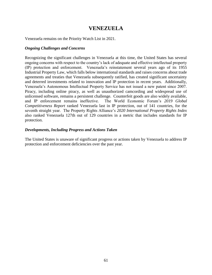# **VENEZUELA**

Venezuela remains on the Priority Watch List in 2021.

#### *Ongoing Challenges and Concerns*

Recognizing the significant challenges in Venezuela at this time, the United States has several ongoing concerns with respect to the country's lack of adequate and effective intellectual property (IP) protection and enforcement. Venezuela's reinstatement several years ago of its 1955 Industrial Property Law, which falls below international standards and raises concerns about trade agreements and treaties that Venezuela subsequently ratified, has created significant uncertainty and deterred investments related to innovation and IP protection in recent years. Additionally, Venezuela's Autonomous Intellectual Property Service has not issued a new patent since 2007. Piracy, including online piracy, as well as unauthorized camcording and widespread use of unlicensed software, remains a persistent challenge. Counterfeit goods are also widely available, and IP enforcement remains ineffective. The World Economic Forum's *2019 Global Competitiveness Report* ranked Venezuela last in IP protection, out of 141 countries, for the seventh straight year. The Property Rights Alliance's *2020 International Property Rights Index* also ranked Venezuela 127th out of 129 countries in a metric that includes standards for IP protection.

#### *Developments, Including Progress and Actions Taken*

The United States is unaware of significant progress or actions taken by Venezuela to address IP protection and enforcement deficiencies over the past year.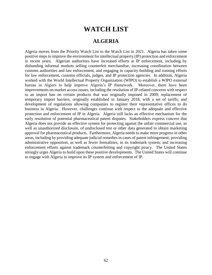# **WATCH LIST**

### **ALGERIA**

Algeria moves from the Priority Watch List to the Watch List in 2021. Algeria has taken some positive steps to improve the environment for intellectual property (IP) protection and enforcement in recent years. Algerian authorities have increased efforts at IP enforcement, including by disbanding informal markets selling counterfeit merchandise, increasing coordination between customs authorities and law enforcement, and engaging in capacity-building and training efforts for law enforcement, customs officials, judges, and IP protection agencies. In addition, Algeria worked with the World Intellectual Property Organization (WIPO) to establish a WIPO external bureau in Algiers to help improve Algeria's IP framework. Moreover, there have been improvements on market access issues, including the resolution of IP-related concerns with respect to an import ban on certain products that was originally imposed in 2009; replacement of temporary import barriers, originally established in January 2018, with a set of tariffs; and development of regulations allowing companies to register their representative offices to do business in Algeria. However, challenges continue with respect to the adequate and effective protection and enforcement of IP in Algeria. Algeria still lacks an effective mechanism for the early resolution of potential pharmaceutical patent disputes. Stakeholders express concern that Algeria does not provide an effective system for protecting against the unfair commercial use, as well as unauthorized disclosure, of undisclosed test or other data generated to obtain marketing approval for pharmaceutical products. Furthermore, Algeria needs to make more progress in other areas, including by providing adequate judicial remedies in cases of patent infringement; providing administrative opposition, as well as fewer formalities, in its trademark system; and increasing enforcement efforts against trademark counterfeiting and copyright piracy. The United States strongly urges Algeria to build upon these positive developments. The United States will continue to engage with Algeria to improve its IP system and enforcement of IP.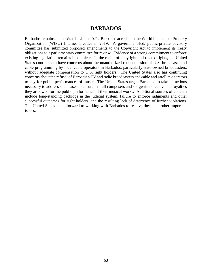#### **BARBADOS**

Barbados remains on the Watch List in 2021. Barbados acceded to the World Intellectual Property Organization (WIPO) Internet Treaties in 2019. A government-led, public-private advisory committee has submitted proposed amendments to the Copyright Act to implement its treaty obligations to a parliamentary committee for review. Evidence of a strong commitment to enforce existing legislation remains incomplete. In the realm of copyright and related rights, the United States continues to have concerns about the unauthorized retransmission of U.S. broadcasts and cable programming by local cable operators in Barbados, particularly state-owned broadcasters, without adequate compensation to U.S. right holders. The United States also has continuing concerns about the refusal of Barbadian TV and radio broadcasters and cable and satellite operators to pay for public performances of music. The United States urges Barbados to take all actions necessary to address such cases to ensure that all composers and songwriters receive the royalties they are owed for the public performance of their musical works. Additional sources of concern include long-standing backlogs in the judicial system, failure to enforce judgments and other successful outcomes for right holders, and the resulting lack of deterrence of further violations. The United States looks forward to working with Barbados to resolve these and other important issues.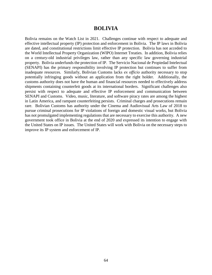### **BOLIVIA**

Bolivia remains on the Watch List in 2021. Challenges continue with respect to adequate and effective intellectual property (IP) protection and enforcement in Bolivia. The IP laws in Bolivia are dated, and constitutional restrictions limit effective IP protection. Bolivia has not acceded to the World Intellectual Property Organization (WIPO) Internet Treaties. In addition, Bolivia relies on a century-old industrial privileges law, rather than any specific law governing industrial property. Bolivia underfunds the protection of IP. The Servicio Nacional de Propiedad Intelectual (SENAPI) has the primary responsibility involving IP protection but continues to suffer from inadequate resources. Similarly, Bolivian Customs lacks *ex officio* authority necessary to stop potentially infringing goods without an application from the right holder. Additionally, the customs authority does not have the human and financial resources needed to effectively address shipments containing counterfeit goods at its international borders. Significant challenges also persist with respect to adequate and effective IP enforcement and communication between SENAPI and Customs. Video, music, literature, and software piracy rates are among the highest in Latin America, and rampant counterfeiting persists. Criminal charges and prosecutions remain rare. Bolivian Customs has authority under the Cinema and Audiovisual Arts Law of 2018 to pursue criminal prosecutions for IP violations of foreign and domestic visual works, but Bolivia has not promulgated implementing regulations that are necessary to exercise this authority. A new government took office in Bolivia at the end of 2020 and expressed its intention to engage with the United States on IP issues. The United States will work with Bolivia on the necessary steps to improve its IP system and enforcement of IP.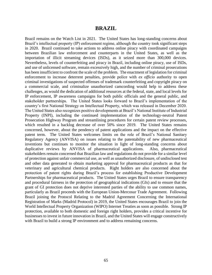#### **BRAZIL**

Brazil remains on the Watch List in 2021. The United States has long-standing concerns about Brazil's intellectual property (IP) enforcement regime, although the country took significant steps in 2020. Brazil continued to take actions to address online piracy with coordinated campaigns between Brazilian law enforcement and counterparts in the United States, as well as the importation of illicit streaming devices (ISDs), as it seized more than 300,000 devices. Nevertheless, levels of counterfeiting and piracy in Brazil, including online piracy, use of ISDs, and use of unlicensed software, remain excessively high, and the number of criminal prosecutions has been insufficient to confront the scale of the problem. The enactment of legislation for criminal enforcement to increase deterrent penalties, provide police with *ex officio* authority to open criminal investigations of suspected offenses of trademark counterfeiting and copyright piracy on a commercial scale, and criminalize unauthorized camcording would help to address these challenges, as would the dedication of additional resources at the federal, state, and local levels for IP enforcement, IP awareness campaigns for both public officials and the general public, and stakeholder partnerships. The United States looks forward to Brazil's implementation of the country's first National Strategy on Intellectual Property, which was released in December 2020. The United States also recognizes positive developments at Brazil's National Institute of Industrial Property (INPI), including the continued implementation of the technology-neutral Patent Prosecution Highway Program and streamlining procedures for certain patent review processes, which resulted in a backlog decrease of over 50% since 2019. The United States remains concerned, however, about the pendency of patent applications and the impact on the effective patent term. The United States welcomes limits on the role of Brazil's National Sanitary Regulatory Agency (ANVISA) on issues relating to the patentability of new pharmaceutical inventions but continues to monitor the situation in light of long-standing concerns about duplicative reviews by ANVISA of pharmaceutical applications. Also, pharmaceutical stakeholders remain concerned that Brazilian law and regulations do not provide for a similar level of protection against unfair commercial use, as well as unauthorized disclosure, of undisclosed test and other data generated to obtain marketing approval for pharmaceutical products as that for veterinary and agricultural chemical products. Right holders are also concerned about the protection of patent rights during Brazil's process for establishing Productive Development Partnerships for pharmaceutical products. The United States urges Brazil to ensure transparency and procedural fairness in the protection of geographical indications (GIs) and to ensure that the grant of GI protection does not deprive interested parties of the ability to use common names, particularly as Brazil proceeds with the European Union-Mercosur Trade Agreement. Following Brazil joining the Protocol Relating to the Madrid Agreement Concerning the International Registration of Marks (Madrid Protocol) in 2019, the United States encourages Brazil to join the World Intellectual Property Organization (WIPO) Internet Treaties as soon as possible. Strong IP protection, available to both domestic and foreign right holders, provides a critical incentive for businesses to invest in future innovation in Brazil, and the United States will engage constructively with Brazil to build a strong IP environment and to address remaining concerns.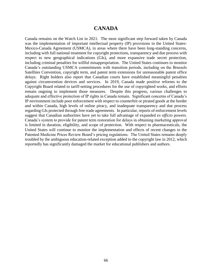### **CANADA**

Canada remains on the Watch List in 2021. The most significant step forward taken by Canada was the implementation of important intellectual property (IP) provisions in the United States-Mexico-Canada Agreement (USMCA), in areas where there have been long-standing concerns, including with full national treatment for copyright protections, transparency and due process with respect to new geographical indications (GIs), and more expansive trade secret protection, including criminal penalties for willful misappropriation. The United States continues to monitor Canada's outstanding USMCA commitments with transition periods, including on the Brussels Satellites Convention, copyright term, and patent term extensions for unreasonable patent office delays. Right holders also report that Canadian courts have established meaningful penalties against circumvention devices and services. In 2019, Canada made positive reforms to the Copyright Board related to tariff-setting procedures for the use of copyrighted works, and efforts remain ongoing to implement those measures. Despite this progress, various challenges to adequate and effective protection of IP rights in Canada remain. Significant concerns of Canada's IP environment include poor enforcement with respect to counterfeit or pirated goods at the border and within Canada, high levels of online piracy, and inadequate transparency and due process regarding GIs protected through free trade agreements. In particular, reports of enforcement levels suggest that Canadian authorities have yet to take full advantage of expanded *ex officio* powers. Canada's system to provide for patent term restoration for delays in obtaining marketing approval is limited in duration, eligibility, and scope of protection. With respect to pharmaceuticals, the United States will continue to monitor the implementation and effects of recent changes to the Patented Medicine Prices Review Board's pricing regulations. The United States remains deeply troubled by the ambiguous education-related exception added to the copyright law in 2012, which reportedly has significantly damaged the market for educational publishers and authors.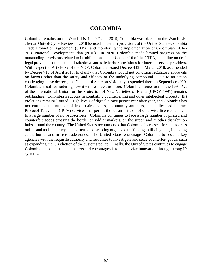### **COLOMBIA**

Colombia remains on the Watch List in 2021. In 2019, Colombia was placed on the Watch List after an Out-of-Cycle Review in 2018 focused on certain provisions of the United States-Colombia Trade Promotion Agreement (CTPA) and monitoring the implementation of Colombia's 2014- 2018 National Development Plan (NDP). In 2020, Colombia made limited progress on the outstanding provisions related to its obligations under Chapter 16 of the CTPA, including on draft legal provisions on notice-and-takedown and safe harbor provisions for Internet service providers. With respect to Article 72 of the NDP, Colombia issued Decree 433 in March 2018, as amended by Decree 710 of April 2018, to clarify that Colombia would not condition regulatory approvals on factors other than the safety and efficacy of the underlying compound. Due to an action challenging these decrees, the Council of State provisionally suspended them in September 2019. Colombia is still considering how it will resolve this issue. Colombia's accession to the 1991 Act of the International Union for the Protection of New Varieties of Plants (UPOV 1991) remains outstanding. Colombia's success in combating counterfeiting and other intellectual property (IP) violations remains limited. High levels of digital piracy persist year after year, and Colombia has not curtailed the number of free-to-air devices, community antennas, and unlicensed Internet Protocol Television (IPTV) services that permit the retransmission of otherwise-licensed content to a large number of non-subscribers. Colombia continues to face a large number of pirated and counterfeit goods crossing the border or sold at markets, on the street, and at other distribution hubs around the country. The United States recommends that Colombia increase efforts to address online and mobile piracy and to focus on disrupting organized trafficking in illicit goods, including at the border and in free trade zones. The United States encourages Colombia to provide key agencies with the requisite authority and resources to investigate and seize counterfeit goods, such as expanding the jurisdiction of the customs police. Finally, the United States continues to engage Colombia on patent-related matters and encourages it to incentivize innovation through strong IP systems.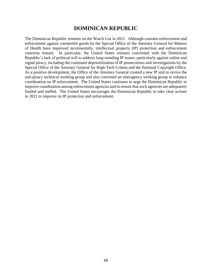# **DOMINICAN REPUBLIC**

The Dominican Republic remains on the Watch List in 2021. Although customs enforcement and enforcement against counterfeit goods by the Special Office of the Attorney General for Matters of Health have improved incrementally, intellectual property (IP) protection and enforcement concerns remain. In particular, the United States remains concerned with the Dominican Republic's lack of political will to address long-standing IP issues, particularly against online and signal piracy, including the continued deprioritization of IP prosecutions and investigations by the Special Office of the Attorney General for High-Tech Crimes and the National Copyright Office. As a positive development, the Office of the Attorney General created a new IP unit to revive the anti-piracy technical working group and also convened an interagency working group to enhance coordination on IP enforcement. The United States continues to urge the Dominican Republic to improve coordination among enforcement agencies and to ensure that such agencies are adequately funded and staffed. The United States encourages the Dominican Republic to take clear actions in 2021 to improve its IP protection and enforcement.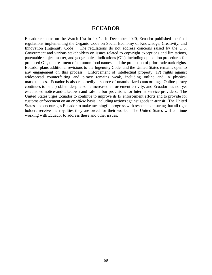### **ECUADOR**

Ecuador remains on the Watch List in 2021. In December 2020, Ecuador published the final regulations implementing the Organic Code on Social Economy of Knowledge, Creativity, and Innovation (Ingenuity Code). The regulations do not address concerns raised by the U.S. Government and various stakeholders on issues related to copyright exceptions and limitations, patentable subject matter, and geographical indications (GIs), including opposition procedures for proposed GIs, the treatment of common food names, and the protection of prior trademark rights. Ecuador plans additional revisions to the Ingenuity Code, and the United States remains open to any engagement on this process. Enforcement of intellectual property (IP) rights against widespread counterfeiting and piracy remains weak, including online and in physical marketplaces. Ecuador is also reportedly a source of unauthorized camcording. Online piracy continues to be a problem despite some increased enforcement activity, and Ecuador has not yet established notice-and-takedown and safe harbor provisions for Internet service providers. The United States urges Ecuador to continue to improve its IP enforcement efforts and to provide for customs enforcement on an *ex officio* basis, including actions against goods in-transit. The United States also encourages Ecuador to make meaningful progress with respect to ensuring that all right holders receive the royalties they are owed for their works. The United States will continue working with Ecuador to address these and other issues.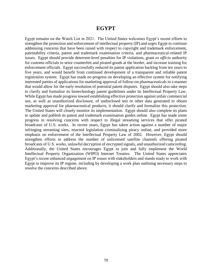### **EGYPT**

Egypt remains on the Watch List in 2021. The United States welcomes Egypt's recent efforts to strengthen the protection and enforcement of intellectual property (IP) and urges Egypt to continue addressing concerns that have been raised with respect to copyright and trademark enforcement, patentability criteria, patent and trademark examination criteria, and pharmaceutical-related IP issues. Egypt should provide deterrent-level penalties for IP violations, grant *ex officio* authority for customs officials to seize counterfeit and pirated goods at the border, and increase training for enforcement officials. Egypt successfully reduced its patent application backlog from ten years to five years, and would benefit from continued development of a transparent and reliable patent registration system. Egypt has made no progress on developing an effective system for notifying interested parties of applications for marketing approval of follow-on pharmaceuticals in a manner that would allow for the early resolution of potential patent disputes. Egypt should also take steps to clarify and formalize its biotechnology patent guidelines under its Intellectual Property Law. While Egypt has made progress toward establishing effective protection against unfair commercial use, as well as unauthorized disclosure, of undisclosed test or other data generated to obtain marketing approval for pharmaceutical products, it should clarify and formalize this protection. The United States will closely monitor its implementation. Egypt should also complete its plans to update and publish its patent and trademark examination guides online. Egypt has made some progress in resolving concerns with respect to illegal streaming services that offer pirated broadcasts of U.S. works. In recent years, Egypt has taken action against a number of major infringing streaming sites, enacted legislation criminalizing piracy online, and provided more emphasis on enforcement of the Intellectual Property Law of 2002. However, Egypt should strengthen efforts to address the number of unlicensed satellite channels offering pirated broadcasts of U.S. works, unlawful decryption of encrypted signals, and unauthorized camcording. Additionally, the United States encourages Egypt to join and fully implement the World Intellectual Property Organization (WIPO) Internet Treaties. The United States appreciates Egypt's recent enhanced engagement on IP issues with stakeholders and stands ready to work with Egypt to improve its IP regime, including by developing a work plan outlining necessary steps to resolve the concerns described above.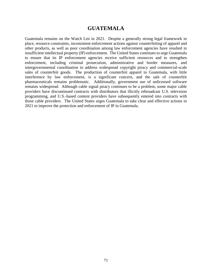### **GUATEMALA**

Guatemala remains on the Watch List in 2021. Despite a generally strong legal framework in place, resource constraints, inconsistent enforcement actions against counterfeiting of apparel and other products, as well as poor coordination among law enforcement agencies have resulted in insufficient intellectual property (IP) enforcement. The United States continues to urge Guatemala to ensure that its IP enforcement agencies receive sufficient resources and to strengthen enforcement, including criminal prosecution, administrative and border measures, and intergovernmental coordination to address widespread copyright piracy and commercial-scale sales of counterfeit goods. The production of counterfeit apparel in Guatemala, with little interference by law enforcement, is a significant concern, and the sale of counterfeit pharmaceuticals remains problematic. Additionally, government use of unlicensed software remains widespread. Although cable signal piracy continues to be a problem, some major cable providers have discontinued contracts with distributors that illicitly rebroadcast U.S. television programming, and U.S.-based content providers have subsequently entered into contracts with those cable providers. The United States urges Guatemala to take clear and effective actions in 2021 to improve the protection and enforcement of IP in Guatemala.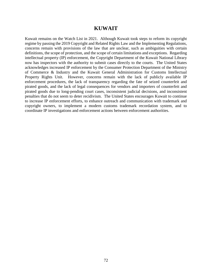### **KUWAIT**

Kuwait remains on the Watch List in 2021. Although Kuwait took steps to reform its copyright regime by passing the 2019 Copyright and Related Rights Law and the Implementing Regulations, concerns remain with provisions of the law that are unclear, such as ambiguities with certain definitions, the scope of protection, and the scope of certain limitations and exceptions. Regarding intellectual property (IP) enforcement, the Copyright Department of the Kuwait National Library now has inspectors with the authority to submit cases directly to the courts. The United States acknowledges increased IP enforcement by the Consumer Protection Department of the Ministry of Commerce & Industry and the Kuwait General Administration for Customs Intellectual Property Rights Unit. However, concerns remain with the lack of publicly available IP enforcement procedures, the lack of transparency regarding the fate of seized counterfeit and pirated goods, and the lack of legal consequences for vendors and importers of counterfeit and pirated goods due to long-pending court cases, inconsistent judicial decisions, and inconsistent penalties that do not seem to deter recidivism. The United States encourages Kuwait to continue to increase IP enforcement efforts, to enhance outreach and communication with trademark and copyright owners, to implement a modern customs trademark recordation system, and to coordinate IP investigations and enforcement actions between enforcement authorities.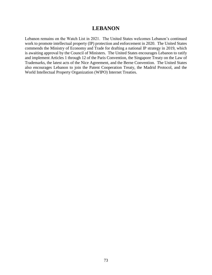## **LEBANON**

Lebanon remains on the Watch List in 2021. The United States welcomes Lebanon's continued work to promote intellectual property (IP) protection and enforcement in 2020. The United States commends the Ministry of Economy and Trade for drafting a national IP strategy in 2019, which is awaiting approval by the Council of Ministers. The United States encourages Lebanon to ratify and implement Articles 1 through 12 of the Paris Convention, the Singapore Treaty on the Law of Trademarks, the latest acts of the Nice Agreement, and the Berne Convention. The United States also encourages Lebanon to join the Patent Cooperation Treaty, the Madrid Protocol, and the World Intellectual Property Organization (WIPO) Internet Treaties.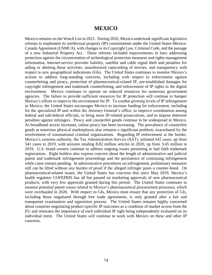### **MEXICO**

Mexico remains on the Watch List in 2021. During 2020, Mexico undertook significant legislative reforms to implement its intellectual property (IP) commitments under the United States-Mexico-Canada Agreement (USMCA), with changes to its Copyright Law, Criminal Code, and the passage of a new Industrial Property Act. These reforms included improvements in laws addressing protection against the circumvention of technological protection measures and rights management information, Internet-service provider liability, satellite and cable signal theft and penalties for aiding or abetting these activities, unauthorized camcording of movies, and transparency with respect to new geographical indications (GIs). The United States continues to monitor Mexico's actions to address long-standing concerns, including with respect to enforcement against counterfeiting and piracy, protection of pharmaceutical-related IP, pre-established damages for copyright infringement and trademark counterfeiting, and enforcement of IP rights in the digital environment. Mexico continues to operate on reduced resources for numerous government agencies. The failure to provide sufficient resources for IP protection will continue to hamper Mexico's efforts to improve the environment for IP. To combat growing levels of IP infringement in Mexico, the United States encourages Mexico to increase funding for enforcement, including for the specialized IP unit within the Attorney General's office, to improve coordination among federal and sub-federal officials, to bring more IP-related prosecutions, and to impose deterrent penalties against infringers. Piracy and counterfeit goods continue to be widespread in Mexico. As broadband access increases, online piracy has been increasing. The prevalence of counterfeit goods at notorious physical marketplaces also remains a significant problem, exacerbated by the involvement of transnational criminal organizations. Regarding IP enforcement at the border, Mexico's customs authority, the Tax Administration Service (SAT), initiated 642 cases, up from 541 cases in 2019, with seizures totaling 8.82 million articles in 2020, up from 3.45 million in 2019. U.S. brand owners continue to address ongoing issues pertaining to bad faith trademark registrations. Right holders also express concern about the length of administrative and judicial patent and trademark infringement proceedings and the persistence of continuing infringement while cases remain pending. In administrative procedures on infringement, preliminary measures still can be lifted without any burden of proof if the alleged infringer posts a counter-bond. On pharmaceutical-related issues, the United States has concerns that since May 2019, Mexico's health regulator COFEPRIS has all but paused on marketing approvals of new pharmaceutical products, with very few approvals granted during this period. The United States continues to monitor potential patent issues related to Mexico's pharmaceutical procurement processes, which were overhauled in 2020. With respect to GIs, Mexico must ensure that any protection of GIs, including those negotiated through free trade agreements, is only granted after a fair and transparent examination and opposition process. The United States remains highly concerned about countries negotiating product-specific IP outcomes as a condition of market access from the EU and reiterates the importance of each individual IP right being independently evaluated on its individual merit. The United States will continue to work with Mexico on these and other IP concerns.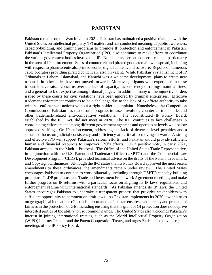## **PAKISTAN**

Pakistan remains on the Watch List in 2021. Pakistan has maintained a positive dialogue with the United States on intellectual property (IP) matters and has conducted meaningful public awareness, capacity-building, and training programs to promote IP protection and enforcement in Pakistan. Pakistan's Intellectual Property Organization (IPO) also continues to make efforts to coordinate the various government bodies involved in IP. Nonetheless, serious concerns remain, particularly in the area of IP enforcement. Sales of counterfeit and pirated goods remain widespread, including with respect to pharmaceuticals, printed works, digital content, and software. Reports of numerous cable operators providing pirated content are also prevalent. While Pakistan's establishment of IP Tribunals in Lahore, Islamabad, and Karachi was a welcome development, plans to create new tribunals in other cities have not moved forward. Moreover, litigants with experience in these tribunals have raised concerns over the lack of capacity, inconsistency of rulings, nominal fines, and a general lack of expertise among tribunal judges. In addition, many of the injunctive orders issued by these courts for civil violations have been ignored by criminal enterprises. Effective trademark enforcement continues to be a challenge due to the lack of *ex officio* authority to take criminal enforcement actions without a right holder's complaint. Nonetheless, the Competition Commission of Pakistan has made some progress in cases involving counterfeit trademarks and other trademark-related anti-competitive violations. The reconstituted IP Policy Board, established by the IPO Act, did not meet in 2020. The IPO continues to face challenges in coordinating enforcement among different government agencies and operates at levels well below approved staffing. On IP enforcement, addressing the lack of deterrent-level penalties and a sustained focus on judicial consistency and efficiency are critical to moving forward. A strong and effective IPO will support Pakistan's reform efforts, and Pakistan should provide sufficient human and financial resources to empower IPO's efforts. On a positive note, in early 2021, Pakistan acceded to the Madrid Protocol. The Office of the United States Trade Representative, in conjunction with the U.S. Patent and Trademark Office (USPTO) and the Commercial Law Development Program (CLDP), provided technical advice on the drafts of the Patent, Trademark, and Copyright Ordinances. Although the IPO states that its Policy Board approved the most recent amendments to these ordinances, the amendments remain under review. The United States encourages Pakistan to continue to work bilaterally, including through USPTO capacity-building programs, CLDP programs, and Trade and Investment Framework Agreement meetings, and make further progress on IP reforms, with a particular focus on aligning its IP laws, regulations, and enforcement regime with international standards. As Pakistan amends its IP laws, the United States encourages Pakistan to undertake a transparent process that provides stakeholders with sufficient opportunity to comment on draft laws. As Pakistan implements its 2020 law and rules on geographical indications (GIs), it is important that Pakistan ensures transparency and procedural fairness in the protection of GIs, including ensuring that the grant of GI protection does not deprive interested parties of the ability to use common names. The United States also welcomes Pakistan's interest in joining international treaties, such as the World Intellectual Property Organization (WIPO) Internet Treaties and the Patent Cooperation Treaty, and urges Pakistan to convene regular meetings of the IP Policy Board.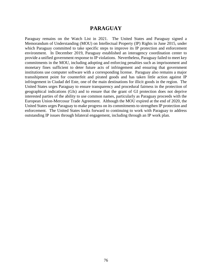## **PARAGUAY**

Paraguay remains on the Watch List in 2021. The United States and Paraguay signed a Memorandum of Understanding (MOU) on Intellectual Property (IP) Rights in June 2015, under which Paraguay committed to take specific steps to improve its IP protection and enforcement environment. In December 2019, Paraguay established an interagency coordination center to provide a unified government response to IP violations. Nevertheless, Paraguay failed to meet key commitments in the MOU, including adopting and enforcing penalties such as imprisonment and monetary fines sufficient to deter future acts of infringement and ensuring that government institutions use computer software with a corresponding license. Paraguay also remains a major transshipment point for counterfeit and pirated goods and has taken little action against IP infringement in Ciudad del Este, one of the main destinations for illicit goods in the region. The United States urges Paraguay to ensure transparency and procedural fairness in the protection of geographical indications (GIs) and to ensure that the grant of GI protection does not deprive interested parties of the ability to use common names, particularly as Paraguay proceeds with the European Union-Mercosur Trade Agreement. Although the MOU expired at the end of 2020, the United States urges Paraguay to make progress on its commitments to strengthen IP protection and enforcement. The United States looks forward to continuing to work with Paraguay to address outstanding IP issues through bilateral engagement, including through an IP work plan.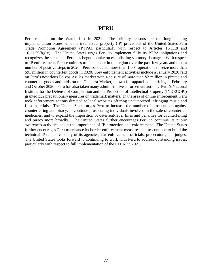#### **PERU**

Peru remains on the Watch List in 2021. The primary reasons are the long-standing implementation issues with the intellectual property (IP) provisions of the United States-Peru Trade Promotion Agreement (PTPA), particularly with respect to Articles 16.11.8 and 16.11.29(b)(ix). The United States urges Peru to implement fully its PTPA obligations and recognizes the steps that Peru has begun to take on establishing statutory damages. With respect to IP enforcement, Peru continues to be a leader in the region over the past few years and took a number of positive steps in 2020. Peru conducted more than 1,604 operations to seize more than \$91 million in counterfeit goods in 2020. Key enforcement activities include a January 2020 raid on Peru's notorious Polvos Azules market with a seizure of more than \$2 million in pirated and counterfeit goods and raids on the Gamarra Market, known for apparel counterfeits, in February and October 2020. Peru has also taken many administrative enforcement actions. Peru's National Institute for the Defense of Competition and the Protection of Intellectual Property (INDECOPI) granted 332 precautionary measures on trademark matters. In the area of online enforcement, Peru took enforcement actions directed at local websites offering unauthorized infringing music and film materials. The United States urges Peru to increase the number of prosecutions against counterfeiting and piracy, to continue prosecuting individuals involved in the sale of counterfeit medicines, and to expand the imposition of deterrent-level fines and penalties for counterfeiting and piracy more broadly. The United States further encourages Peru to continue its public awareness activities about the importance of IP protection and enforcement. The United States further encourages Peru to enhance its border enforcement measures and to continue to build the technical IP-related capacity of its agencies, law enforcement officials, prosecutors, and judges. The United States looks forward to continuing to work with Peru to address outstanding issues, particularly with respect to full implementation of the PTPA, in 2021.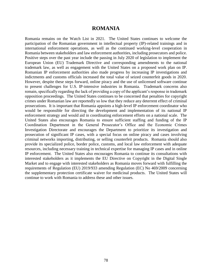### **ROMANIA**

Romania remains on the Watch List in 2021. The United States continues to welcome the participation of the Romanian government in intellectual property (IP)-related trainings and in international enforcement operations, as well as the continued working-level cooperation in Romania between stakeholders and law enforcement authorities, including prosecutors and police. Positive steps over the past year include the passing in July 2020 of legislation to implement the European Union (EU) Trademark Directive and corresponding amendments to the national trademark law, as well as engagement with the United States on a proposed work plan on IP. Romanian IP enforcement authorities also made progress by increasing IP investigations and indictments and customs officials increased the total value of seized counterfeit goods in 2020. However, despite these steps forward, online piracy and the use of unlicensed software continue to present challenges for U.S. IP-intensive industries in Romania. Trademark concerns also remain, specifically regarding the lack of providing a copy of the applicant's response in trademark opposition proceedings. The United States continues to be concerned that penalties for copyright crimes under Romanian law are reportedly so low that they reduce any deterrent effect of criminal prosecutions. It is important that Romania appoints a high-level IP enforcement coordinator who would be responsible for directing the development and implementation of its national IP enforcement strategy and would aid in coordinating enforcement efforts on a national scale. The United States also encourages Romania to ensure sufficient staffing and funding of the IP Coordination Department in the General Prosecutor's Office and the Economic Crimes Investigation Directorate and encourages the Department to prioritize its investigation and prosecution of significant IP cases, with a special focus on online piracy and cases involving criminal networks importing, distributing, or selling counterfeit products. Romania should also provide its specialized police, border police, customs, and local law enforcement with adequate resources, including necessary training in technical expertise for managing IP cases and in online IP enforcement. The United States also encourages Romania to continue its consultations with interested stakeholders as it implements the EU Directive on Copyright in the Digital Single Market and to engage with interested stakeholders as Romania moves forward with fulfilling the requirements of Regulation (EU) 2019/933 amending Regulation (EC) No 469/2009 concerning the supplementary protection certificate waiver for medicinal products. The United States will continue to work with Romania to address these and other issues.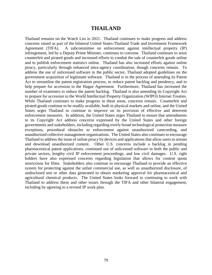### **THAILAND**

Thailand remains on the Watch List in 2021. Thailand continues to make progress and address concerns raised as part of the bilateral United States-Thailand Trade and Investment Framework Agreement (TIFA). A subcommittee on enforcement against intellectual property (IP) infringement, led by a Deputy Prime Minister, continues to convene. Thailand continues to seize counterfeit and pirated goods and increased efforts to combat the sale of counterfeit goods online and to publish enforcement statistics online. Thailand has also increased efforts against online piracy, particularly through enhanced intra-agency coordination, though concerns remain. To address the use of unlicensed software in the public sector, Thailand adopted guidelines on the government acquisition of legitimate software. Thailand is in the process of amending its Patent Act to streamline the patent registration process, to reduce patent backlog and pendency, and to help prepare for accession to the Hague Agreement. Furthermore, Thailand has increased the number of examiners to reduce the patent backlog. Thailand is also amending its Copyright Act to prepare for accession to the World Intellectual Property Organization (WIPO) Internet Treaties. While Thailand continues to make progress in these areas, concerns remain. Counterfeit and pirated goods continue to be readily available, both in physical markets and online, and the United States urges Thailand to continue to improve on its provision of effective and deterrent enforcement measures. In addition, the United States urges Thailand to ensure that amendments to its Copyright Act address concerns expressed by the United States and other foreign governments and stakeholders, including regarding overly broad technological protection measure exceptions, procedural obstacles to enforcement against unauthorized camcording, and unauthorized collective management organizations. The United States also continues to encourage Thailand to address the issue of online piracy by devices and applications that allow users to stream and download unauthorized content. Other U.S. concerns include a backlog in pending pharmaceutical patent applications, continued use of unlicensed software in both the public and private sectors, lengthy civil IP enforcement proceedings, and low civil damages. U.S. right holders have also expressed concerns regarding legislation that allows for content quota restrictions for films. Stakeholders also continue to encourage Thailand to provide an effective system for protecting against the unfair commercial use, as well as unauthorized disclosure, of undisclosed test or other data generated to obtain marketing approval for pharmaceutical and agricultural chemical products. The United States looks forward to continuing to work with Thailand to address these and other issues through the TIFA and other bilateral engagement, including by agreeing to a revised IP work plan.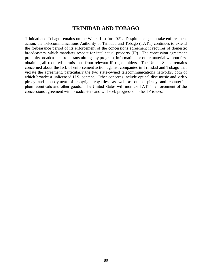## **TRINIDAD AND TOBAGO**

Trinidad and Tobago remains on the Watch List for 2021. Despite pledges to take enforcement action, the Telecommunications Authority of Trinidad and Tobago (TATT) continues to extend the forbearance period of its enforcement of the concessions agreement it requires of domestic broadcasters, which mandates respect for intellectual property (IP). The concession agreement prohibits broadcasters from transmitting any program, information, or other material without first obtaining all required permissions from relevant IP right holders. The United States remains concerned about the lack of enforcement action against companies in Trinidad and Tobago that violate the agreement, particularly the two state-owned telecommunications networks, both of which broadcast unlicensed U.S. content. Other concerns include optical disc music and video piracy and nonpayment of copyright royalties, as well as online piracy and counterfeit pharmaceuticals and other goods. The United States will monitor TATT's enforcement of the concessions agreement with broadcasters and will seek progress on other IP issues.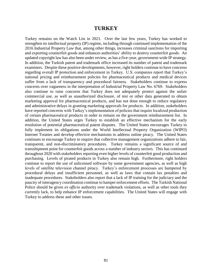#### **TURKEY**

Turkey remains on the Watch List in 2021. Over the last few years, Turkey has worked to strengthen its intellectual property (IP) regime, including through continued implementation of the 2016 Industrial Property Law that, among other things, increases criminal sanctions for importing and exporting counterfeit goods and enhances authorities' ability to destroy counterfeit goods. An updated copyright law has also been under review, as has a five-year, government-wide IP strategy. In addition, the Turkish patent and trademark office increased its number of patent and trademark examiners. Despite these positive developments, however, right holders continue to have concerns regarding overall IP protection and enforcement in Turkey. U.S. companies report that Turkey's national pricing and reimbursement policies for pharmaceutical products and medical devices suffer from a lack of transparency and procedural fairness. Stakeholders continue to express concerns over vagueness in the interpretation of Industrial Property Law No. 6769. Stakeholders also continue to raise concerns that Turkey does not adequately protect against the unfair commercial use, as well as unauthorized disclosure, of test or other data generated to obtain marketing approval for pharmaceutical products, and has not done enough to reduce regulatory and administrative delays in granting marketing approvals for products. In addition, stakeholders have reported concerns with Turkey's implementation of policies that require localized production of certain pharmaceutical products in order to remain on the government reimbursement list. In addition, the United States urges Turkey to establish an effective mechanism for the early resolution of potential pharmaceutical patent disputes. The United States encourages Turkey to fully implement its obligations under the World Intellectual Property Organization (WIPO) Internet Treaties and develop effective mechanisms to address online piracy. The United States continues to encourage Turkey to require that collective management organizations adhere to fair, transparent, and non-discriminatory procedures. Turkey remains a significant source of and transshipment point for counterfeit goods across a number of industry sectors. This has continued throughout 2020 with stakeholders reporting even higher levels of counterfeit good production and purchasing. Levels of pirated products in Turkey also remain high. Furthermore, right holders continue to report the use of unlicensed software by some government agencies, as well as high levels of satellite television channel piracy. Turkey's enforcement processes are hampered by procedural delays and insufficient personnel, as well as laws that contain lax penalties and inadequate procedures. Stakeholders also report that a lack of IP training for the judiciary and the paucity of interagency coordination continue to hamper enforcement efforts. The Turkish National Police should be given *ex officio* authority over trademark violations, as well as other tools they currently lack, to help enhance IP enforcement capabilities. The United States will engage with Turkey to address these and other issues.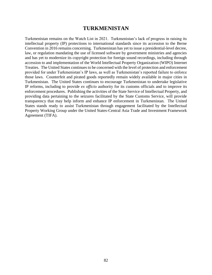## **TURKMENISTAN**

Turkmenistan remains on the Watch List in 2021. Turkmenistan's lack of progress in raising its intellectual property (IP) protections to international standards since its accession to the Berne Convention in 2016 remains concerning. Turkmenistan has yet to issue a presidential-level decree, law, or regulation mandating the use of licensed software by government ministries and agencies and has yet to modernize its copyright protection for foreign sound recordings, including through accession to and implementation of the World Intellectual Property Organization (WIPO) Internet Treaties. The United States continues to be concerned with the level of protection and enforcement provided for under Turkmenistan's IP laws, as well as Turkmenistan's reported failure to enforce those laws. Counterfeit and pirated goods reportedly remain widely available in major cities in Turkmenistan. The United States continues to encourage Turkmenistan to undertake legislative IP reforms, including to provide *ex officio* authority for its customs officials and to improve its enforcement procedures. Publishing the activities of the State Service of Intellectual Property, and providing data pertaining to the seizures facilitated by the State Customs Service, will provide transparency that may help inform and enhance IP enforcement in Turkmenistan. The United States stands ready to assist Turkmenistan through engagement facilitated by the Intellectual Property Working Group under the United States-Central Asia Trade and Investment Framework Agreement (TIFA).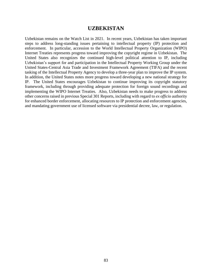## **UZBEKISTAN**

Uzbekistan remains on the Watch List in 2021. In recent years, Uzbekistan has taken important steps to address long-standing issues pertaining to intellectual property (IP) protection and enforcement. In particular, accession to the World Intellectual Property Organization (WIPO) Internet Treaties represents progress toward improving the copyright regime in Uzbekistan. The United States also recognizes the continued high-level political attention to IP, including Uzbekistan's support for and participation in the Intellectual Property Working Group under the United States-Central Asia Trade and Investment Framework Agreement (TIFA) and the recent tasking of the Intellectual Property Agency to develop a three-year plan to improve the IP system. In addition, the United States notes more progress toward developing a new national strategy for IP. The United States encourages Uzbekistan to continue improving its copyright statutory framework, including through providing adequate protection for foreign sound recordings and implementing the WIPO Internet Treaties. Also, Uzbekistan needs to make progress to address other concerns raised in previous Special 301 Reports, including with regard to *ex officio* authority for enhanced border enforcement, allocating resources to IP protection and enforcement agencies, and mandating government use of licensed software via presidential decree, law, or regulation.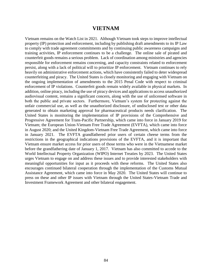## **VIETNAM**

Vietnam remains on the Watch List in 2021. Although Vietnam took steps to improve intellectual property (IP) protection and enforcement, including by publishing draft amendments to its IP Law to comply with trade agreement commitments and by continuing public awareness campaigns and training activities, IP enforcement continues to be a challenge. The online sale of pirated and counterfeit goods remains a serious problem. Lack of coordination among ministries and agencies responsible for enforcement remains concerning, and capacity constraints related to enforcement persist, along with a lack of political will to prioritize IP enforcement. Vietnam continues to rely heavily on administrative enforcement actions, which have consistently failed to deter widespread counterfeiting and piracy. The United States is closely monitoring and engaging with Vietnam on the ongoing implementation of amendments to the 2015 Penal Code with respect to criminal enforcement of IP violations. Counterfeit goods remain widely available in physical markets. In addition, online piracy, including the use of piracy devices and applications to access unauthorized audiovisual content, remains a significant concern, along with the use of unlicensed software in both the public and private sectors. Furthermore, Vietnam's system for protecting against the unfair commercial use, as well as the unauthorized disclosure, of undisclosed test or other data generated to obtain marketing approval for pharmaceutical products needs clarification. The United States is monitoring the implementation of IP provisions of the Comprehensive and Progressive Agreement for Trans-Pacific Partnership, which came into force in January 2019 for Vietnam; the European Union-Vietnam Free Trade Agreement (EVFTA), which came into force in August 2020; and the United Kingdom-Vietnam Free Trade Agreement, which came into force in January 2021. The EVFTA grandfathered prior users of certain cheese terms from the restrictions in the geographical indications provisions of the EVFTA, and it is important that Vietnam ensure market access for prior users of those terms who were in the Vietnamese market before the grandfathering date of January 1, 2017. Vietnam has also committed to accede to the World Intellectual Property Organization (WIPO) Internet Treaties by 2023. The United States urges Vietnam to engage on and address these issues and to provide interested stakeholders with meaningful opportunities for input as it proceeds with these reforms. The United States also encourages continued bilateral cooperation through the implementation of the Customs Mutual Assistance Agreement, which came into force in May 2020. The United States will continue to press on these and other IP issues with Vietnam through the United States-Vietnam Trade and Investment Framework Agreement and other bilateral engagement.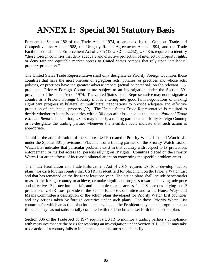# **ANNEX 1: Special 301 Statutory Basis**

Pursuant to Section 182 of the Trade Act of 1974, as amended by the Omnibus Trade and Competitiveness Act of 1988, the Uruguay Round Agreements Act of 1994, and the Trade Facilitation and Trade Enforcement Act of 2015 (19 U.S.C. § 2242), USTR is required to identify "those foreign countries that deny adequate and effective protection of intellectual property rights, or deny fair and equitable market access to United States persons that rely upon intellectual property protection."

The United States Trade Representative shall only designate as Priority Foreign Countries those countries that have the most onerous or egregious acts, policies, or practices and whose acts, policies, or practices have the greatest adverse impact (actual or potential) on the relevant U.S. products. Priority Foreign Countries are subject to an investigation under the Section 301 provisions of the Trade Act of 1974. The United States Trade Representative may not designate a country as a Priority Foreign Country if it is entering into good faith negotiations or making significant progress in bilateral or multilateral negotiations to provide adequate and effective protection of intellectual property (IP). The United States Trade Representative is required to decide whether to identify countries within 30 days after issuance of the annual *National Trade Estimate Report*. In addition, USTR may identify a trading partner as a Priority Foreign Country or re-designate the trading partner whenever the available facts indicate that such action is appropriate.

To aid in the administration of the statute, USTR created a Priority Watch List and Watch List under the Special 301 provisions. Placement of a trading partner on the Priority Watch List or Watch List indicates that particular problems exist in that country with respect to IP protection, enforcement, or market access for persons relying on IP rights. Countries placed on the Priority Watch List are the focus of increased bilateral attention concerning the specific problem areas.

The Trade Facilitation and Trade Enforcement Act of 2015 requires USTR to develop "action plans" for each foreign country that USTR has identified for placement on the Priority Watch List and that has remained on the list for at least one year. The action plans shall include benchmarks to assist the foreign country to achieve, or make significant progress toward achieving, adequate and effective IP protection and fair and equitable market access for U.S. persons relying on IP protection. USTR must provide to the Senate Finance Committee and to the House Ways and Means Committee a description of the action plans developed for Priority Watch List countries and any actions taken by foreign countries under such plans. For those Priority Watch List countries for which an action plan has been developed, the President may take appropriate action if the country has not substantially complied with the benchmarks set forth in the action plan.

Section 306 of the Trade Act of 1974 requires USTR to monitor a trading partner's compliance with measures that are the basis for resolving an investigation under Section 301. USTR may take trade action if a country fails to implement such measures satisfactorily.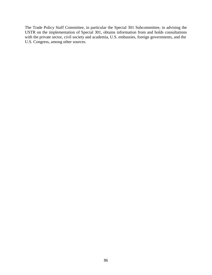The Trade Policy Staff Committee, in particular the Special 301 Subcommittee, in advising the USTR on the implementation of Special 301, obtains information from and holds consultations with the private sector, civil society and academia, U.S. embassies, foreign governments, and the U.S. Congress, among other sources.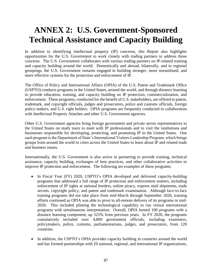# **ANNEX 2: U.S. Government-Sponsored Technical Assistance and Capacity Building**

In addition to identifying intellectual property (IP) concerns, this Report also highlights opportunities for the U.S. Government to work closely with trading partners to address those concerns. The U.S. Government collaborates with various trading partners on IP-related training and capacity building around the world. Domestically and abroad, bilaterally, and in regional groupings, the U.S. Government remains engaged in building stronger, more streamlined, and more effective systems for the protection and enforcement of IP.

The Office of Policy and International Affairs (OPIA) of the U.S. Patent and Trademark Office (USPTO) conducts programs in the United States, around the world, and through distance learning to provide education, training, and capacity building on IP protection, commercialization, and enforcement. These programs, conducted for the benefit of U.S. stakeholders, are offered to patent, trademark, and copyright officials, judges and prosecutors, police and customs officials, foreign policy makers, and U.S. right holders. OPIA programs are frequently conducted in collaboration with Intellectual Property Attaches and other U.S. Government agencies.

Other U.S. Government agencies bring foreign government and private sector representatives to the United States on study tours to meet with IP professionals and to visit the institutions and businesses responsible for developing, protecting, and promoting IP in the United States. One such program is the Department of State's International Visitors Leadership Program, which brings groups from around the world to cities across the United States to learn about IP and related trade and business issues.

Internationally, the U.S. Government is also active in partnering to provide training, technical assistance, capacity building, exchanges of best practices, and other collaborative activities to improve IP protection and enforcement. The following are examples of these programs:

- In Fiscal Year (FY) 2020, USPTO's OPIA developed and delivered capacity-building programs that addressed a full range of IP protection and enforcement matters, including enforcement of IP rights at national borders, online piracy, express mail shipments, trade secrets, copyright policy, and patent and trademark examination. Although face-to-face training programs did not take place from mid-March through September 2020, training efforts continued as OPIA was able to pivot to all-remote delivery of its programs in mid-2020. This included piloting the technological capability to run virtual international programs with simultaneous interpretation. Overall, OPIA hosted 100 programs with a distance learning component, up 525% from previous years. In FY 2020, the programs cumulatively included over 4,800 government officials, including examiners, policymakers, police, customs, parliamentarians, judges, and prosecutors, from 120 countries.
- In addition, the USPTO's OPIA provides capacity building in countries around the world and has formed partnerships with 29 national, regional, and international IP organizations,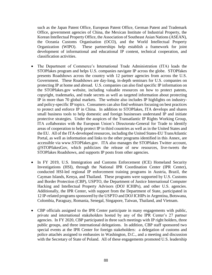such as the Japan Patent Office, European Patent Office, German Patent and Trademark Office, government agencies of China, the Mexican Institute of Industrial Property, the Korean Intellectual Property Office, the Association of Southeast Asian Nations (ASEAN), the Oceania Customs Organisation (OCO), and the World Intellectual Property Organization (WIPO). These partnerships help establish a framework for joint development of informational and educational IP content, technical cooperation, and classification activities.

- The Department of Commerce's International Trade Administration (ITA) leads the STOPfakes program and helps U.S. companies navigate IP across the globe. STOPfakes presents Roadshows across the country with 12 partner agencies from across the U.S. Government. These Roadshows are day-long, in-depth seminars for U.S. companies on protecting IP at home and abroad. U.S. companies can also find specific IP information on the STOPfakes.gov website, including valuable resources on how to protect patents, copyright, trademarks, and trade secrets as well as targeted information about protecting IP in more than 70 global markets. The website also includes IP highlights on industryand policy-specific IP topics. Consumers can also find webinars focusing on best practices to protect and enforce IP in China. In addition to STOPfakes, ITA develops and shares small business tools to help domestic and foreign businesses understand IP and initiate protective strategies. Under the auspices of the Transatlantic IP Rights Working Group, ITA collaborates with the European Union's Directorate-General for Trade to identify areas of cooperation to help protect IP in third countries as well as in the United States and the EU. All of the ITA-developed resources, including the United States-EU TransAtlantic Portal, as well as information and links to the other programs identified in this Annex, are accessible via www.STOPfakes.gov. ITA also manages the STOPfakes Twitter account, @STOPfakesGov, which publicizes the release of new resources, live-tweets the STOPfakes Roadshows, and supports IP posts from other agencies.
- In FY 2019, U.S. Immigration and Customs Enforcement (ICE) Homeland Security Investigations (HSI), through the National IPR Coordination Center (IPR Center), conducted HSI-led regional IP enforcement training programs in Austria, Brazil, the Cayman Islands, Kenya, and Thailand. These programs were supported by U.S. Customs and Border Protection (CBP), USPTO, the Department of Justice International Computer Hacking and Intellectual Property Advisors (DOJ ICHIPs), and other U.S. agencies. Additionally, the IPR Center, with support from the Department of State, participated in 12 IP-related programs sponsored by the USPTO and DOJ ICHIPs in Argentina, Botswana, Colombia, Paraguay, Romania, Senegal, Singapore, Taiwan, Thailand, and Vietnam.
- CBP officials assigned to the IPR Center participate in many engagements with public, private and international stakeholders hosted by any of the IPR Center's 27 partner agencies. In FY 2020, CBP participated in three such meetings with IP right holders, three public groups, and three international delegations. In addition, CBP staff sponsored two special events at the IPR Center for foreign stakeholders: a delegation of customs and police attachés assigned to embassies in Washington, D.C., and a meeting and discussion with the Secretary of State of Poland. All of these engagements promoted U.S. leadership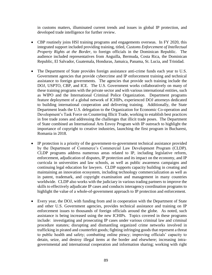in customs matters, illuminated current trends and issues in global IP protection, and developed trade intelligence for further review.

- CBP routinely joins HSI training programs and engagements overseas. In FY 2020, this integrated support included providing training, titled, *Customs Enforcement of Intellectual Property Rights at the Border*, to foreign officials in the Dominican Republic. The audience included representatives from Anguilla, Bermuda, Costa Rica, the Dominican Republic, El Salvador, Guatemala, Honduras, Jamaica, Panama, St. Lucia, and Trinidad.
- The Department of State provides foreign assistance anti-crime funds each year to U.S. Government agencies that provide cybercrime and IP enforcement training and technical assistance to foreign governments. The agencies that provide such training include the DOJ, USPTO, CBP, and ICE. The U.S. Government works collaboratively on many of these training programs with the private sector and with various international entities, such as WIPO and the International Criminal Police Organization. Department programs feature deployment of a global network of ICHIPs, experienced DOJ attorneys dedicated to building international cooperation and delivering training. Additionally, the State Department leads the U.S. delegation to the Organization for Economic Co-operation and Development's Task Force on Countering Illicit Trade, working to establish best practices in free trade zones and addressing the challenges that illicit trade poses. The Department of State combined an International Arts Envoy Program with IP outreach to highlight the importance of copyright to creative industries, launching the first program in Bucharest, Romania in 2018.
- IP protection is a priority of the government-to-government technical assistance provided by the Department of Commerce's Commercial Law Development Program (CLDP). CLDP programs address numerous areas related to IP, including legislative reform, enforcement, adjudication of disputes, IP protection and its impact on the economy, and IP curricula in universities and law schools, as well as public awareness campaigns and continuing legal education for lawyers. CLDP supports capacity building in creating and maintaining an innovation ecosystem, including technology commercialization as well as in patent, trademark, and copyright examination and management in many countries worldwide. CLDP also works with the judiciary in various trading partners to improve the skills to effectively adjudicate IP cases and conducts interagency coordination programs to highlight the value of a whole-of-government approach to IP protection and enforcement.
- Every year, the DOJ, with funding from and in cooperation with the Department of State and other U.S. Government agencies, provides technical assistance and training on IP enforcement issues to thousands of foreign officials around the globe. As noted, such assistance is being increased using the new ICHIPs. Topics covered in these programs include: investigating and prosecuting IP cases under various criminal law and criminal procedure statutes; disrupting and dismantling organized crime networks involved in trafficking in pirated and counterfeit goods; fighting infringing goods that represent a threat to public health and safety; combatting online piracy; improving officials' capacity to detain, seize, and destroy illegal items at the border and elsewhere; increasing intragovernmental and international cooperation and information sharing; working with right